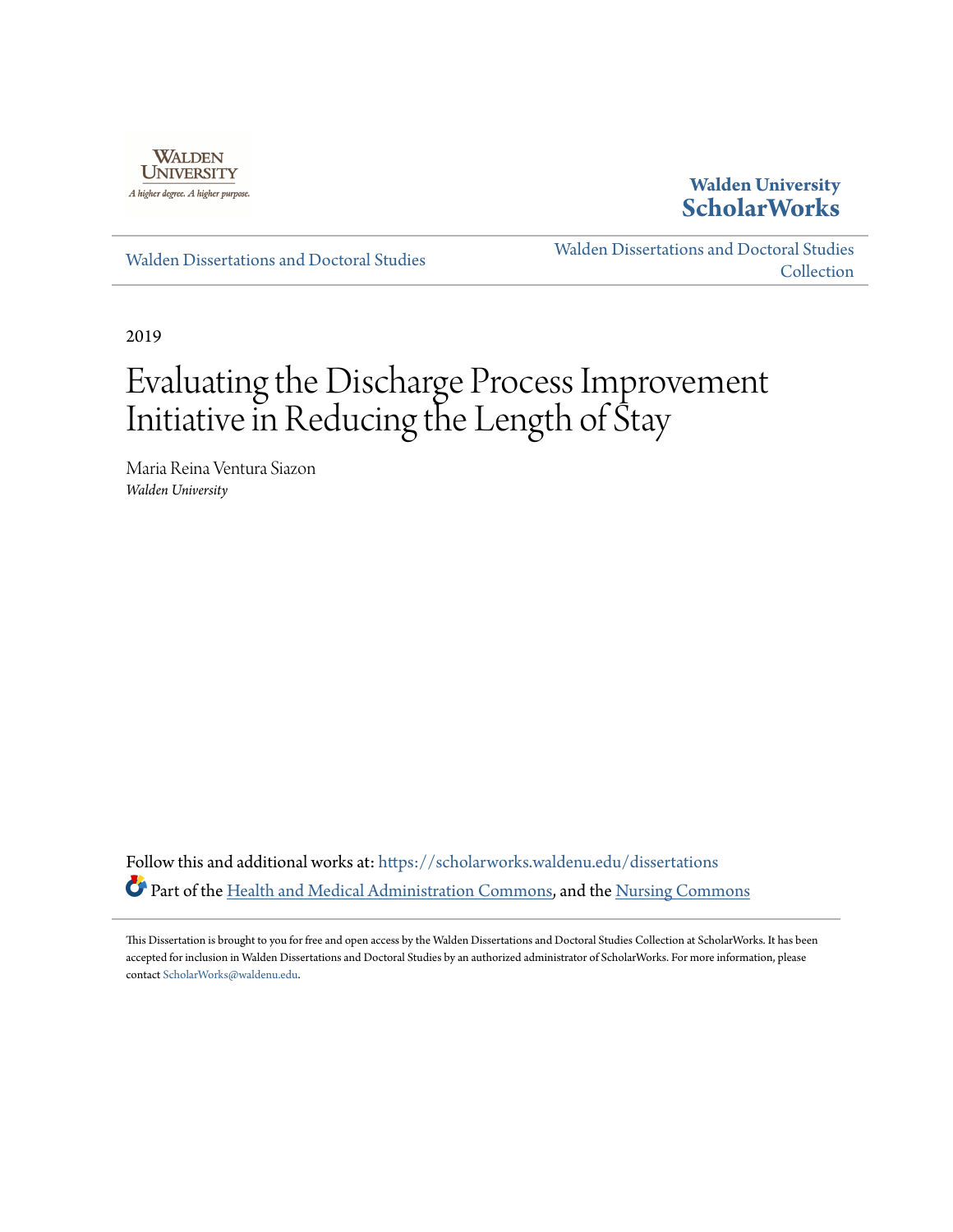

# **Walden University [ScholarWorks](https://scholarworks.waldenu.edu?utm_source=scholarworks.waldenu.edu%2Fdissertations%2F6949&utm_medium=PDF&utm_campaign=PDFCoverPages)**

[Walden Dissertations and Doctoral Studies](https://scholarworks.waldenu.edu/dissertations?utm_source=scholarworks.waldenu.edu%2Fdissertations%2F6949&utm_medium=PDF&utm_campaign=PDFCoverPages)

[Walden Dissertations and Doctoral Studies](https://scholarworks.waldenu.edu/dissanddoc?utm_source=scholarworks.waldenu.edu%2Fdissertations%2F6949&utm_medium=PDF&utm_campaign=PDFCoverPages) **[Collection](https://scholarworks.waldenu.edu/dissanddoc?utm_source=scholarworks.waldenu.edu%2Fdissertations%2F6949&utm_medium=PDF&utm_campaign=PDFCoverPages)** 

2019

# Evaluating the Discharge Process Improvement Initiative in Reducing the Length of Stay

Maria Reina Ventura Siazon *Walden University*

Follow this and additional works at: [https://scholarworks.waldenu.edu/dissertations](https://scholarworks.waldenu.edu/dissertations?utm_source=scholarworks.waldenu.edu%2Fdissertations%2F6949&utm_medium=PDF&utm_campaign=PDFCoverPages) Part of the [Health and Medical Administration Commons](http://network.bepress.com/hgg/discipline/663?utm_source=scholarworks.waldenu.edu%2Fdissertations%2F6949&utm_medium=PDF&utm_campaign=PDFCoverPages), and the [Nursing Commons](http://network.bepress.com/hgg/discipline/718?utm_source=scholarworks.waldenu.edu%2Fdissertations%2F6949&utm_medium=PDF&utm_campaign=PDFCoverPages)

This Dissertation is brought to you for free and open access by the Walden Dissertations and Doctoral Studies Collection at ScholarWorks. It has been accepted for inclusion in Walden Dissertations and Doctoral Studies by an authorized administrator of ScholarWorks. For more information, please contact [ScholarWorks@waldenu.edu](mailto:ScholarWorks@waldenu.edu).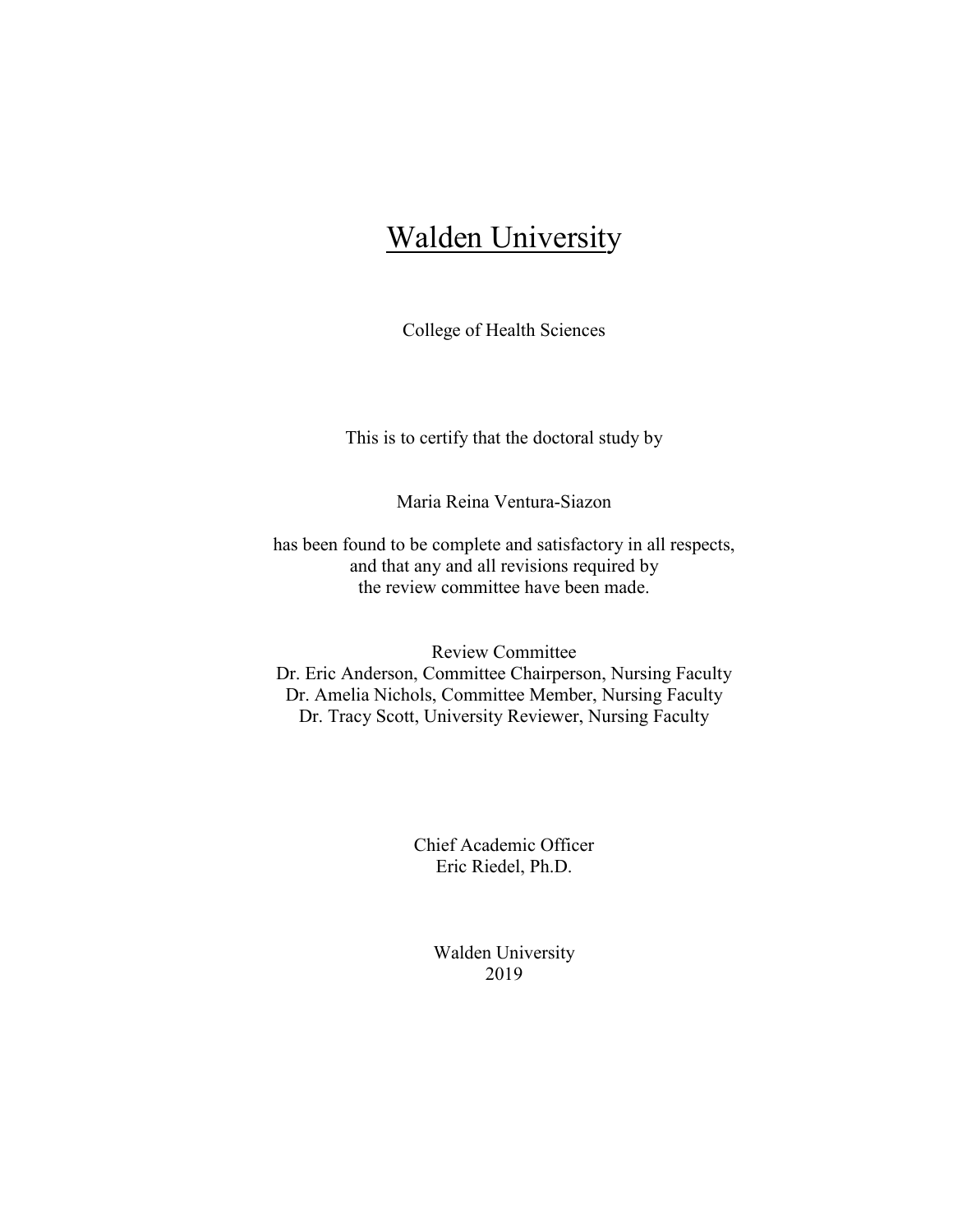# **Walden University**

College of Health Sciences

This is to certify that the doctoral study by

Maria Reina Ventura-Siazon

has been found to be complete and satisfactory in all respects, and that any and all revisions required by the review committee have been made.

Review Committee Dr. Eric Anderson, Committee Chairperson, Nursing Faculty Dr. Amelia Nichols, Committee Member, Nursing Faculty Dr. Tracy Scott, University Reviewer, Nursing Faculty

> Chief Academic Officer Eric Riedel, Ph.D.

> > Walden University 2019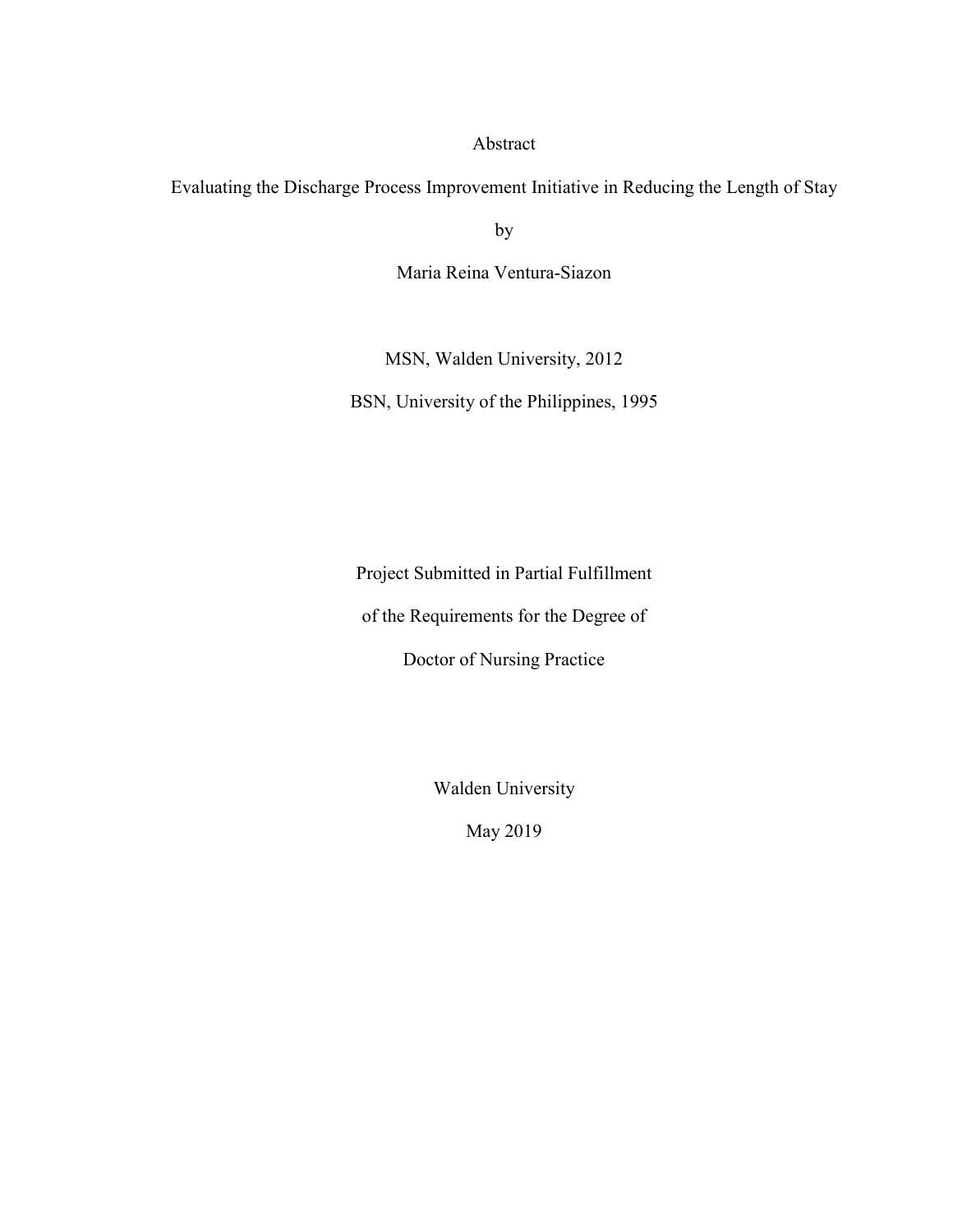# Abstract

Evaluating the Discharge Process Improvement Initiative in Reducing the Length of Stay

by

Maria Reina Ventura-Siazon

MSN, Walden University, 2012

BSN, University of the Philippines, 1995

Project Submitted in Partial Fulfillment

of the Requirements for the Degree of

Doctor of Nursing Practice

Walden University

May 2019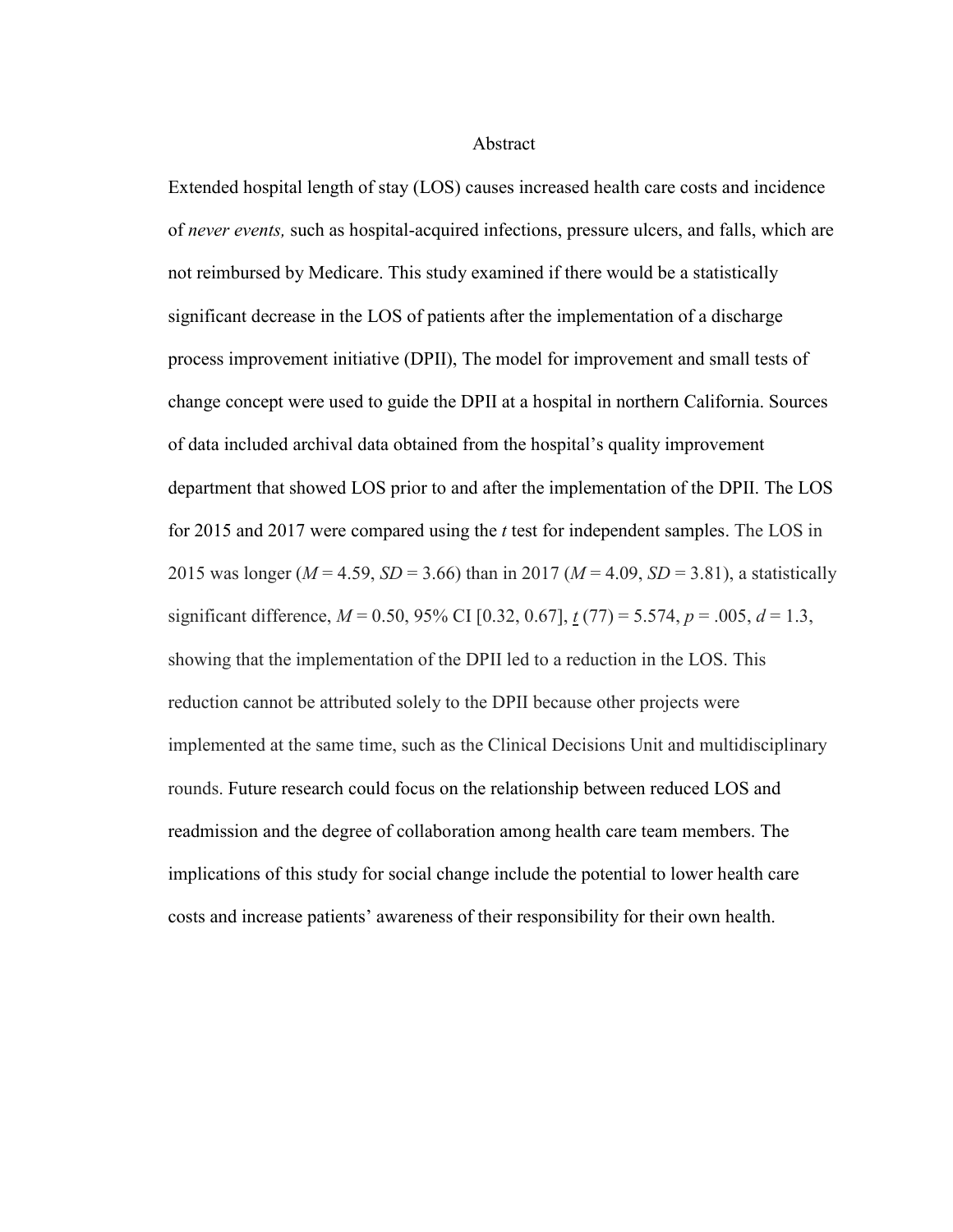Abstract

Extended hospital length of stay (LOS) causes increased health care costs and incidence of *never events,* such as hospital-acquired infections, pressure ulcers, and falls, which are not reimbursed by Medicare. This study examined if there would be a statistically significant decrease in the LOS of patients after the implementation of a discharge process improvement initiative (DPII), The model for improvement and small tests of change concept were used to guide the DPII at a hospital in northern California. Sources of data included archival data obtained from the hospital's quality improvement department that showed LOS prior to and after the implementation of the DPII. The LOS for 2015 and 2017 were compared using the *t* test for independent samples. The LOS in 2015 was longer ( $M = 4.59$ ,  $SD = 3.66$ ) than in 2017 ( $M = 4.09$ ,  $SD = 3.81$ ), a statistically significant difference,  $M = 0.50$ , 95% CI [0.32, 0.67],  $t(77) = 5.574$ ,  $p = .005$ ,  $d = 1.3$ , showing that the implementation of the DPII led to a reduction in the LOS. This reduction cannot be attributed solely to the DPII because other projects were implemented at the same time, such as the Clinical Decisions Unit and multidisciplinary rounds. Future research could focus on the relationship between reduced LOS and readmission and the degree of collaboration among health care team members. The implications of this study for social change include the potential to lower health care costs and increase patients' awareness of their responsibility for their own health.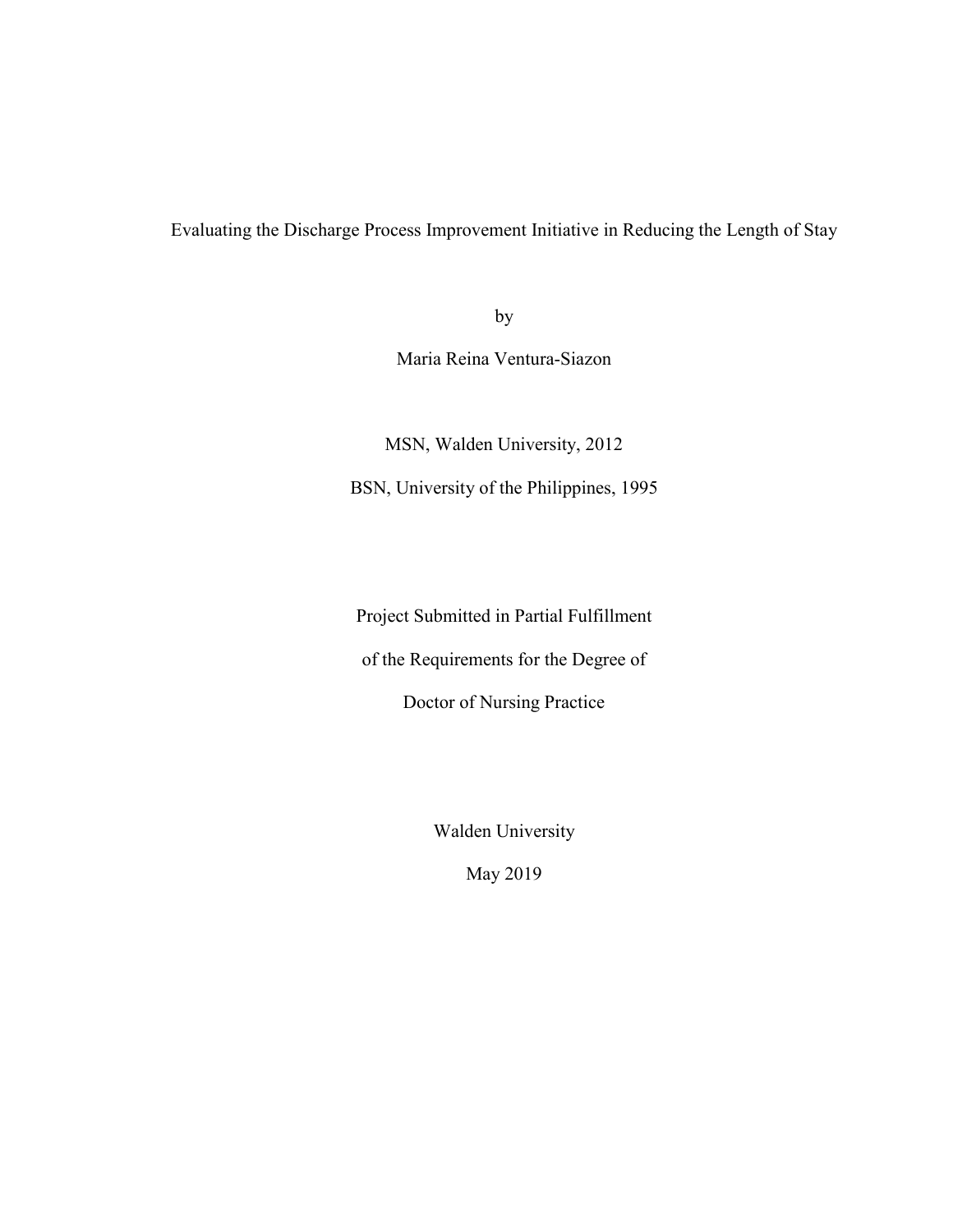Evaluating the Discharge Process Improvement Initiative in Reducing the Length of Stay

by

Maria Reina Ventura-Siazon

MSN, Walden University, 2012 BSN, University of the Philippines, 1995

Project Submitted in Partial Fulfillment

of the Requirements for the Degree of

Doctor of Nursing Practice

Walden University

May 2019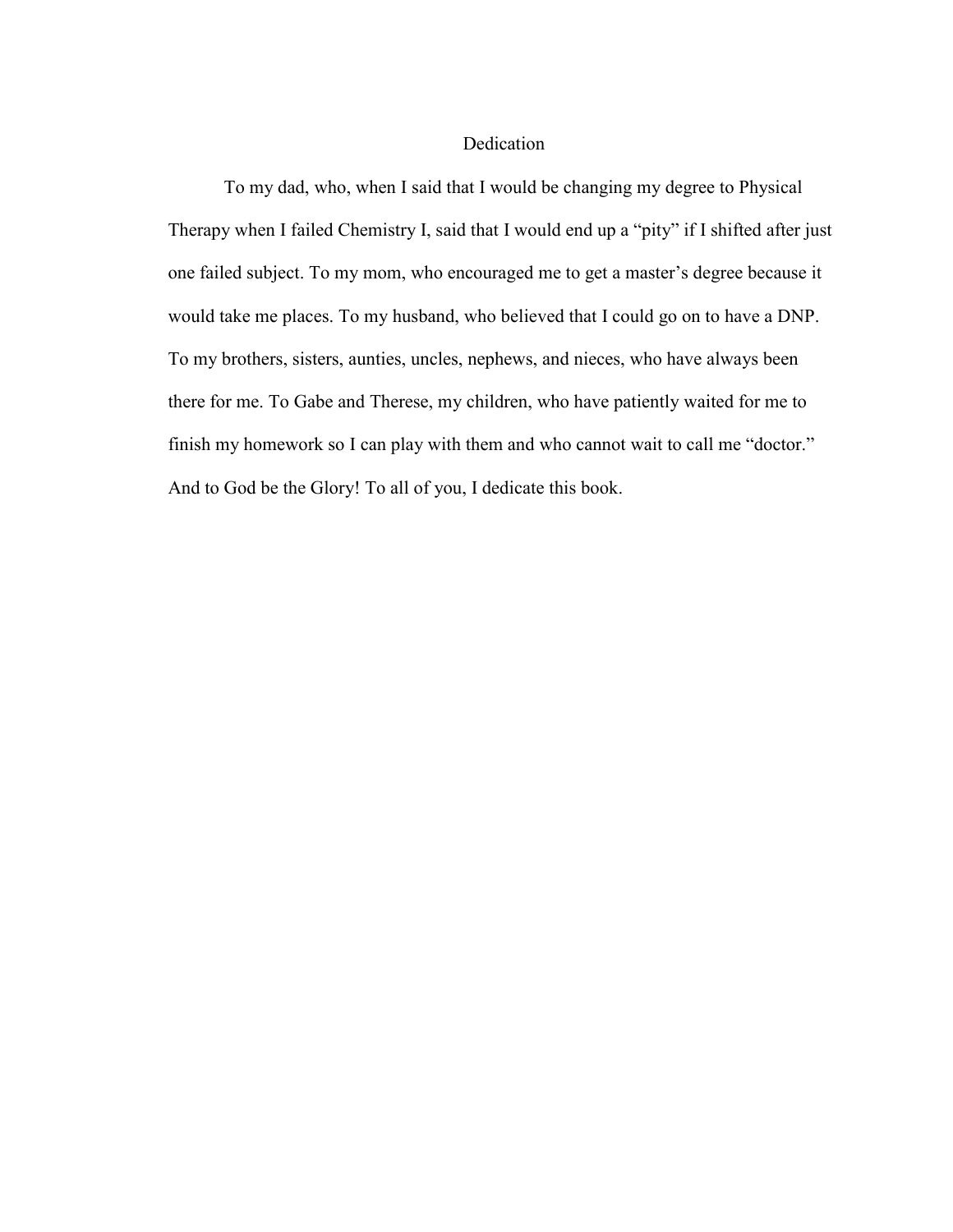# Dedication

To my dad, who, when I said that I would be changing my degree to Physical Therapy when I failed Chemistry I, said that I would end up a "pity" if I shifted after just one failed subject. To my mom, who encouraged me to get a master's degree because it would take me places. To my husband, who believed that I could go on to have a DNP. To my brothers, sisters, aunties, uncles, nephews, and nieces, who have always been there for me. To Gabe and Therese, my children, who have patiently waited for me to finish my homework so I can play with them and who cannot wait to call me "doctor." And to God be the Glory! To all of you, I dedicate this book.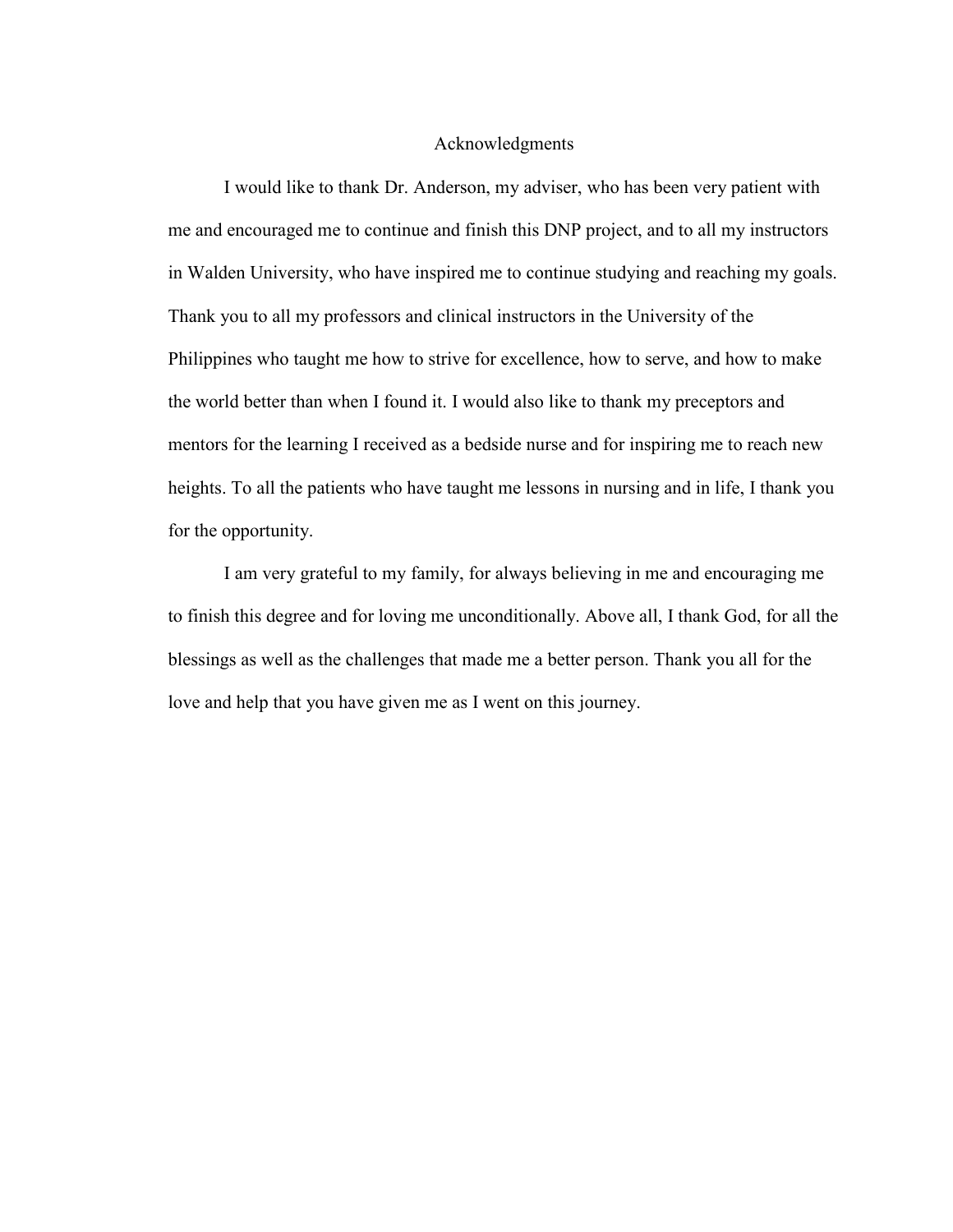# Acknowledgments

I would like to thank Dr. Anderson, my adviser, who has been very patient with me and encouraged me to continue and finish this DNP project, and to all my instructors in Walden University, who have inspired me to continue studying and reaching my goals. Thank you to all my professors and clinical instructors in the University of the Philippines who taught me how to strive for excellence, how to serve, and how to make the world better than when I found it. I would also like to thank my preceptors and mentors for the learning I received as a bedside nurse and for inspiring me to reach new heights. To all the patients who have taught me lessons in nursing and in life, I thank you for the opportunity.

I am very grateful to my family, for always believing in me and encouraging me to finish this degree and for loving me unconditionally. Above all, I thank God, for all the blessings as well as the challenges that made me a better person. Thank you all for the love and help that you have given me as I went on this journey.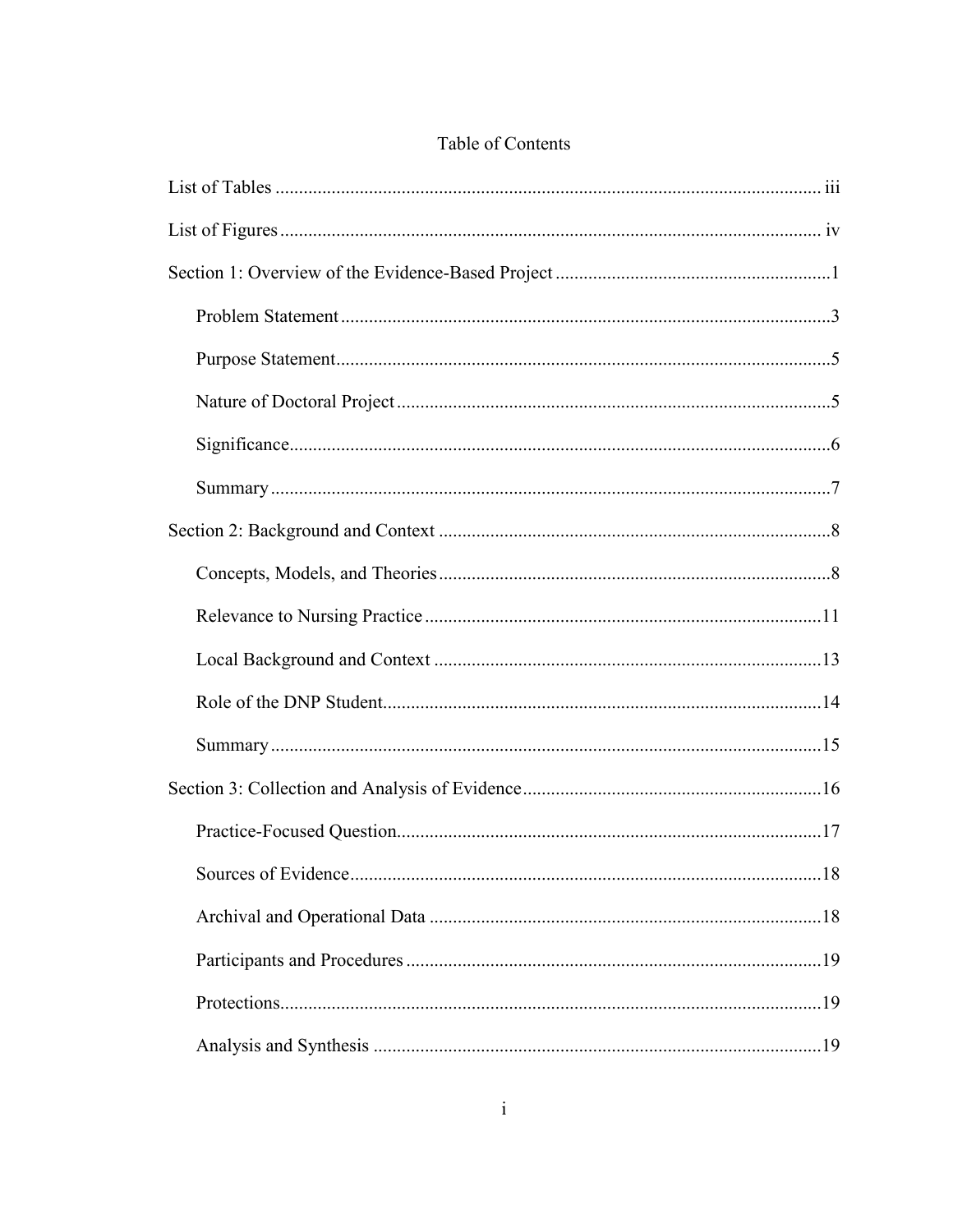# Table of Contents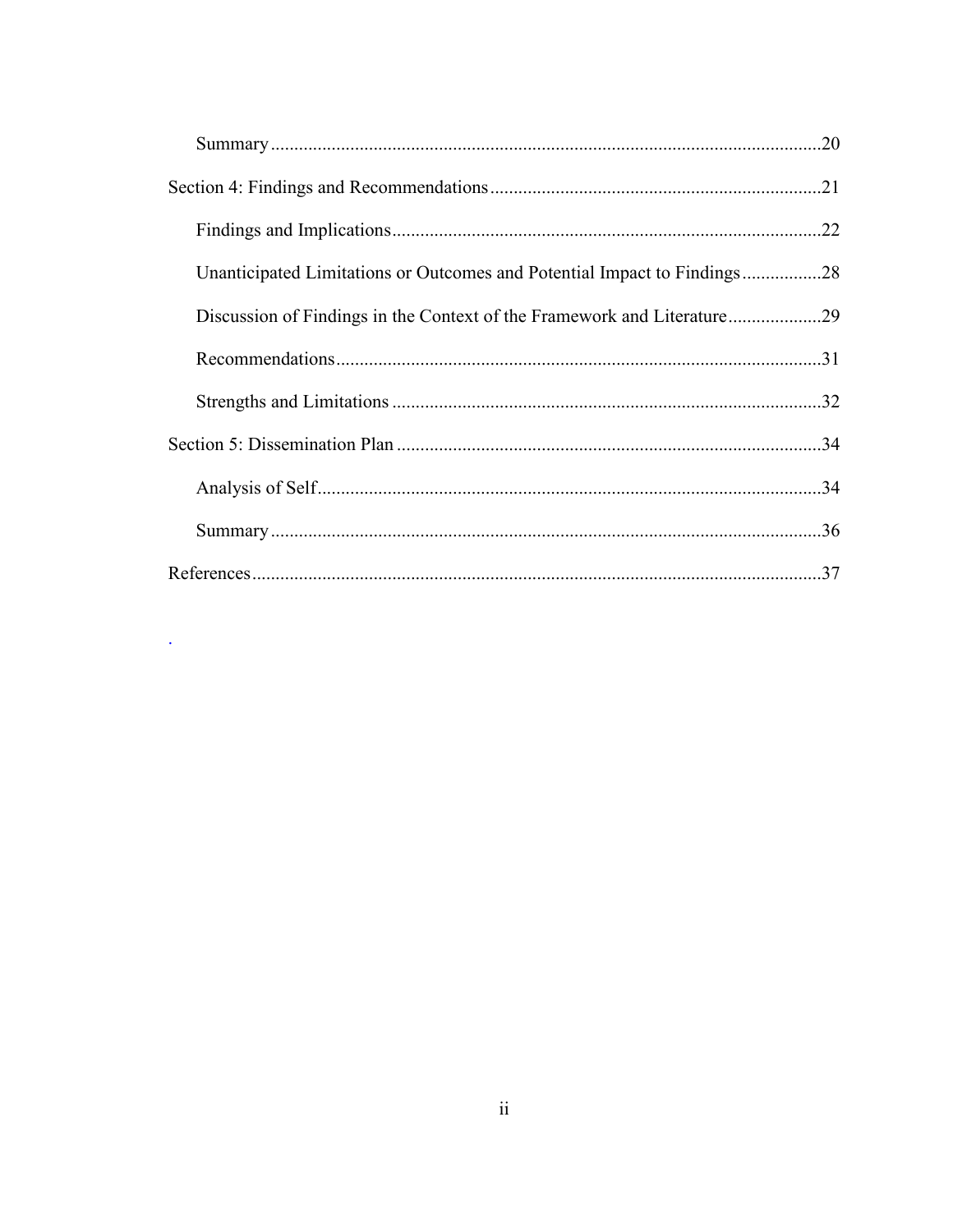|                                                                          | .22 |
|--------------------------------------------------------------------------|-----|
| Unanticipated Limitations or Outcomes and Potential Impact to Findings28 |     |
| Discussion of Findings in the Context of the Framework and Literature29  |     |
|                                                                          | .31 |
|                                                                          |     |
|                                                                          |     |
|                                                                          |     |
|                                                                          |     |
|                                                                          |     |

 $\mathcal{L}^{\text{max}}_{\text{max}}$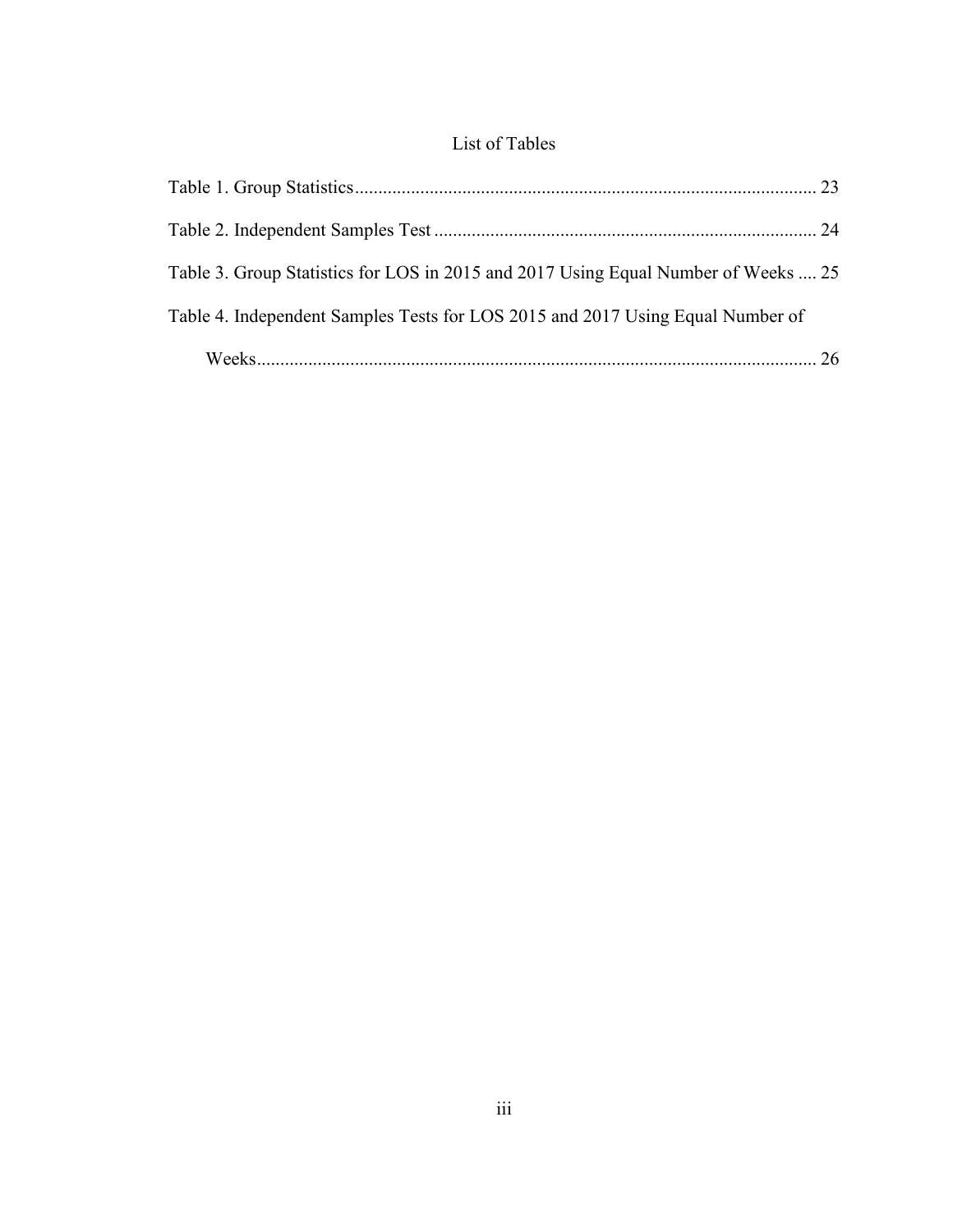# List of Tables

| Table 3. Group Statistics for LOS in 2015 and 2017 Using Equal Number of Weeks  25 |  |
|------------------------------------------------------------------------------------|--|
| Table 4. Independent Samples Tests for LOS 2015 and 2017 Using Equal Number of     |  |
|                                                                                    |  |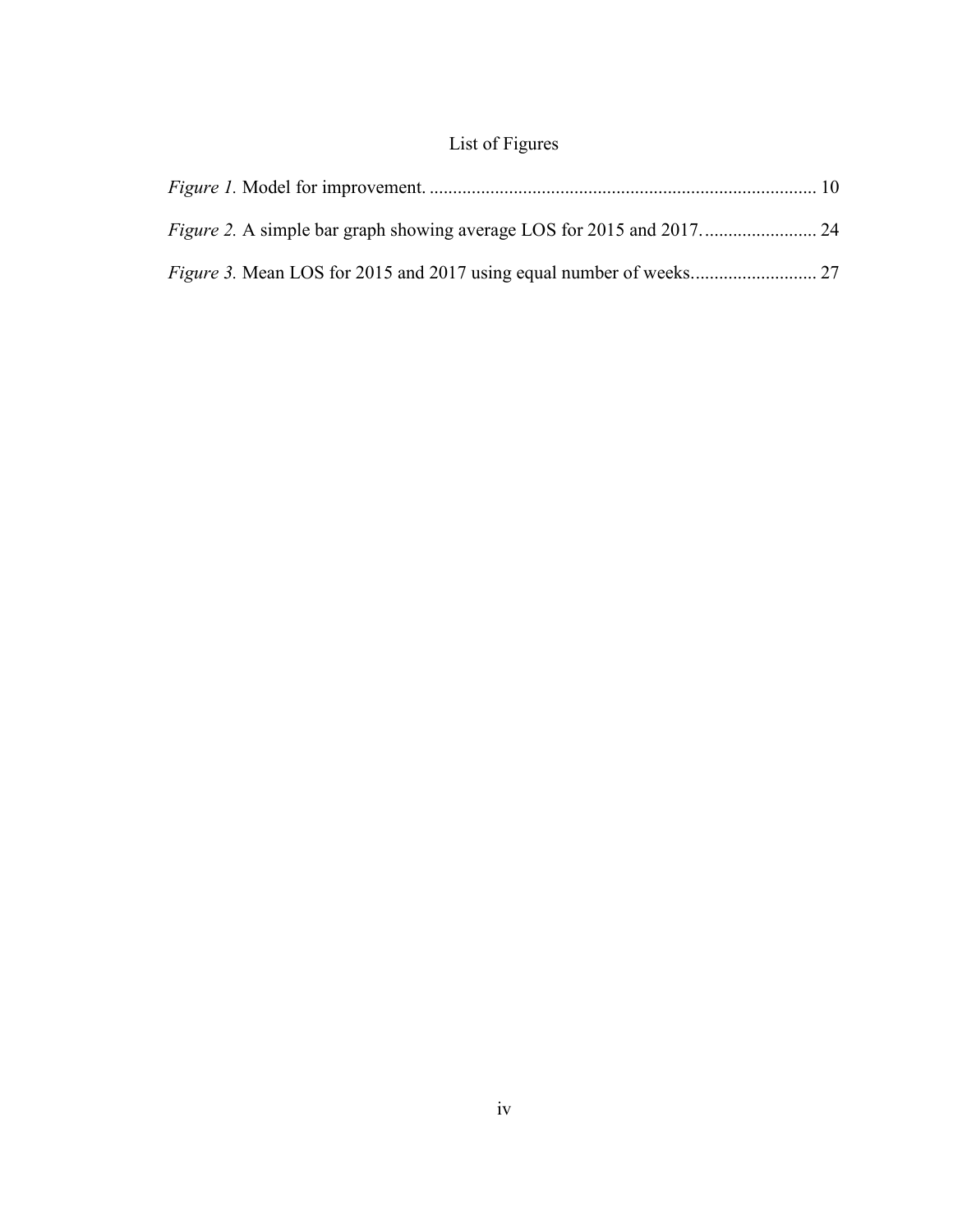# List of Figures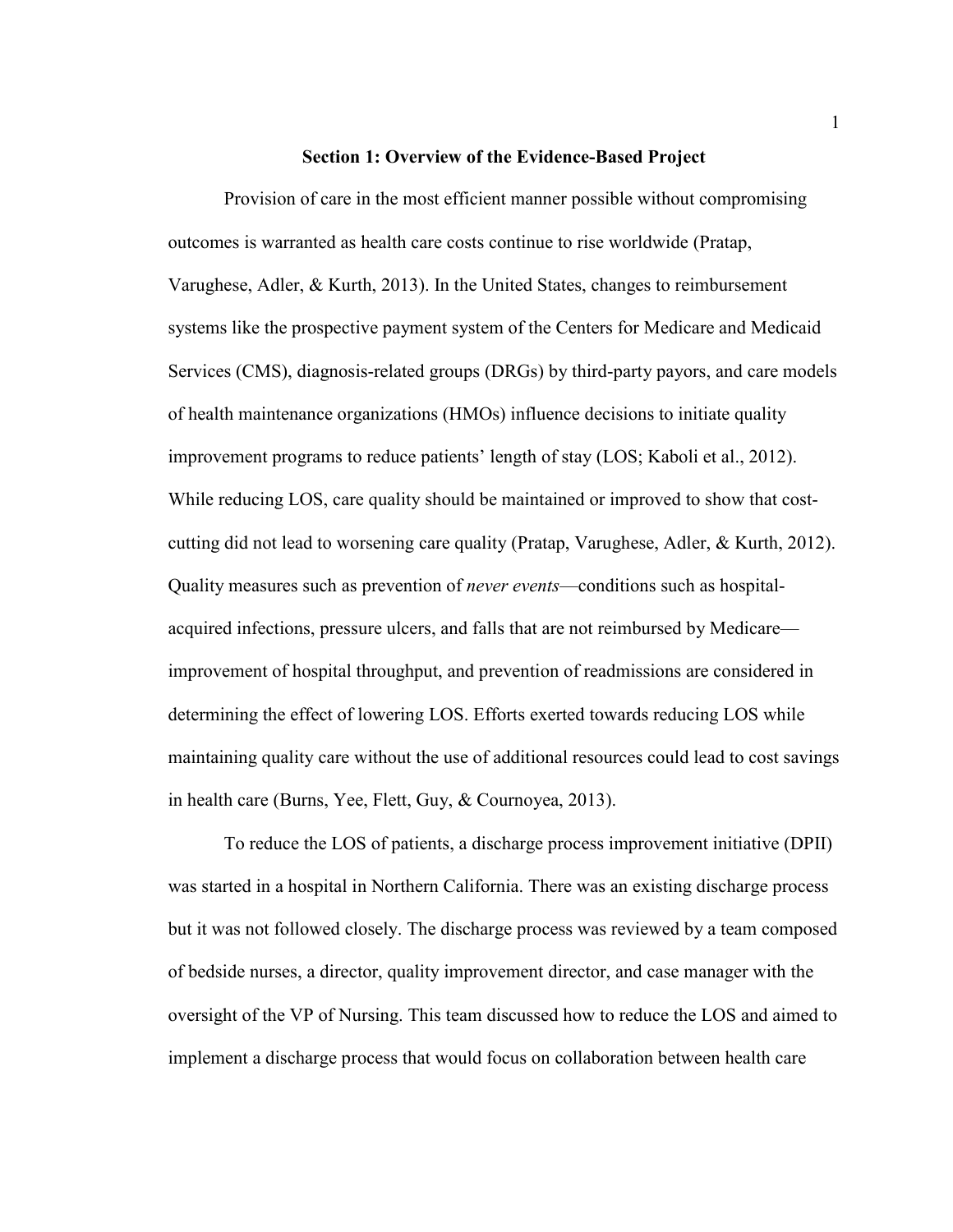### **Section 1: Overview of the Evidence-Based Project**

Provision of care in the most efficient manner possible without compromising outcomes is warranted as health care costs continue to rise worldwide (Pratap, Varughese, Adler, & Kurth, 2013). In the United States, changes to reimbursement systems like the prospective payment system of the Centers for Medicare and Medicaid Services (CMS), diagnosis-related groups (DRGs) by third-party payors, and care models of health maintenance organizations (HMOs) influence decisions to initiate quality improvement programs to reduce patients' length of stay (LOS; Kaboli et al., 2012). While reducing LOS, care quality should be maintained or improved to show that costcutting did not lead to worsening care quality (Pratap, Varughese, Adler, & Kurth, 2012). Quality measures such as prevention of *never events*—conditions such as hospitalacquired infections, pressure ulcers, and falls that are not reimbursed by Medicare improvement of hospital throughput, and prevention of readmissions are considered in determining the effect of lowering LOS. Efforts exerted towards reducing LOS while maintaining quality care without the use of additional resources could lead to cost savings in health care (Burns, Yee, Flett, Guy, & Cournoyea, 2013).

To reduce the LOS of patients, a discharge process improvement initiative (DPII) was started in a hospital in Northern California. There was an existing discharge process but it was not followed closely. The discharge process was reviewed by a team composed of bedside nurses, a director, quality improvement director, and case manager with the oversight of the VP of Nursing. This team discussed how to reduce the LOS and aimed to implement a discharge process that would focus on collaboration between health care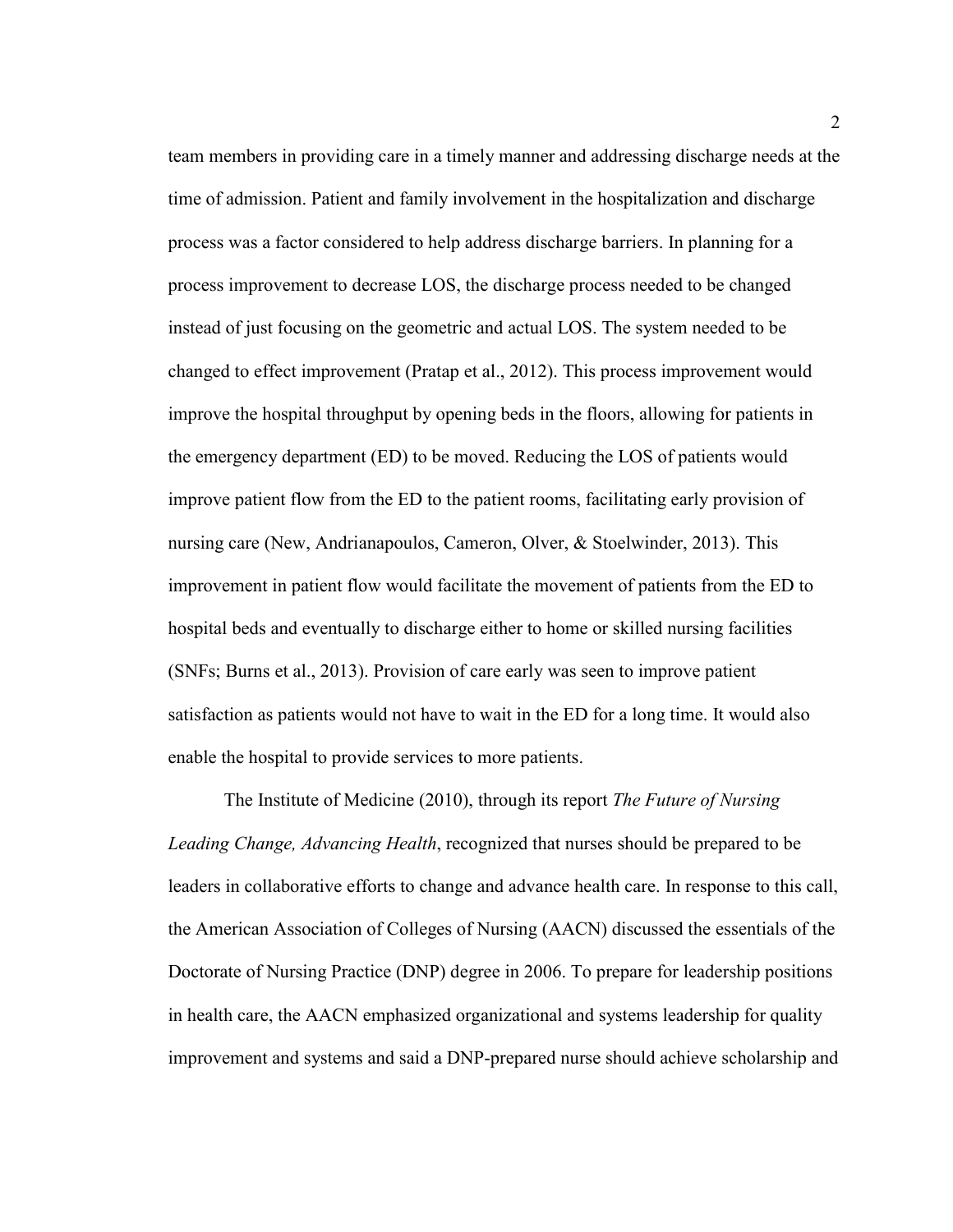team members in providing care in a timely manner and addressing discharge needs at the time of admission. Patient and family involvement in the hospitalization and discharge process was a factor considered to help address discharge barriers. In planning for a process improvement to decrease LOS, the discharge process needed to be changed instead of just focusing on the geometric and actual LOS. The system needed to be changed to effect improvement (Pratap et al., 2012). This process improvement would improve the hospital throughput by opening beds in the floors, allowing for patients in the emergency department (ED) to be moved. Reducing the LOS of patients would improve patient flow from the ED to the patient rooms, facilitating early provision of nursing care (New, Andrianapoulos, Cameron, Olver, & Stoelwinder, 2013). This improvement in patient flow would facilitate the movement of patients from the ED to hospital beds and eventually to discharge either to home or skilled nursing facilities (SNFs; Burns et al., 2013). Provision of care early was seen to improve patient satisfaction as patients would not have to wait in the ED for a long time. It would also enable the hospital to provide services to more patients.

The Institute of Medicine (2010), through its report *The Future of Nursing Leading Change, Advancing Health*, recognized that nurses should be prepared to be leaders in collaborative efforts to change and advance health care. In response to this call, the American Association of Colleges of Nursing (AACN) discussed the essentials of the Doctorate of Nursing Practice (DNP) degree in 2006. To prepare for leadership positions in health care, the AACN emphasized organizational and systems leadership for quality improvement and systems and said a DNP-prepared nurse should achieve scholarship and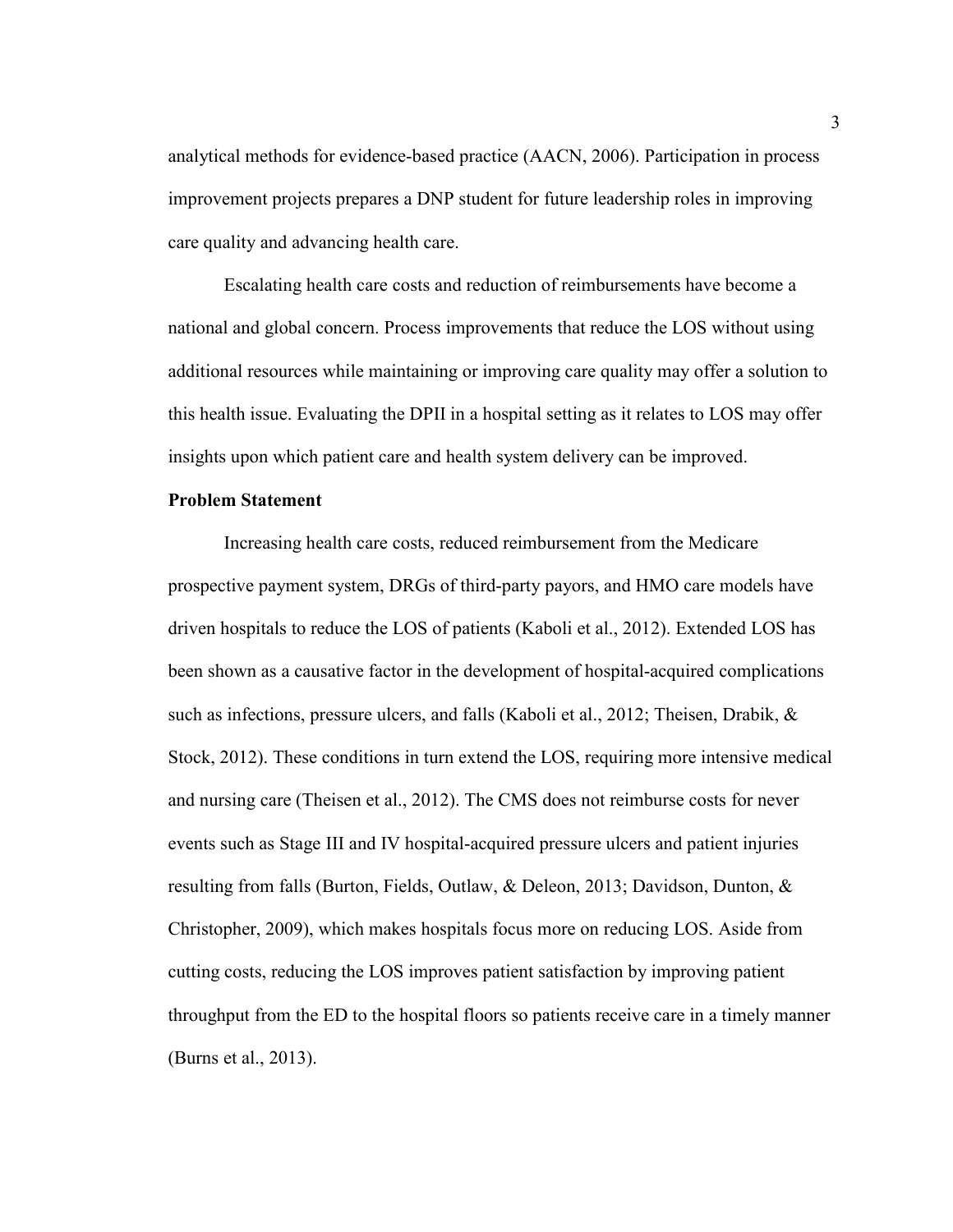analytical methods for evidence-based practice (AACN, 2006). Participation in process improvement projects prepares a DNP student for future leadership roles in improving care quality and advancing health care.

Escalating health care costs and reduction of reimbursements have become a national and global concern. Process improvements that reduce the LOS without using additional resources while maintaining or improving care quality may offer a solution to this health issue. Evaluating the DPII in a hospital setting as it relates to LOS may offer insights upon which patient care and health system delivery can be improved.

### **Problem Statement**

Increasing health care costs, reduced reimbursement from the Medicare prospective payment system, DRGs of third-party payors, and HMO care models have driven hospitals to reduce the LOS of patients (Kaboli et al., 2012). Extended LOS has been shown as a causative factor in the development of hospital-acquired complications such as infections, pressure ulcers, and falls (Kaboli et al., 2012; Theisen, Drabik, & Stock, 2012). These conditions in turn extend the LOS, requiring more intensive medical and nursing care (Theisen et al., 2012). The CMS does not reimburse costs for never events such as Stage III and IV hospital-acquired pressure ulcers and patient injuries resulting from falls (Burton, Fields, Outlaw, & Deleon, 2013; Davidson, Dunton, & Christopher, 2009), which makes hospitals focus more on reducing LOS. Aside from cutting costs, reducing the LOS improves patient satisfaction by improving patient throughput from the ED to the hospital floors so patients receive care in a timely manner (Burns et al., 2013).

3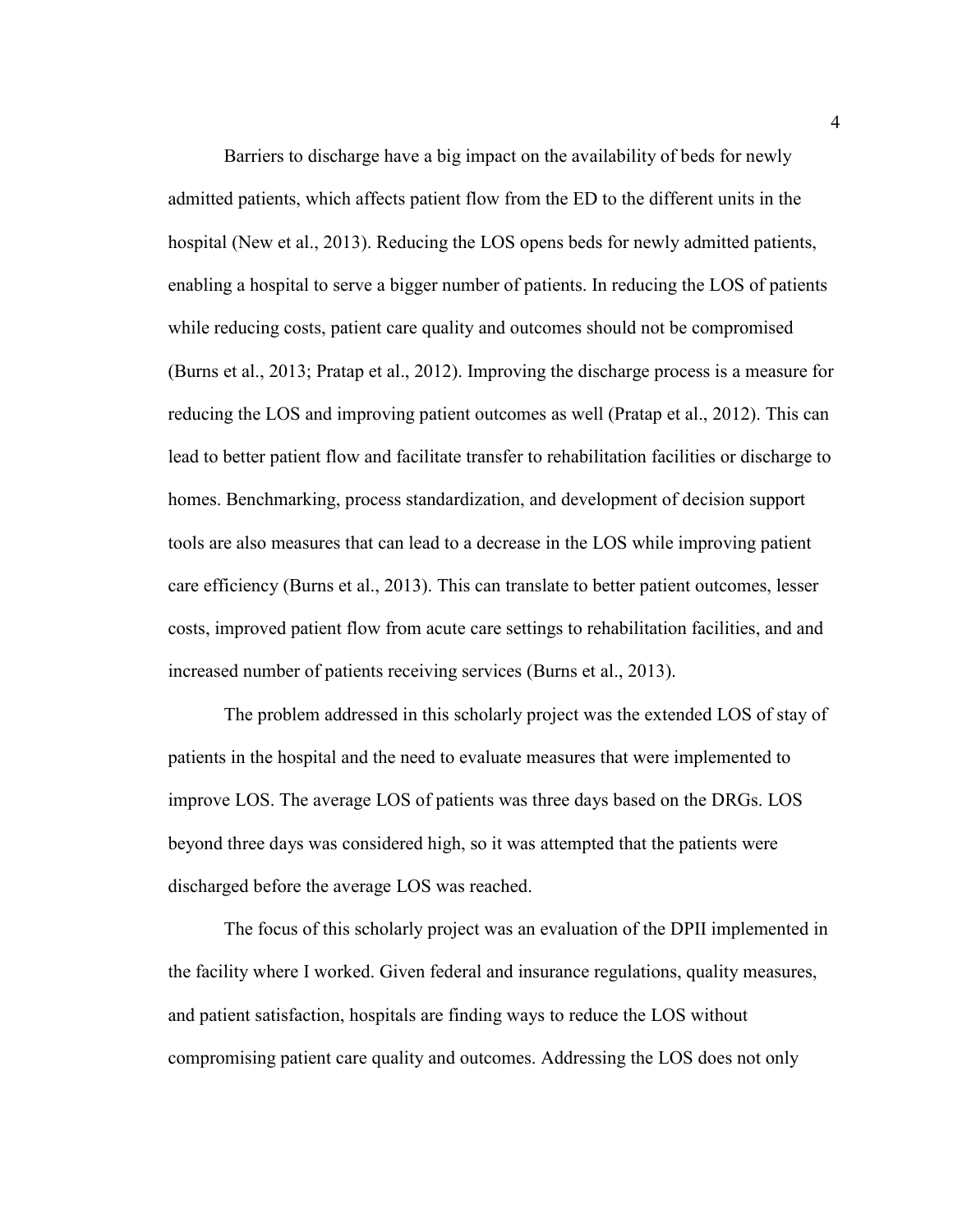Barriers to discharge have a big impact on the availability of beds for newly admitted patients, which affects patient flow from the ED to the different units in the hospital (New et al., 2013). Reducing the LOS opens beds for newly admitted patients, enabling a hospital to serve a bigger number of patients. In reducing the LOS of patients while reducing costs, patient care quality and outcomes should not be compromised (Burns et al., 2013; Pratap et al., 2012). Improving the discharge process is a measure for reducing the LOS and improving patient outcomes as well (Pratap et al., 2012). This can lead to better patient flow and facilitate transfer to rehabilitation facilities or discharge to homes. Benchmarking, process standardization, and development of decision support tools are also measures that can lead to a decrease in the LOS while improving patient care efficiency (Burns et al., 2013). This can translate to better patient outcomes, lesser costs, improved patient flow from acute care settings to rehabilitation facilities, and and increased number of patients receiving services (Burns et al., 2013).

The problem addressed in this scholarly project was the extended LOS of stay of patients in the hospital and the need to evaluate measures that were implemented to improve LOS. The average LOS of patients was three days based on the DRGs. LOS beyond three days was considered high, so it was attempted that the patients were discharged before the average LOS was reached.

The focus of this scholarly project was an evaluation of the DPII implemented in the facility where I worked. Given federal and insurance regulations, quality measures, and patient satisfaction, hospitals are finding ways to reduce the LOS without compromising patient care quality and outcomes. Addressing the LOS does not only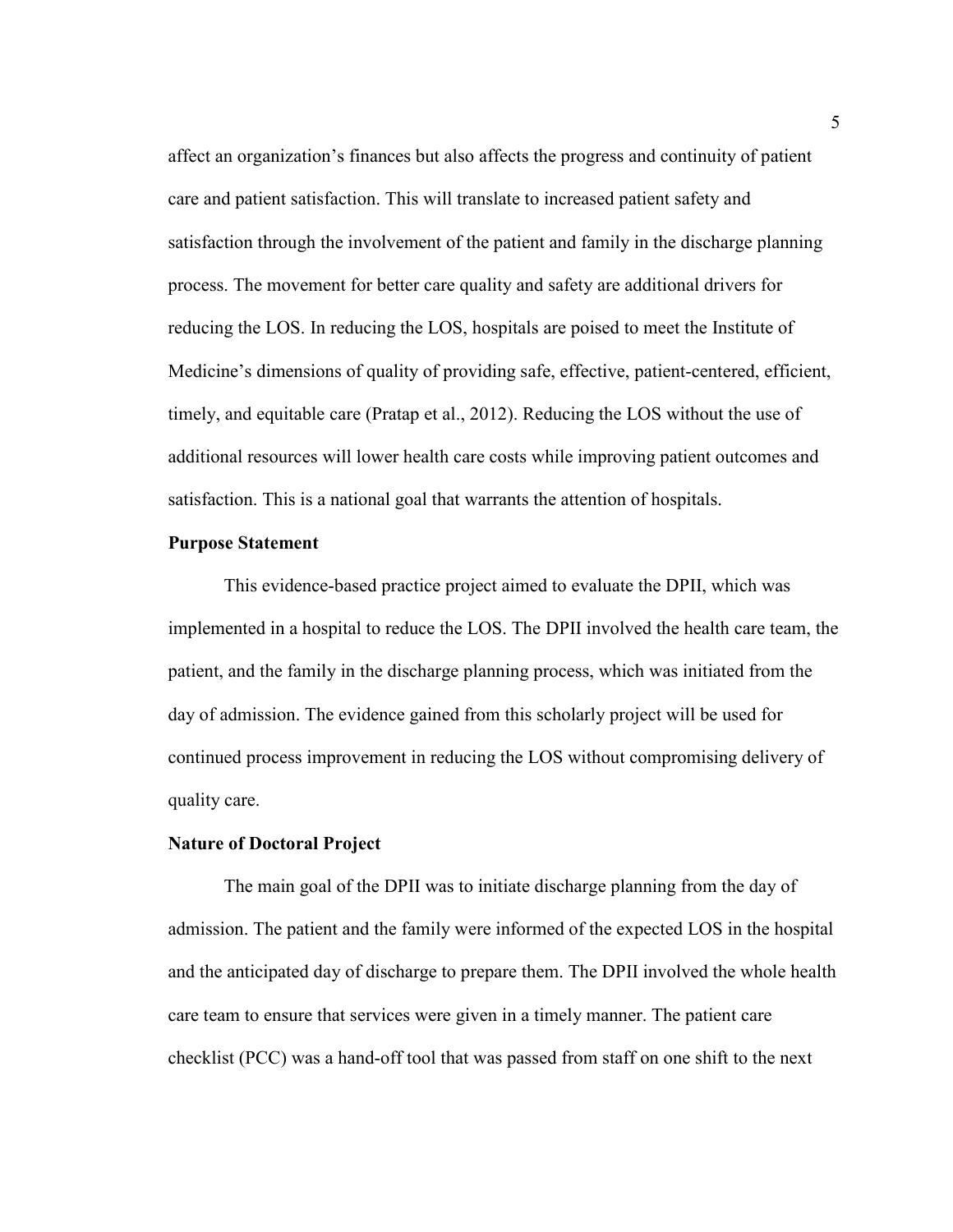affect an organization's finances but also affects the progress and continuity of patient care and patient satisfaction. This will translate to increased patient safety and satisfaction through the involvement of the patient and family in the discharge planning process. The movement for better care quality and safety are additional drivers for reducing the LOS. In reducing the LOS, hospitals are poised to meet the Institute of Medicine's dimensions of quality of providing safe, effective, patient-centered, efficient, timely, and equitable care (Pratap et al., 2012). Reducing the LOS without the use of additional resources will lower health care costs while improving patient outcomes and satisfaction. This is a national goal that warrants the attention of hospitals.

# **Purpose Statement**

This evidence-based practice project aimed to evaluate the DPII, which was implemented in a hospital to reduce the LOS. The DPII involved the health care team, the patient, and the family in the discharge planning process, which was initiated from the day of admission. The evidence gained from this scholarly project will be used for continued process improvement in reducing the LOS without compromising delivery of quality care.

# **Nature of Doctoral Project**

The main goal of the DPII was to initiate discharge planning from the day of admission. The patient and the family were informed of the expected LOS in the hospital and the anticipated day of discharge to prepare them. The DPII involved the whole health care team to ensure that services were given in a timely manner. The patient care checklist (PCC) was a hand-off tool that was passed from staff on one shift to the next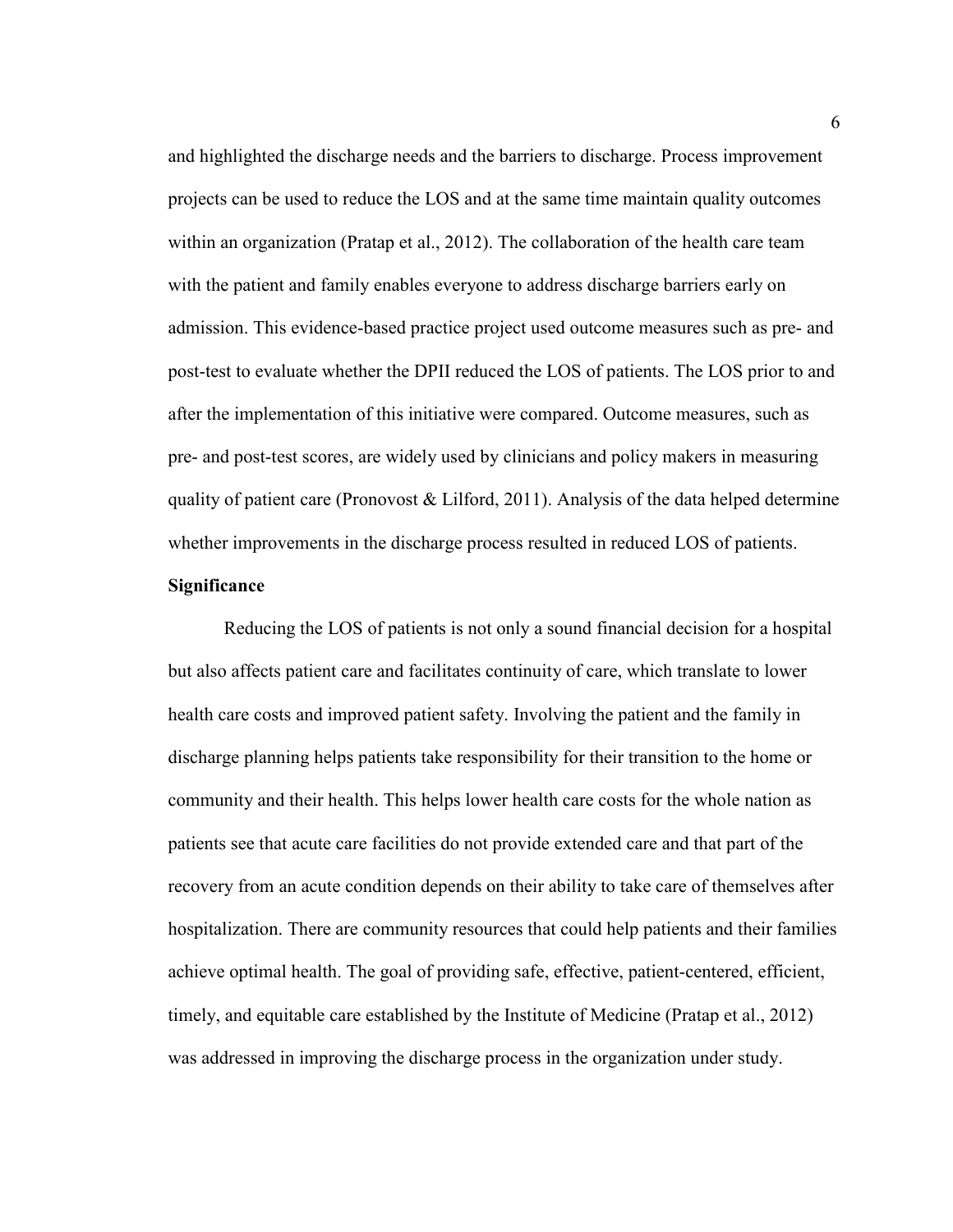and highlighted the discharge needs and the barriers to discharge. Process improvement projects can be used to reduce the LOS and at the same time maintain quality outcomes within an organization (Pratap et al., 2012). The collaboration of the health care team with the patient and family enables everyone to address discharge barriers early on admission. This evidence-based practice project used outcome measures such as pre- and post-test to evaluate whether the DPII reduced the LOS of patients. The LOS prior to and after the implementation of this initiative were compared. Outcome measures, such as pre- and post-test scores, are widely used by clinicians and policy makers in measuring quality of patient care (Pronovost & Lilford, 2011). Analysis of the data helped determine whether improvements in the discharge process resulted in reduced LOS of patients.

# **Significance**

Reducing the LOS of patients is not only a sound financial decision for a hospital but also affects patient care and facilitates continuity of care, which translate to lower health care costs and improved patient safety. Involving the patient and the family in discharge planning helps patients take responsibility for their transition to the home or community and their health. This helps lower health care costs for the whole nation as patients see that acute care facilities do not provide extended care and that part of the recovery from an acute condition depends on their ability to take care of themselves after hospitalization. There are community resources that could help patients and their families achieve optimal health. The goal of providing safe, effective, patient-centered, efficient, timely, and equitable care established by the Institute of Medicine (Pratap et al., 2012) was addressed in improving the discharge process in the organization under study.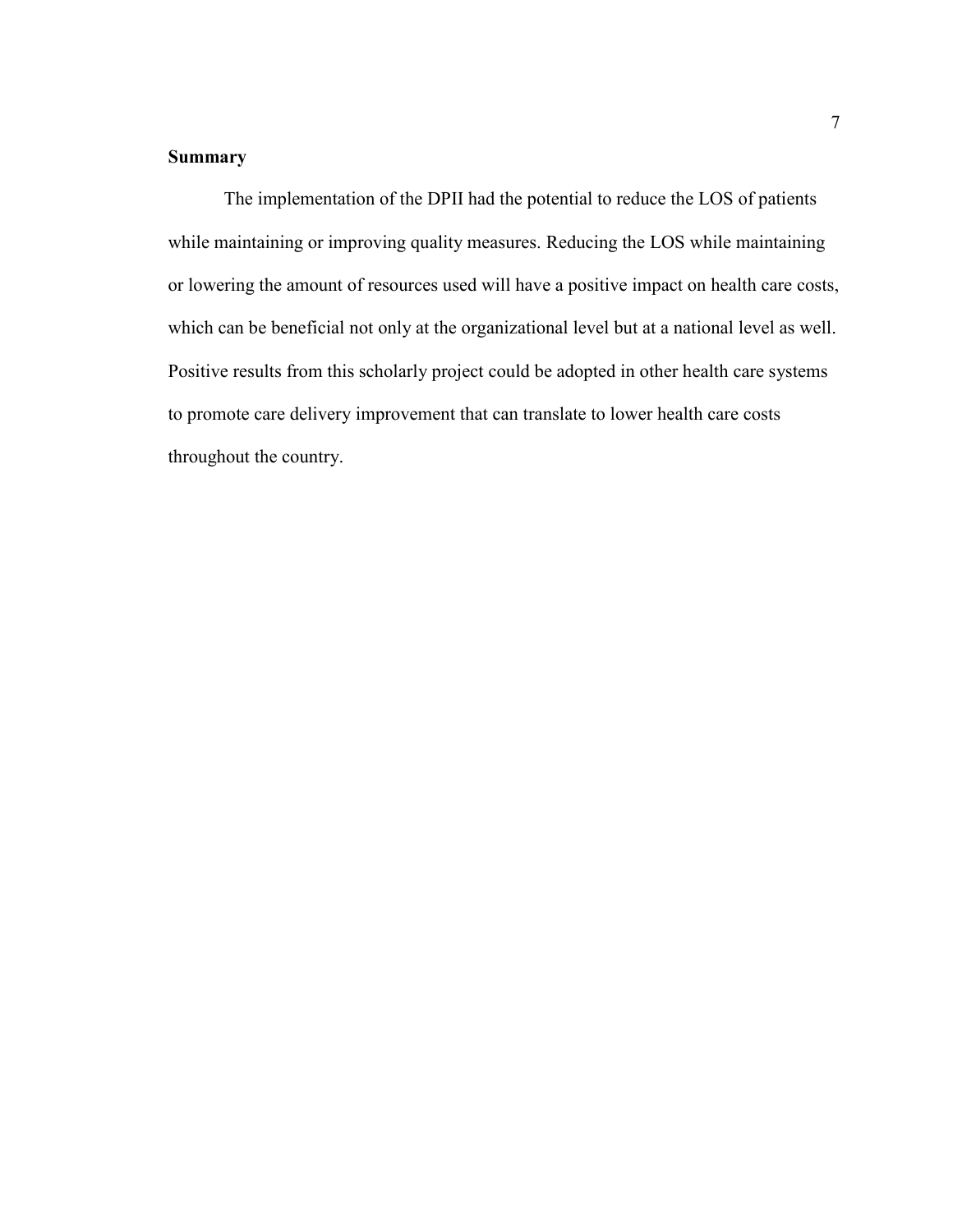# **Summary**

The implementation of the DPII had the potential to reduce the LOS of patients while maintaining or improving quality measures. Reducing the LOS while maintaining or lowering the amount of resources used will have a positive impact on health care costs, which can be beneficial not only at the organizational level but at a national level as well. Positive results from this scholarly project could be adopted in other health care systems to promote care delivery improvement that can translate to lower health care costs throughout the country.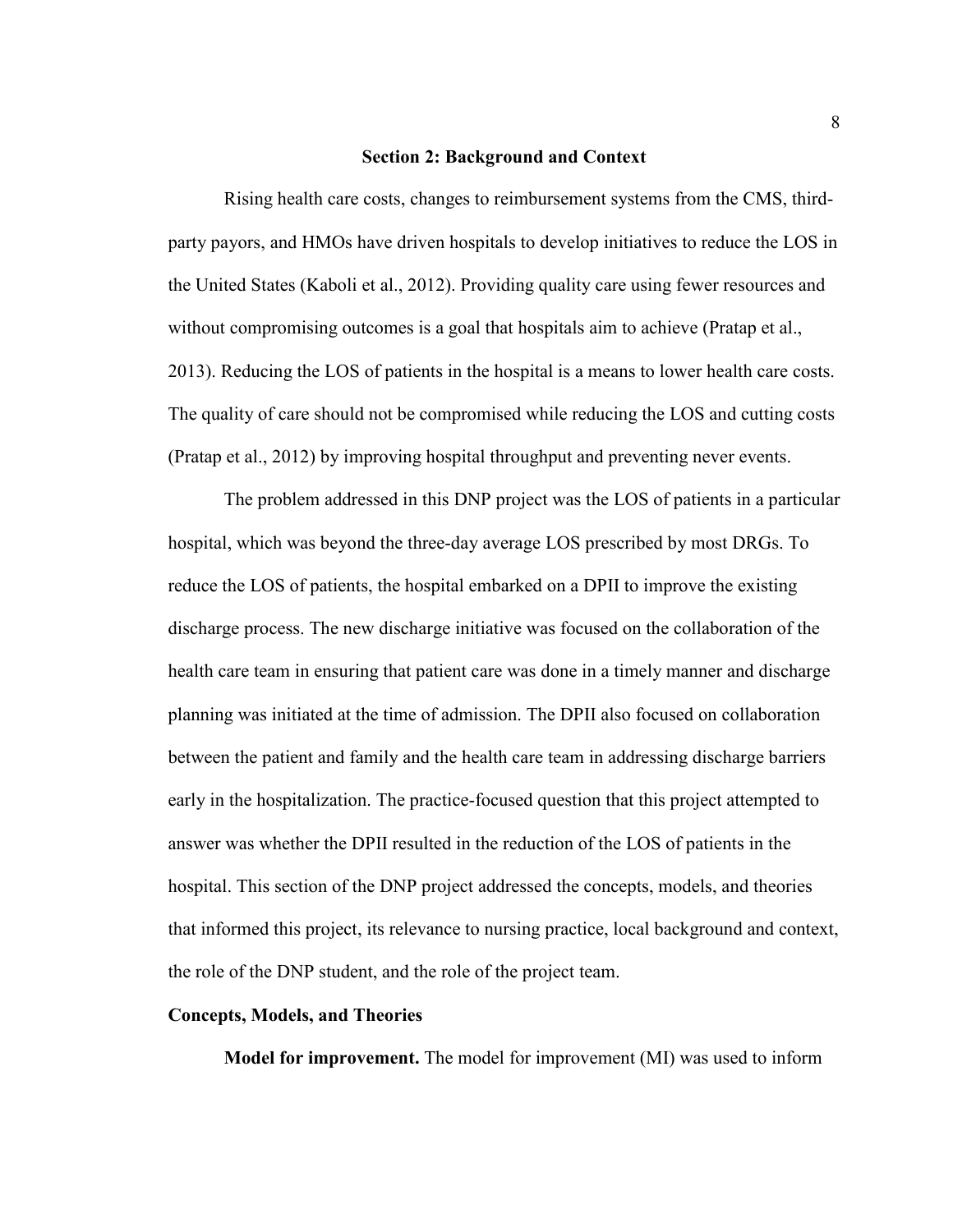### **Section 2: Background and Context**

Rising health care costs, changes to reimbursement systems from the CMS, thirdparty payors, and HMOs have driven hospitals to develop initiatives to reduce the LOS in the United States (Kaboli et al., 2012). Providing quality care using fewer resources and without compromising outcomes is a goal that hospitals aim to achieve (Pratap et al., 2013). Reducing the LOS of patients in the hospital is a means to lower health care costs. The quality of care should not be compromised while reducing the LOS and cutting costs (Pratap et al., 2012) by improving hospital throughput and preventing never events.

The problem addressed in this DNP project was the LOS of patients in a particular hospital, which was beyond the three-day average LOS prescribed by most DRGs. To reduce the LOS of patients, the hospital embarked on a DPII to improve the existing discharge process. The new discharge initiative was focused on the collaboration of the health care team in ensuring that patient care was done in a timely manner and discharge planning was initiated at the time of admission. The DPII also focused on collaboration between the patient and family and the health care team in addressing discharge barriers early in the hospitalization. The practice-focused question that this project attempted to answer was whether the DPII resulted in the reduction of the LOS of patients in the hospital. This section of the DNP project addressed the concepts, models, and theories that informed this project, its relevance to nursing practice, local background and context, the role of the DNP student, and the role of the project team.

### **Concepts, Models, and Theories**

**Model for improvement.** The model for improvement (MI) was used to inform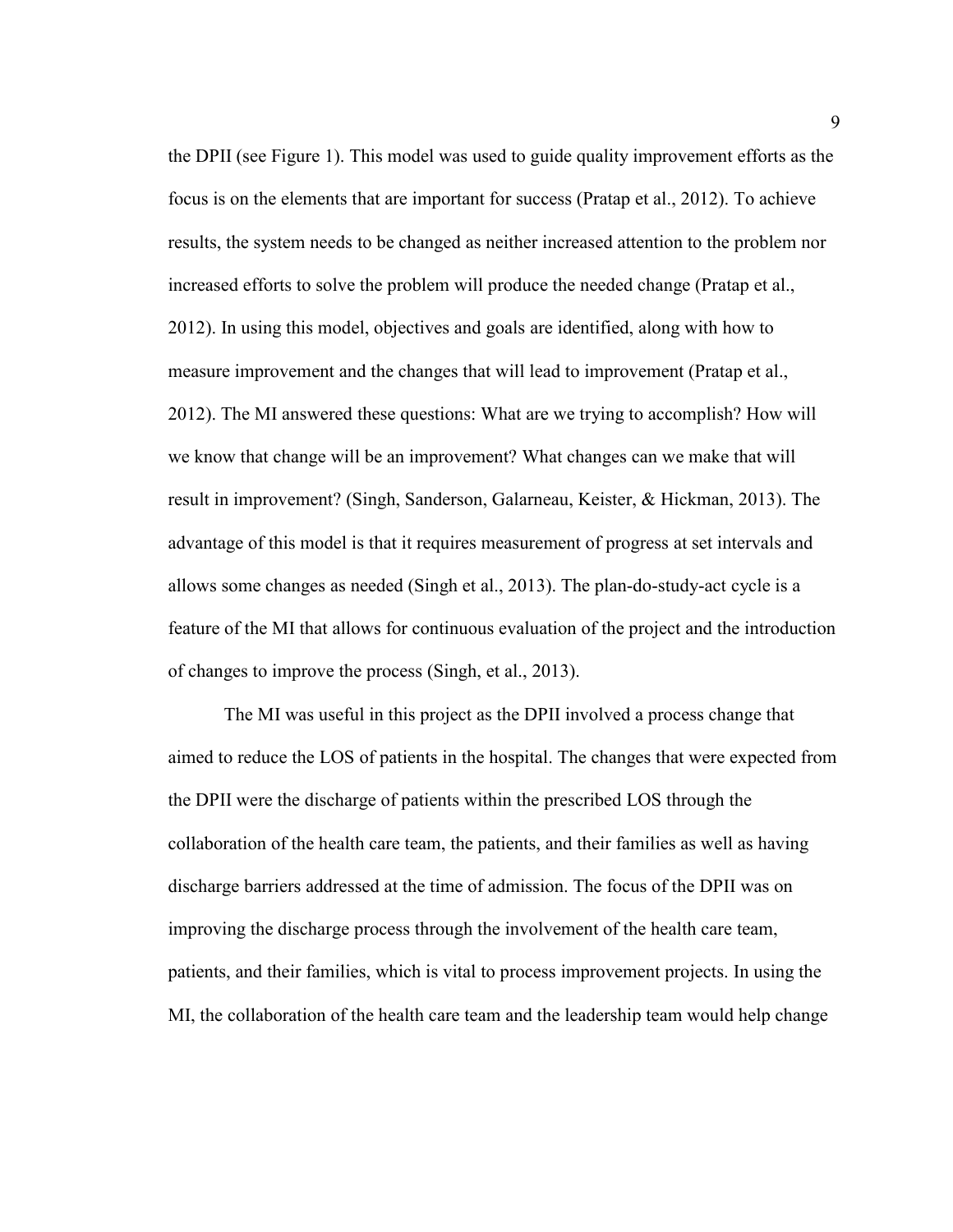the DPII (see Figure 1). This model was used to guide quality improvement efforts as the focus is on the elements that are important for success (Pratap et al., 2012). To achieve results, the system needs to be changed as neither increased attention to the problem nor increased efforts to solve the problem will produce the needed change (Pratap et al., 2012). In using this model, objectives and goals are identified, along with how to measure improvement and the changes that will lead to improvement (Pratap et al., 2012). The MI answered these questions: What are we trying to accomplish? How will we know that change will be an improvement? What changes can we make that will result in improvement? (Singh, Sanderson, Galarneau, Keister, & Hickman, 2013). The advantage of this model is that it requires measurement of progress at set intervals and allows some changes as needed (Singh et al., 2013). The plan-do-study-act cycle is a feature of the MI that allows for continuous evaluation of the project and the introduction of changes to improve the process (Singh, et al., 2013).

The MI was useful in this project as the DPII involved a process change that aimed to reduce the LOS of patients in the hospital. The changes that were expected from the DPII were the discharge of patients within the prescribed LOS through the collaboration of the health care team, the patients, and their families as well as having discharge barriers addressed at the time of admission. The focus of the DPII was on improving the discharge process through the involvement of the health care team, patients, and their families, which is vital to process improvement projects. In using the MI, the collaboration of the health care team and the leadership team would help change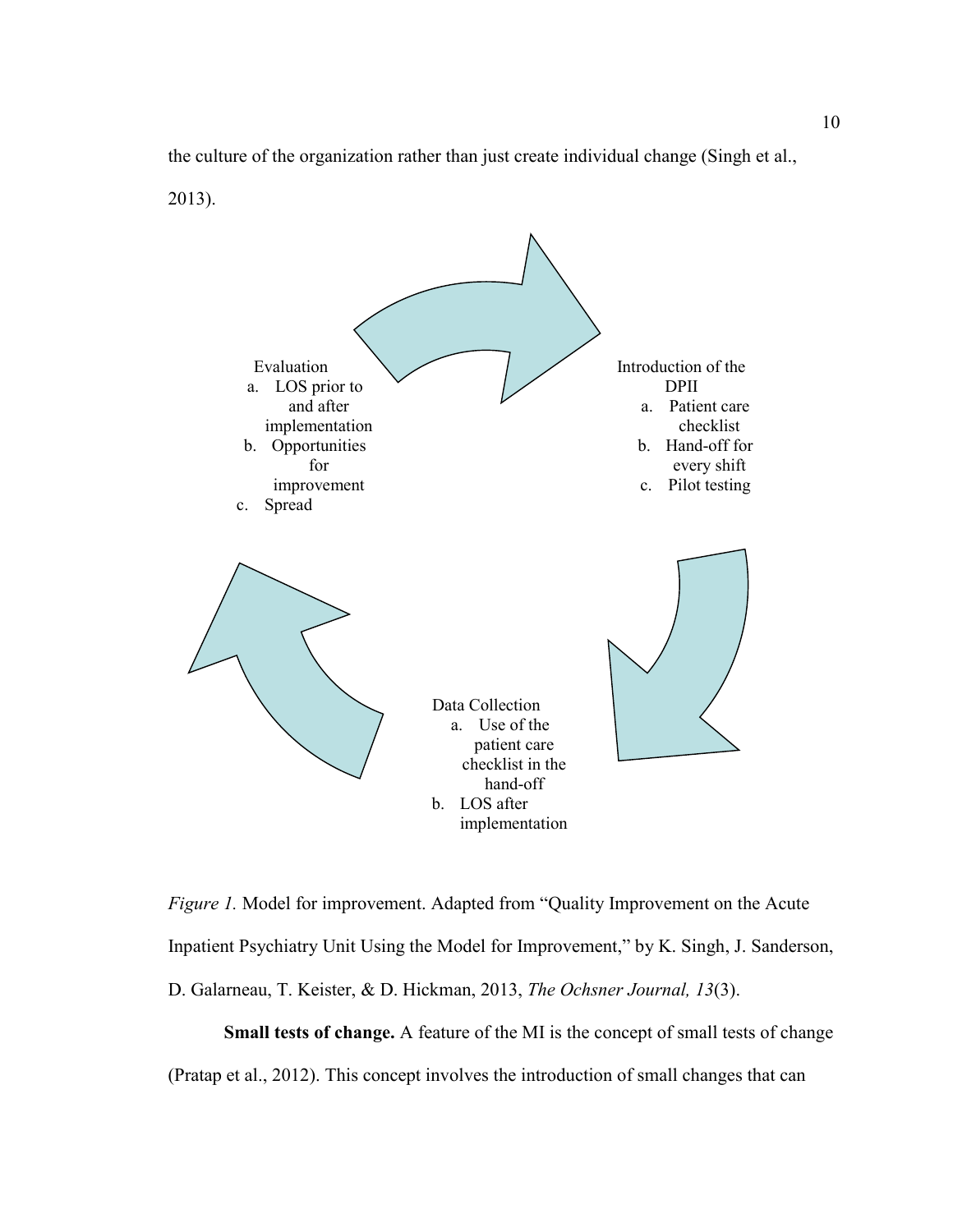the culture of the organization rather than just create individual change (Singh et al.,

2013).



*Figure 1.* Model for improvement. Adapted from "Quality Improvement on the Acute Inpatient Psychiatry Unit Using the Model for Improvement," by K. Singh, J. Sanderson, D. Galarneau, T. Keister, & D. Hickman, 2013, *The Ochsner Journal, 13*(3).

**Small tests of change.** A feature of the MI is the concept of small tests of change (Pratap et al., 2012). This concept involves the introduction of small changes that can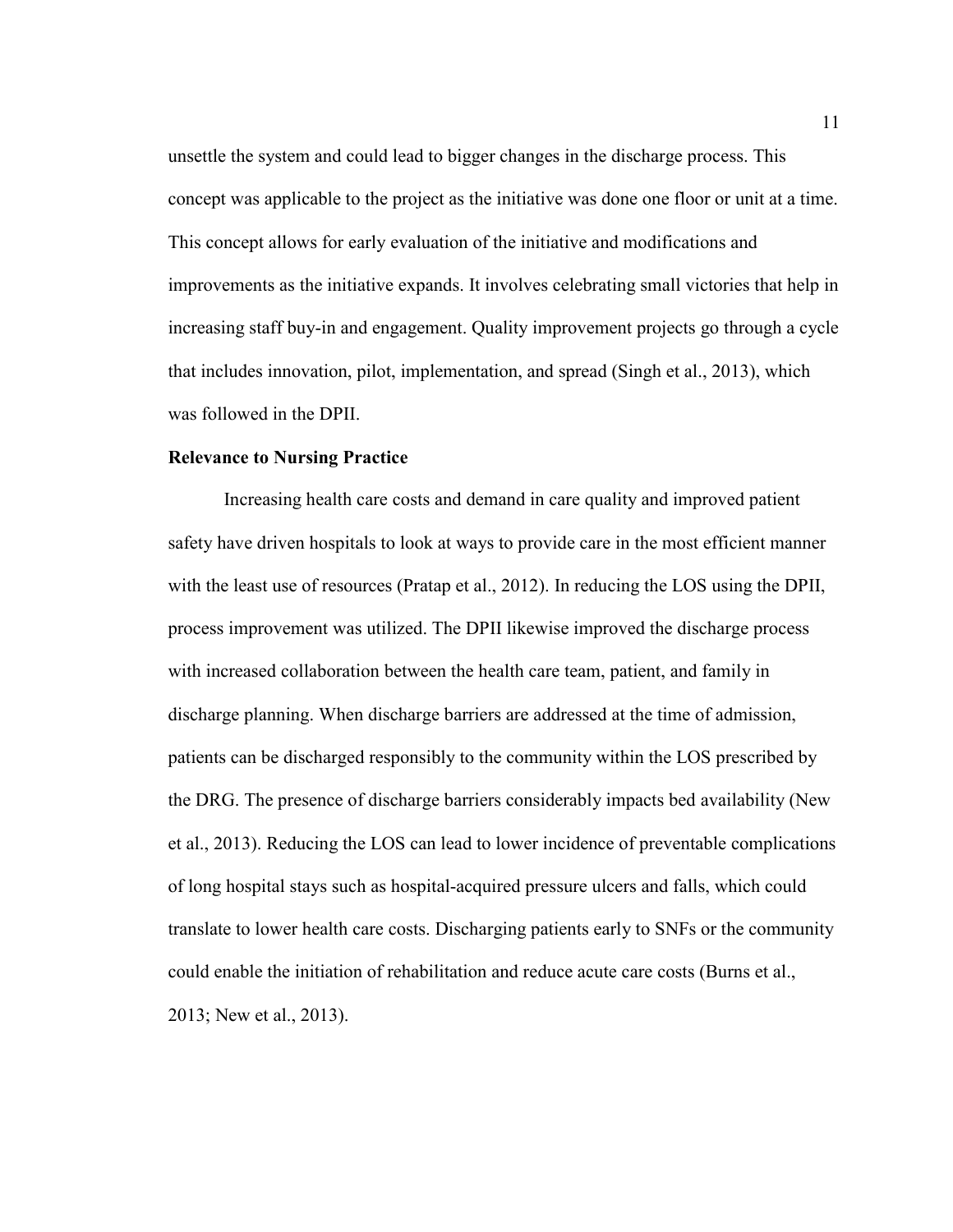unsettle the system and could lead to bigger changes in the discharge process. This concept was applicable to the project as the initiative was done one floor or unit at a time. This concept allows for early evaluation of the initiative and modifications and improvements as the initiative expands. It involves celebrating small victories that help in increasing staff buy-in and engagement. Quality improvement projects go through a cycle that includes innovation, pilot, implementation, and spread (Singh et al., 2013), which was followed in the DPII.

# **Relevance to Nursing Practice**

Increasing health care costs and demand in care quality and improved patient safety have driven hospitals to look at ways to provide care in the most efficient manner with the least use of resources (Pratap et al., 2012). In reducing the LOS using the DPII, process improvement was utilized. The DPII likewise improved the discharge process with increased collaboration between the health care team, patient, and family in discharge planning. When discharge barriers are addressed at the time of admission, patients can be discharged responsibly to the community within the LOS prescribed by the DRG. The presence of discharge barriers considerably impacts bed availability (New et al., 2013). Reducing the LOS can lead to lower incidence of preventable complications of long hospital stays such as hospital-acquired pressure ulcers and falls, which could translate to lower health care costs. Discharging patients early to SNFs or the community could enable the initiation of rehabilitation and reduce acute care costs (Burns et al., 2013; New et al., 2013).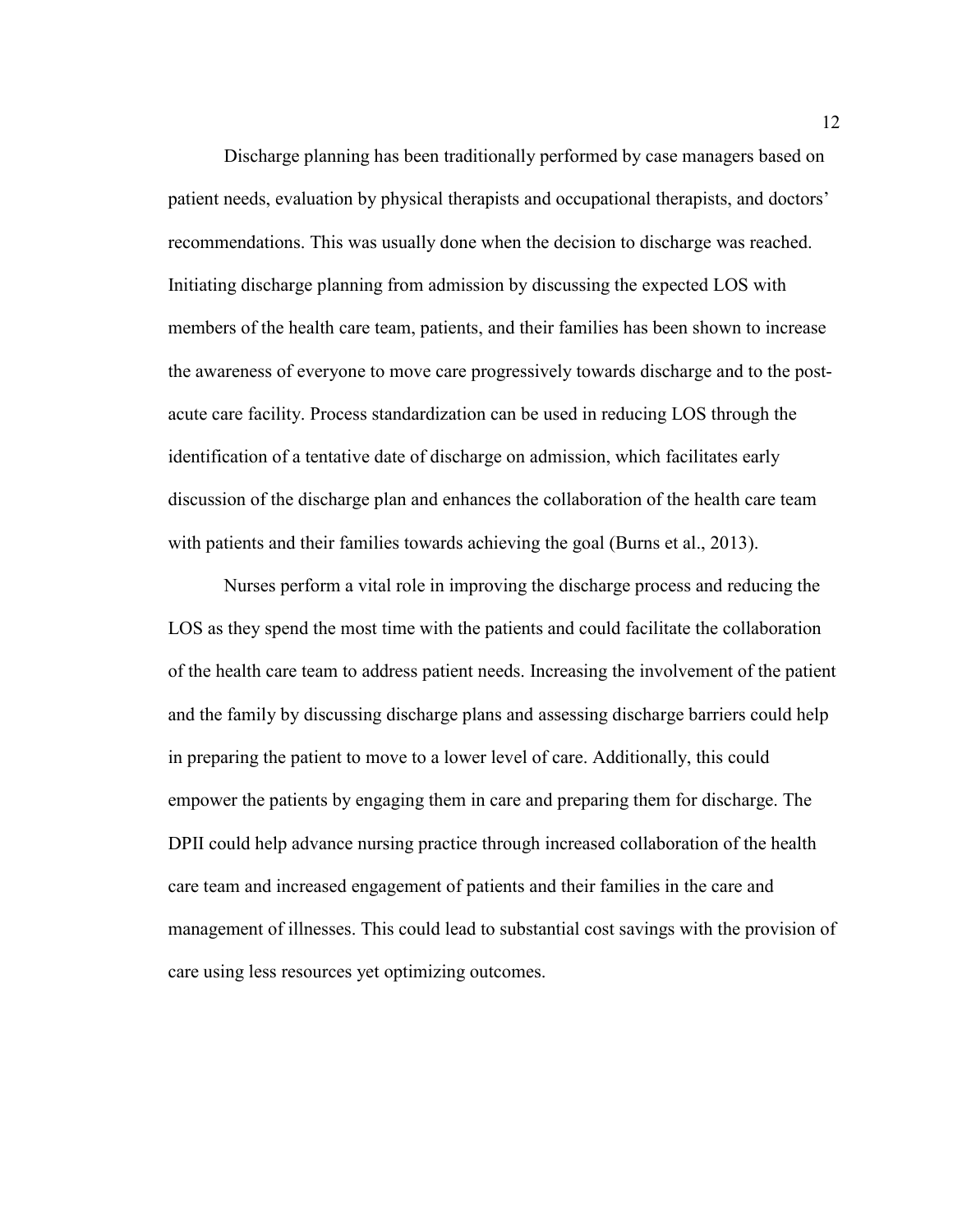Discharge planning has been traditionally performed by case managers based on patient needs, evaluation by physical therapists and occupational therapists, and doctors' recommendations. This was usually done when the decision to discharge was reached. Initiating discharge planning from admission by discussing the expected LOS with members of the health care team, patients, and their families has been shown to increase the awareness of everyone to move care progressively towards discharge and to the postacute care facility. Process standardization can be used in reducing LOS through the identification of a tentative date of discharge on admission, which facilitates early discussion of the discharge plan and enhances the collaboration of the health care team with patients and their families towards achieving the goal (Burns et al., 2013).

Nurses perform a vital role in improving the discharge process and reducing the LOS as they spend the most time with the patients and could facilitate the collaboration of the health care team to address patient needs. Increasing the involvement of the patient and the family by discussing discharge plans and assessing discharge barriers could help in preparing the patient to move to a lower level of care. Additionally, this could empower the patients by engaging them in care and preparing them for discharge. The DPII could help advance nursing practice through increased collaboration of the health care team and increased engagement of patients and their families in the care and management of illnesses. This could lead to substantial cost savings with the provision of care using less resources yet optimizing outcomes.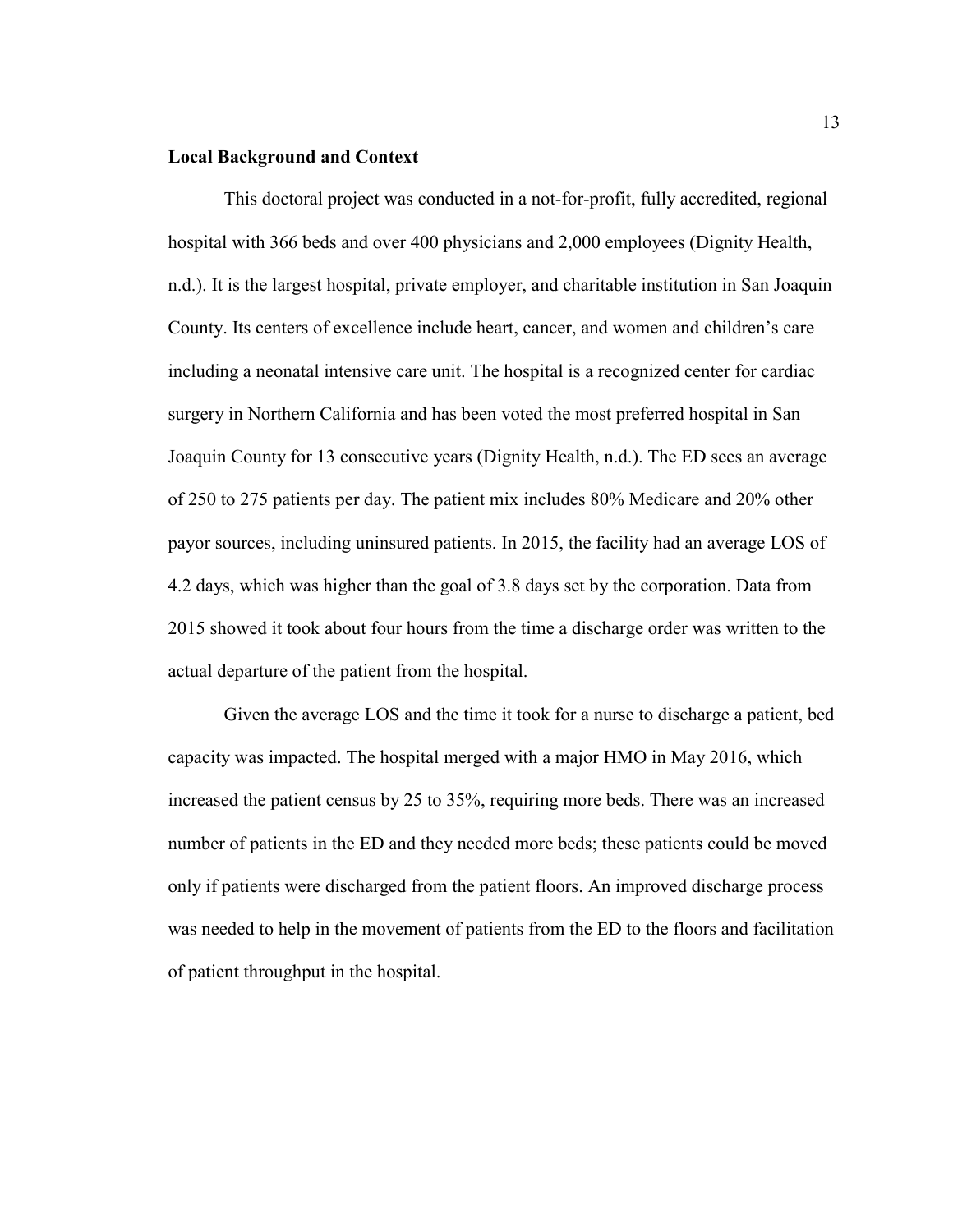# **Local Background and Context**

This doctoral project was conducted in a not-for-profit, fully accredited, regional hospital with 366 beds and over 400 physicians and 2,000 employees (Dignity Health, n.d.). It is the largest hospital, private employer, and charitable institution in San Joaquin County. Its centers of excellence include heart, cancer, and women and children's care including a neonatal intensive care unit. The hospital is a recognized center for cardiac surgery in Northern California and has been voted the most preferred hospital in San Joaquin County for 13 consecutive years (Dignity Health, n.d.). The ED sees an average of 250 to 275 patients per day. The patient mix includes 80% Medicare and 20% other payor sources, including uninsured patients. In 2015, the facility had an average LOS of 4.2 days, which was higher than the goal of 3.8 days set by the corporation. Data from 2015 showed it took about four hours from the time a discharge order was written to the actual departure of the patient from the hospital.

Given the average LOS and the time it took for a nurse to discharge a patient, bed capacity was impacted. The hospital merged with a major HMO in May 2016, which increased the patient census by 25 to 35%, requiring more beds. There was an increased number of patients in the ED and they needed more beds; these patients could be moved only if patients were discharged from the patient floors. An improved discharge process was needed to help in the movement of patients from the ED to the floors and facilitation of patient throughput in the hospital.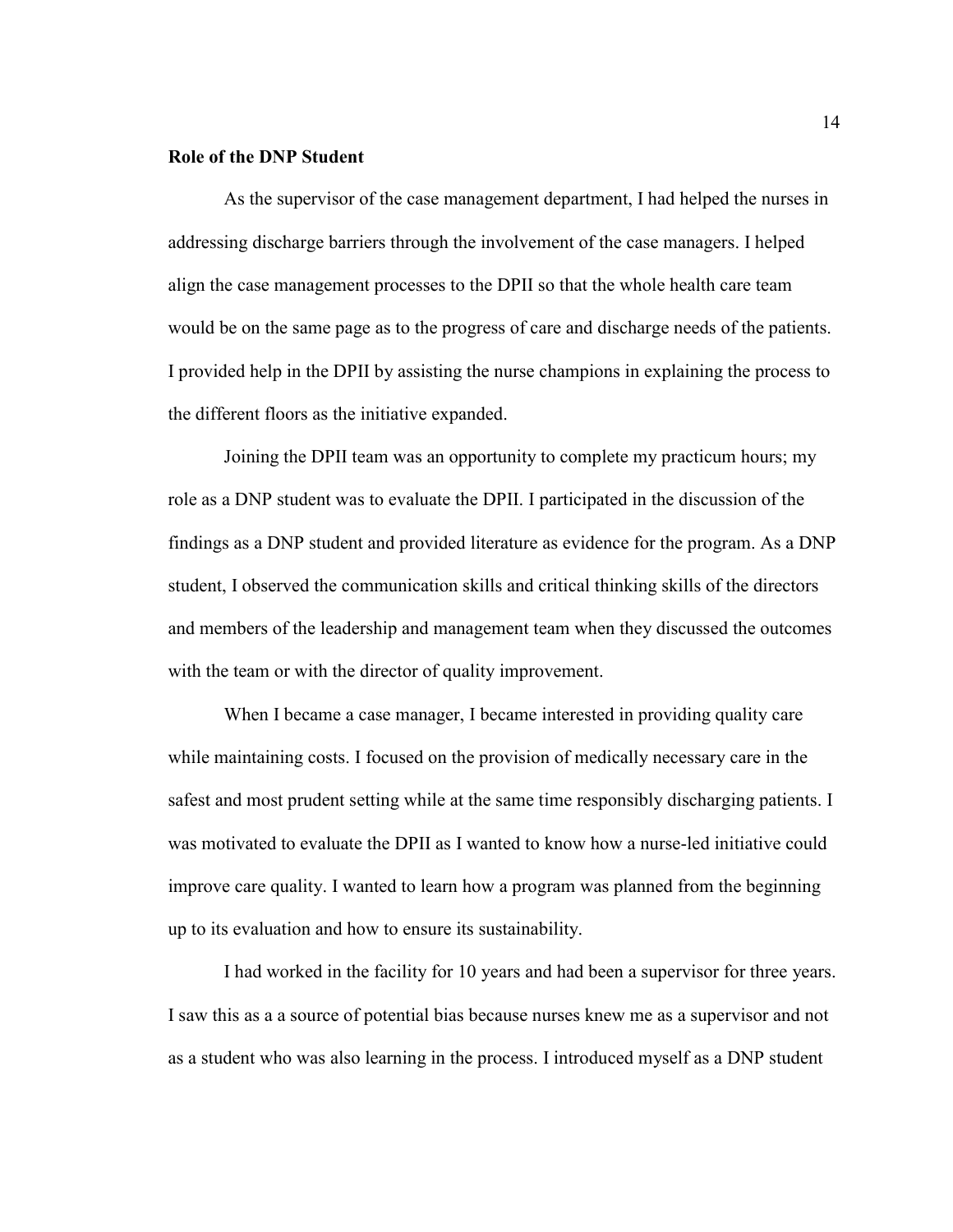### **Role of the DNP Student**

As the supervisor of the case management department, I had helped the nurses in addressing discharge barriers through the involvement of the case managers. I helped align the case management processes to the DPII so that the whole health care team would be on the same page as to the progress of care and discharge needs of the patients. I provided help in the DPII by assisting the nurse champions in explaining the process to the different floors as the initiative expanded.

Joining the DPII team was an opportunity to complete my practicum hours; my role as a DNP student was to evaluate the DPII. I participated in the discussion of the findings as a DNP student and provided literature as evidence for the program. As a DNP student, I observed the communication skills and critical thinking skills of the directors and members of the leadership and management team when they discussed the outcomes with the team or with the director of quality improvement.

When I became a case manager, I became interested in providing quality care while maintaining costs. I focused on the provision of medically necessary care in the safest and most prudent setting while at the same time responsibly discharging patients. I was motivated to evaluate the DPII as I wanted to know how a nurse-led initiative could improve care quality. I wanted to learn how a program was planned from the beginning up to its evaluation and how to ensure its sustainability.

I had worked in the facility for 10 years and had been a supervisor for three years. I saw this as a a source of potential bias because nurses knew me as a supervisor and not as a student who was also learning in the process. I introduced myself as a DNP student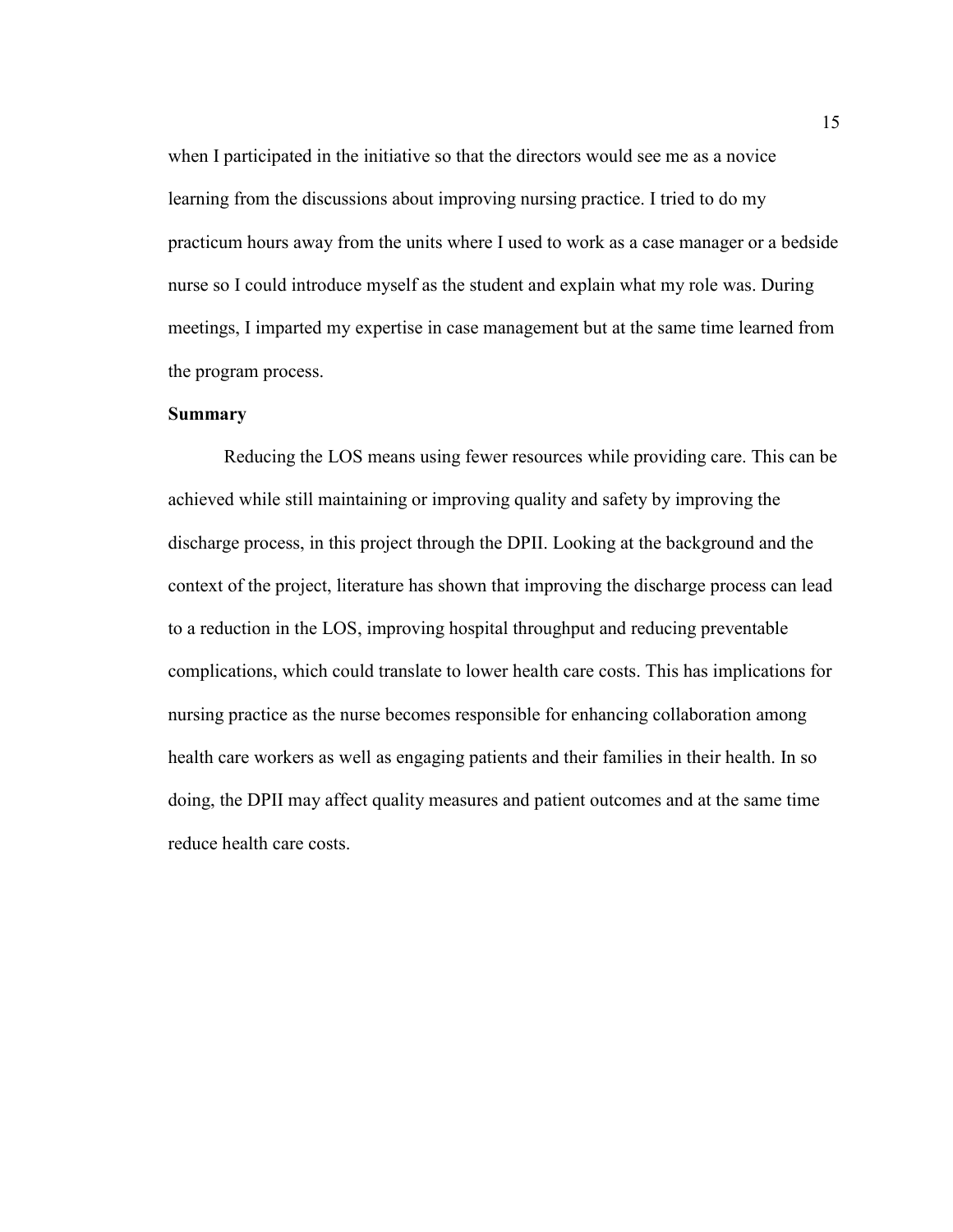when I participated in the initiative so that the directors would see me as a novice learning from the discussions about improving nursing practice. I tried to do my practicum hours away from the units where I used to work as a case manager or a bedside nurse so I could introduce myself as the student and explain what my role was. During meetings, I imparted my expertise in case management but at the same time learned from the program process.

# **Summary**

Reducing the LOS means using fewer resources while providing care. This can be achieved while still maintaining or improving quality and safety by improving the discharge process, in this project through the DPII. Looking at the background and the context of the project, literature has shown that improving the discharge process can lead to a reduction in the LOS, improving hospital throughput and reducing preventable complications, which could translate to lower health care costs. This has implications for nursing practice as the nurse becomes responsible for enhancing collaboration among health care workers as well as engaging patients and their families in their health. In so doing, the DPII may affect quality measures and patient outcomes and at the same time reduce health care costs.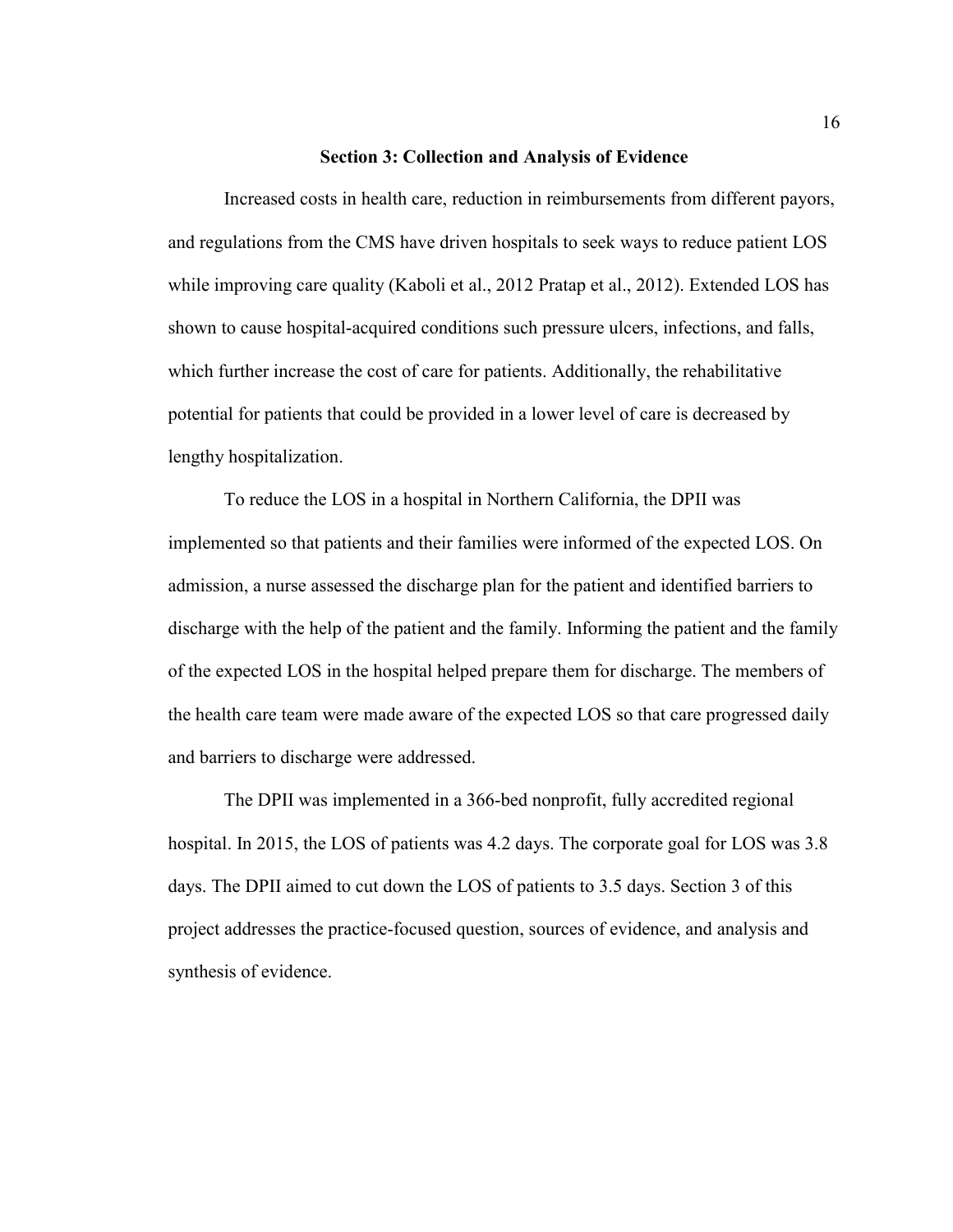#### **Section 3: Collection and Analysis of Evidence**

Increased costs in health care, reduction in reimbursements from different payors, and regulations from the CMS have driven hospitals to seek ways to reduce patient LOS while improving care quality (Kaboli et al., 2012 Pratap et al., 2012). Extended LOS has shown to cause hospital-acquired conditions such pressure ulcers, infections, and falls, which further increase the cost of care for patients. Additionally, the rehabilitative potential for patients that could be provided in a lower level of care is decreased by lengthy hospitalization.

To reduce the LOS in a hospital in Northern California, the DPII was implemented so that patients and their families were informed of the expected LOS. On admission, a nurse assessed the discharge plan for the patient and identified barriers to discharge with the help of the patient and the family. Informing the patient and the family of the expected LOS in the hospital helped prepare them for discharge. The members of the health care team were made aware of the expected LOS so that care progressed daily and barriers to discharge were addressed.

The DPII was implemented in a 366-bed nonprofit, fully accredited regional hospital. In 2015, the LOS of patients was 4.2 days. The corporate goal for LOS was 3.8 days. The DPII aimed to cut down the LOS of patients to 3.5 days. Section 3 of this project addresses the practice-focused question, sources of evidence, and analysis and synthesis of evidence.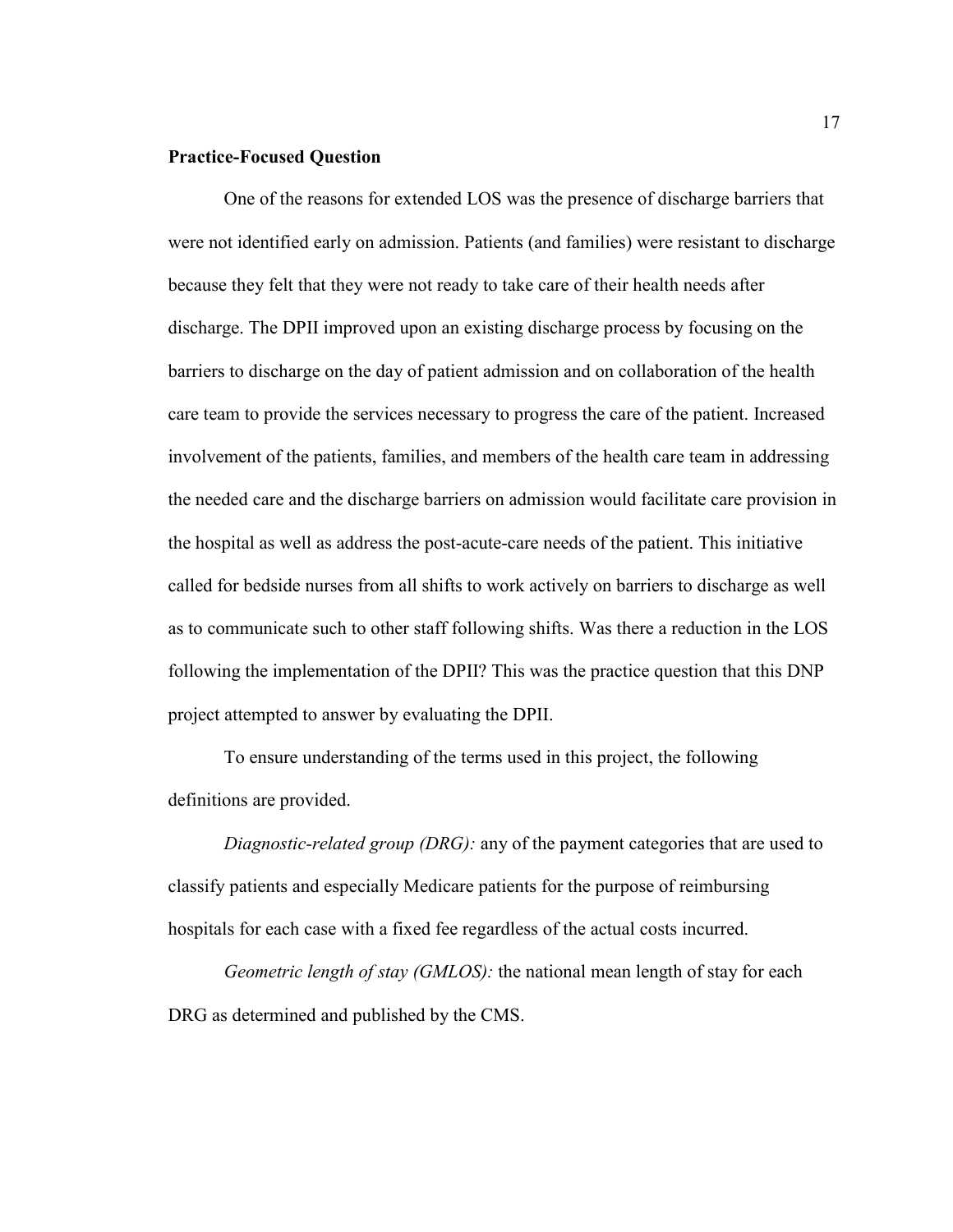# **Practice-Focused Question**

One of the reasons for extended LOS was the presence of discharge barriers that were not identified early on admission. Patients (and families) were resistant to discharge because they felt that they were not ready to take care of their health needs after discharge. The DPII improved upon an existing discharge process by focusing on the barriers to discharge on the day of patient admission and on collaboration of the health care team to provide the services necessary to progress the care of the patient. Increased involvement of the patients, families, and members of the health care team in addressing the needed care and the discharge barriers on admission would facilitate care provision in the hospital as well as address the post-acute-care needs of the patient. This initiative called for bedside nurses from all shifts to work actively on barriers to discharge as well as to communicate such to other staff following shifts. Was there a reduction in the LOS following the implementation of the DPII? This was the practice question that this DNP project attempted to answer by evaluating the DPII.

To ensure understanding of the terms used in this project, the following definitions are provided.

*Diagnostic-related group (DRG):* any of the payment categories that are used to classify patients and especially Medicare patients for the purpose of reimbursing hospitals for each case with a fixed fee regardless of the actual costs incurred.

*Geometric length of stay (GMLOS):* the national mean length of stay for each DRG as determined and published by the CMS.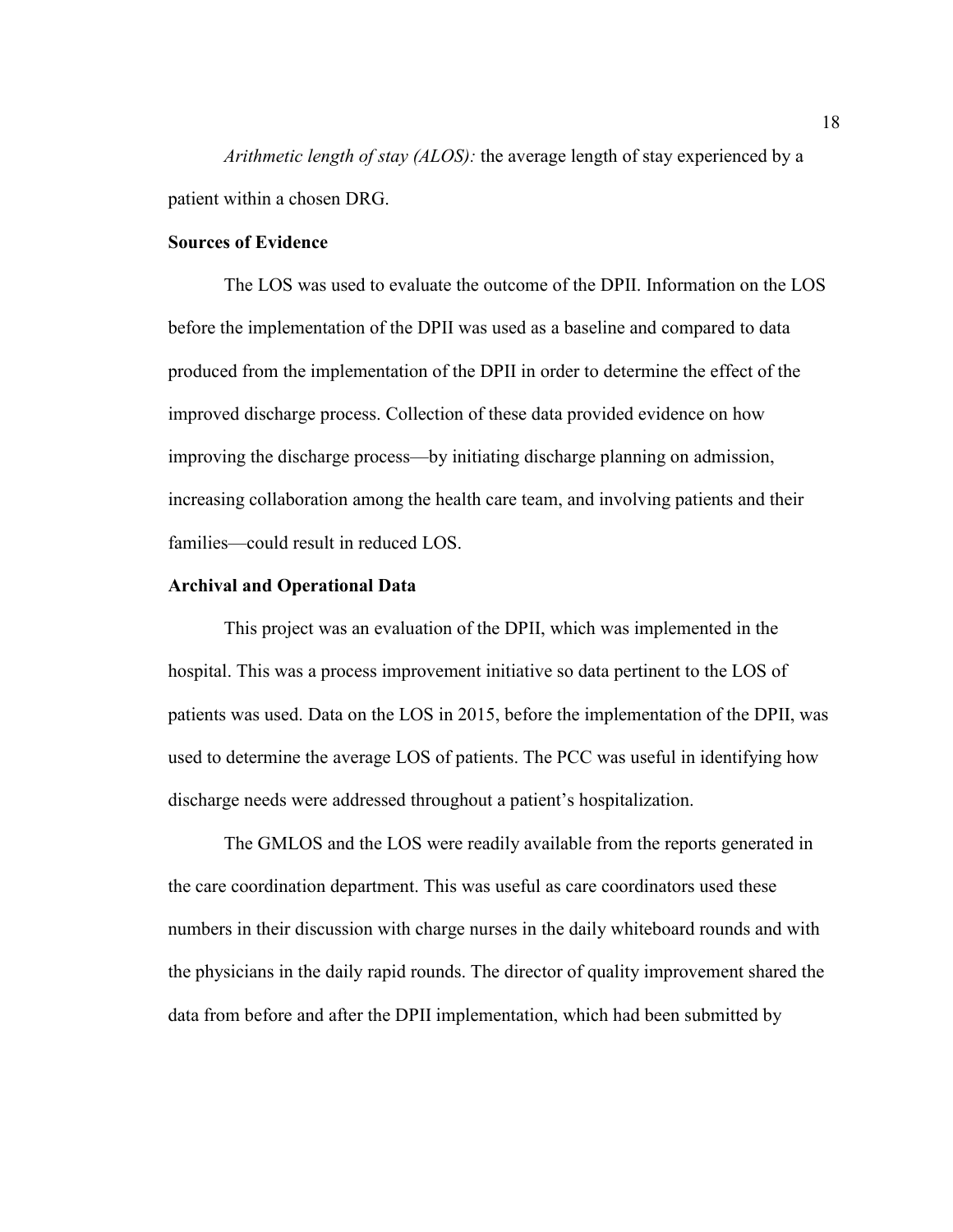*Arithmetic length of stay (ALOS):* the average length of stay experienced by a patient within a chosen DRG.

# **Sources of Evidence**

The LOS was used to evaluate the outcome of the DPII. Information on the LOS before the implementation of the DPII was used as a baseline and compared to data produced from the implementation of the DPII in order to determine the effect of the improved discharge process. Collection of these data provided evidence on how improving the discharge process—by initiating discharge planning on admission, increasing collaboration among the health care team, and involving patients and their families—could result in reduced LOS.

# **Archival and Operational Data**

This project was an evaluation of the DPII, which was implemented in the hospital. This was a process improvement initiative so data pertinent to the LOS of patients was used. Data on the LOS in 2015, before the implementation of the DPII, was used to determine the average LOS of patients. The PCC was useful in identifying how discharge needs were addressed throughout a patient's hospitalization.

The GMLOS and the LOS were readily available from the reports generated in the care coordination department. This was useful as care coordinators used these numbers in their discussion with charge nurses in the daily whiteboard rounds and with the physicians in the daily rapid rounds. The director of quality improvement shared the data from before and after the DPII implementation, which had been submitted by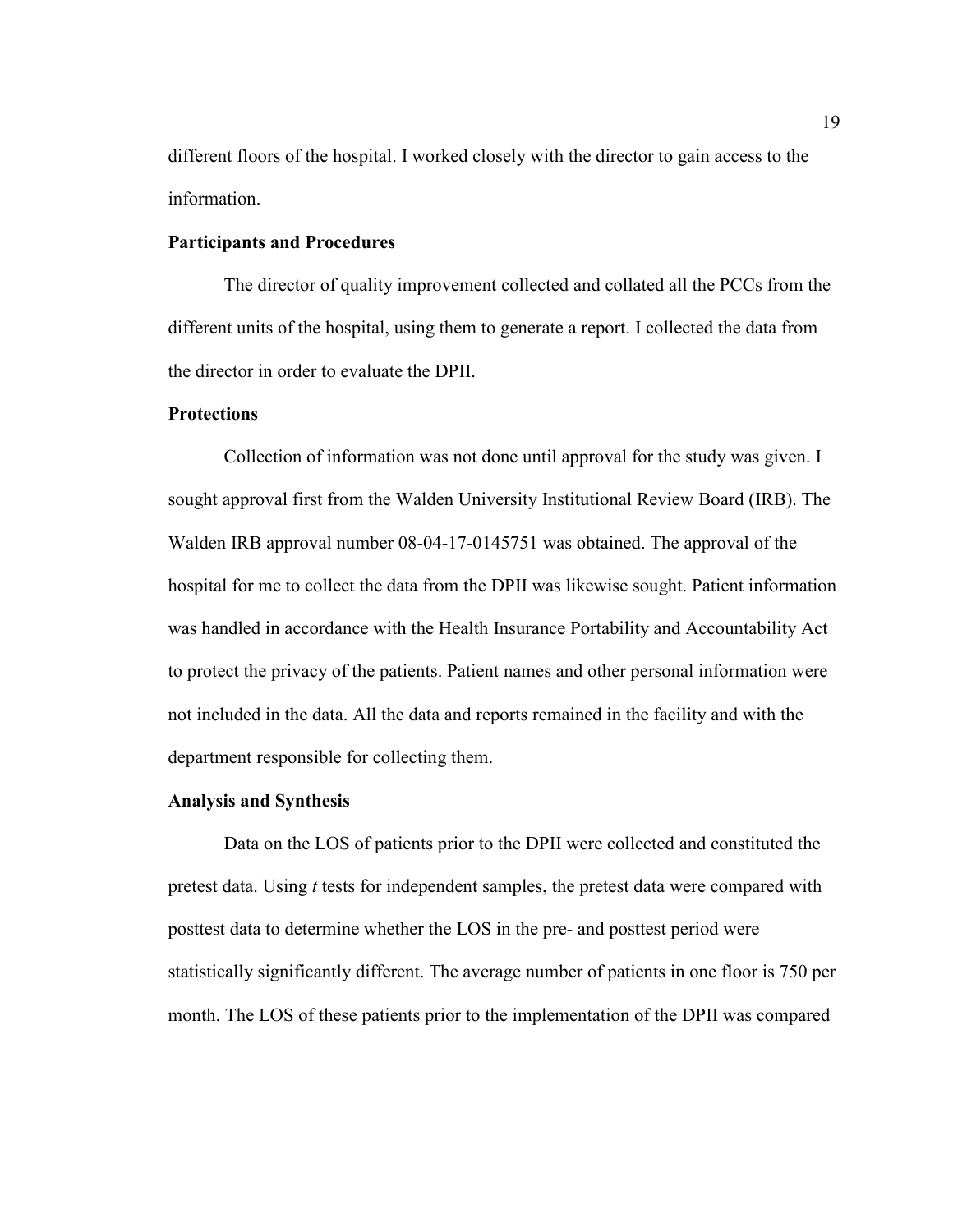different floors of the hospital. I worked closely with the director to gain access to the information.

# **Participants and Procedures**

The director of quality improvement collected and collated all the PCCs from the different units of the hospital, using them to generate a report. I collected the data from the director in order to evaluate the DPII.

# **Protections**

Collection of information was not done until approval for the study was given. I sought approval first from the Walden University Institutional Review Board (IRB). The Walden IRB approval number 08-04-17-0145751 was obtained. The approval of the hospital for me to collect the data from the DPII was likewise sought. Patient information was handled in accordance with the Health Insurance Portability and Accountability Act to protect the privacy of the patients. Patient names and other personal information were not included in the data. All the data and reports remained in the facility and with the department responsible for collecting them.

# **Analysis and Synthesis**

Data on the LOS of patients prior to the DPII were collected and constituted the pretest data. Using *t* tests for independent samples, the pretest data were compared with posttest data to determine whether the LOS in the pre- and posttest period were statistically significantly different. The average number of patients in one floor is 750 per month. The LOS of these patients prior to the implementation of the DPII was compared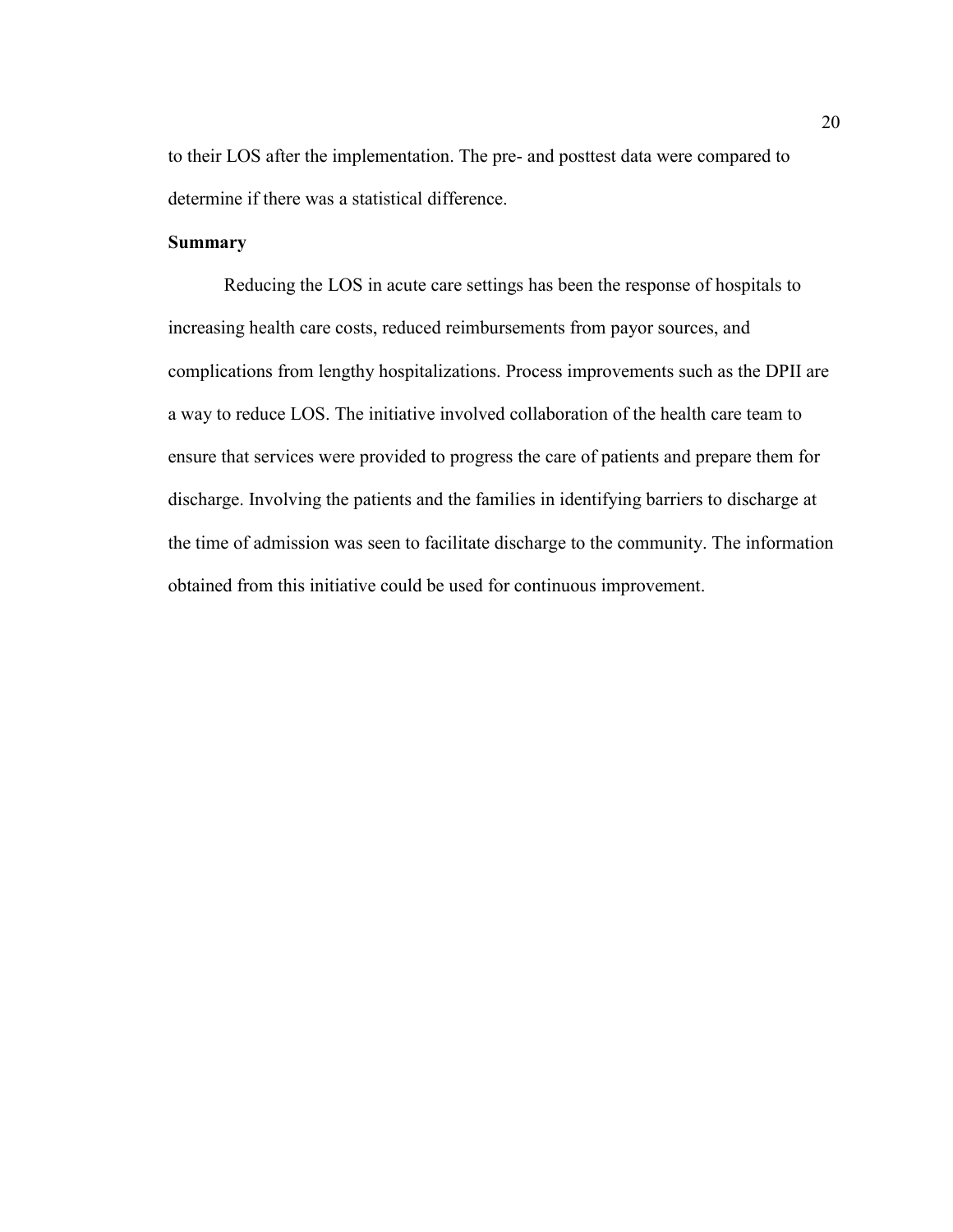to their LOS after the implementation. The pre- and posttest data were compared to determine if there was a statistical difference.

# **Summary**

Reducing the LOS in acute care settings has been the response of hospitals to increasing health care costs, reduced reimbursements from payor sources, and complications from lengthy hospitalizations. Process improvements such as the DPII are a way to reduce LOS. The initiative involved collaboration of the health care team to ensure that services were provided to progress the care of patients and prepare them for discharge. Involving the patients and the families in identifying barriers to discharge at the time of admission was seen to facilitate discharge to the community. The information obtained from this initiative could be used for continuous improvement.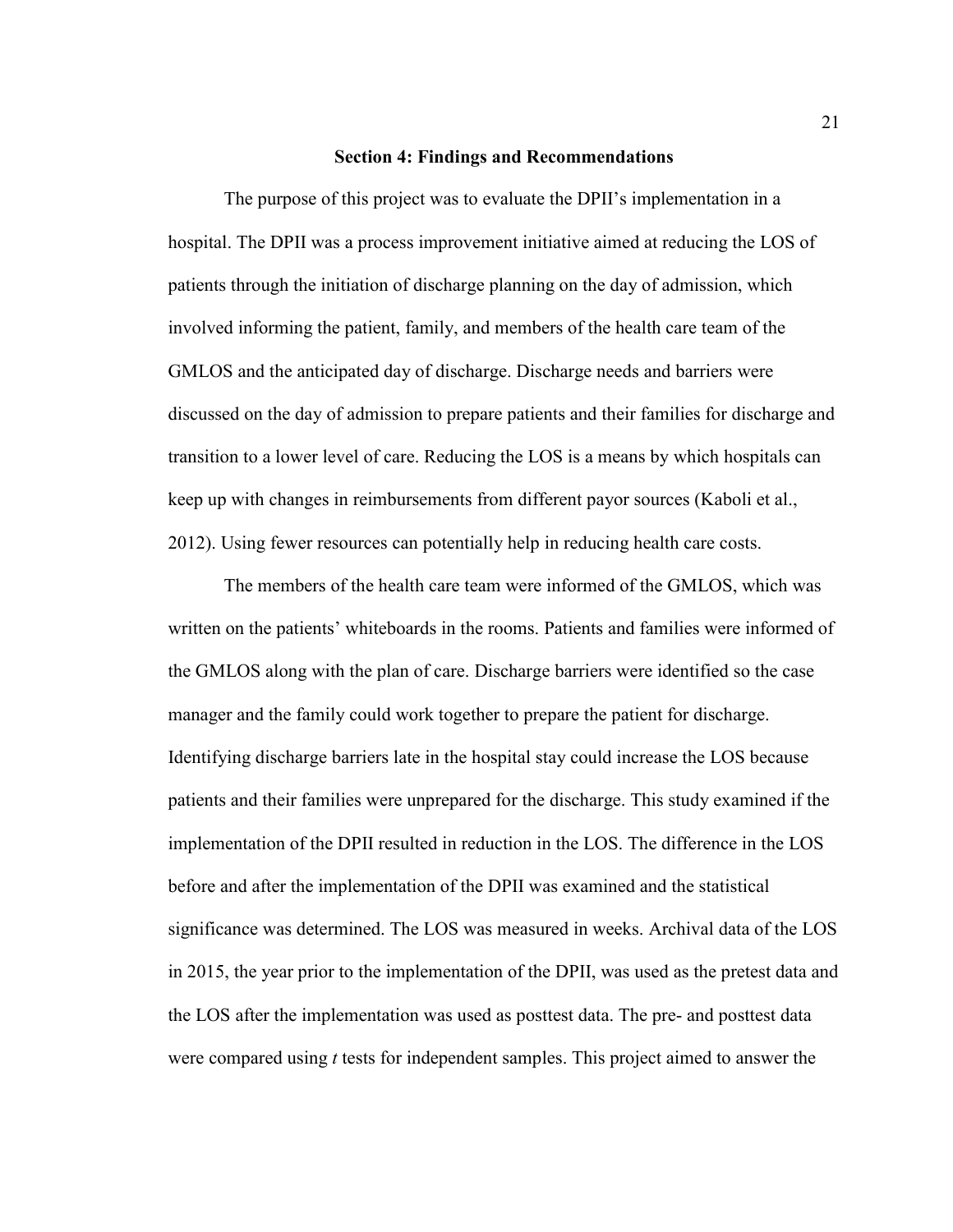#### **Section 4: Findings and Recommendations**

The purpose of this project was to evaluate the DPII's implementation in a hospital. The DPII was a process improvement initiative aimed at reducing the LOS of patients through the initiation of discharge planning on the day of admission, which involved informing the patient, family, and members of the health care team of the GMLOS and the anticipated day of discharge. Discharge needs and barriers were discussed on the day of admission to prepare patients and their families for discharge and transition to a lower level of care. Reducing the LOS is a means by which hospitals can keep up with changes in reimbursements from different payor sources (Kaboli et al., 2012). Using fewer resources can potentially help in reducing health care costs.

The members of the health care team were informed of the GMLOS, which was written on the patients' whiteboards in the rooms. Patients and families were informed of the GMLOS along with the plan of care. Discharge barriers were identified so the case manager and the family could work together to prepare the patient for discharge. Identifying discharge barriers late in the hospital stay could increase the LOS because patients and their families were unprepared for the discharge. This study examined if the implementation of the DPII resulted in reduction in the LOS. The difference in the LOS before and after the implementation of the DPII was examined and the statistical significance was determined. The LOS was measured in weeks. Archival data of the LOS in 2015, the year prior to the implementation of the DPII, was used as the pretest data and the LOS after the implementation was used as posttest data. The pre- and posttest data were compared using *t* tests for independent samples. This project aimed to answer the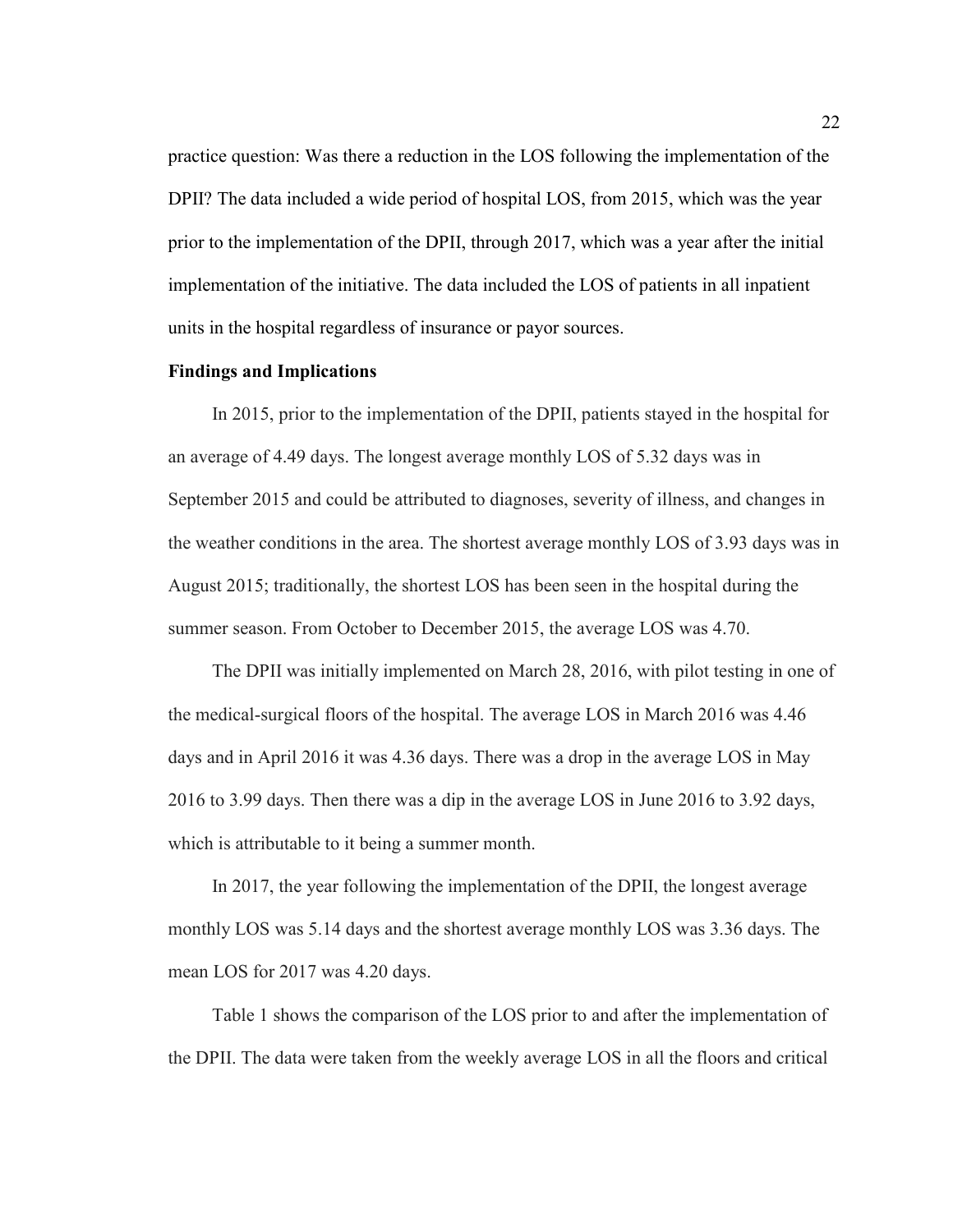practice question: Was there a reduction in the LOS following the implementation of the DPII? The data included a wide period of hospital LOS, from 2015, which was the year prior to the implementation of the DPII, through 2017, which was a year after the initial implementation of the initiative. The data included the LOS of patients in all inpatient units in the hospital regardless of insurance or payor sources.

# **Findings and Implications**

In 2015, prior to the implementation of the DPII, patients stayed in the hospital for an average of 4.49 days. The longest average monthly LOS of 5.32 days was in September 2015 and could be attributed to diagnoses, severity of illness, and changes in the weather conditions in the area. The shortest average monthly LOS of 3.93 days was in August 2015; traditionally, the shortest LOS has been seen in the hospital during the summer season. From October to December 2015, the average LOS was 4.70.

The DPII was initially implemented on March 28, 2016, with pilot testing in one of the medical-surgical floors of the hospital. The average LOS in March 2016 was 4.46 days and in April 2016 it was 4.36 days. There was a drop in the average LOS in May 2016 to 3.99 days. Then there was a dip in the average LOS in June 2016 to 3.92 days, which is attributable to it being a summer month.

In 2017, the year following the implementation of the DPII, the longest average monthly LOS was 5.14 days and the shortest average monthly LOS was 3.36 days. The mean LOS for 2017 was 4.20 days.

Table 1 shows the comparison of the LOS prior to and after the implementation of the DPII. The data were taken from the weekly average LOS in all the floors and critical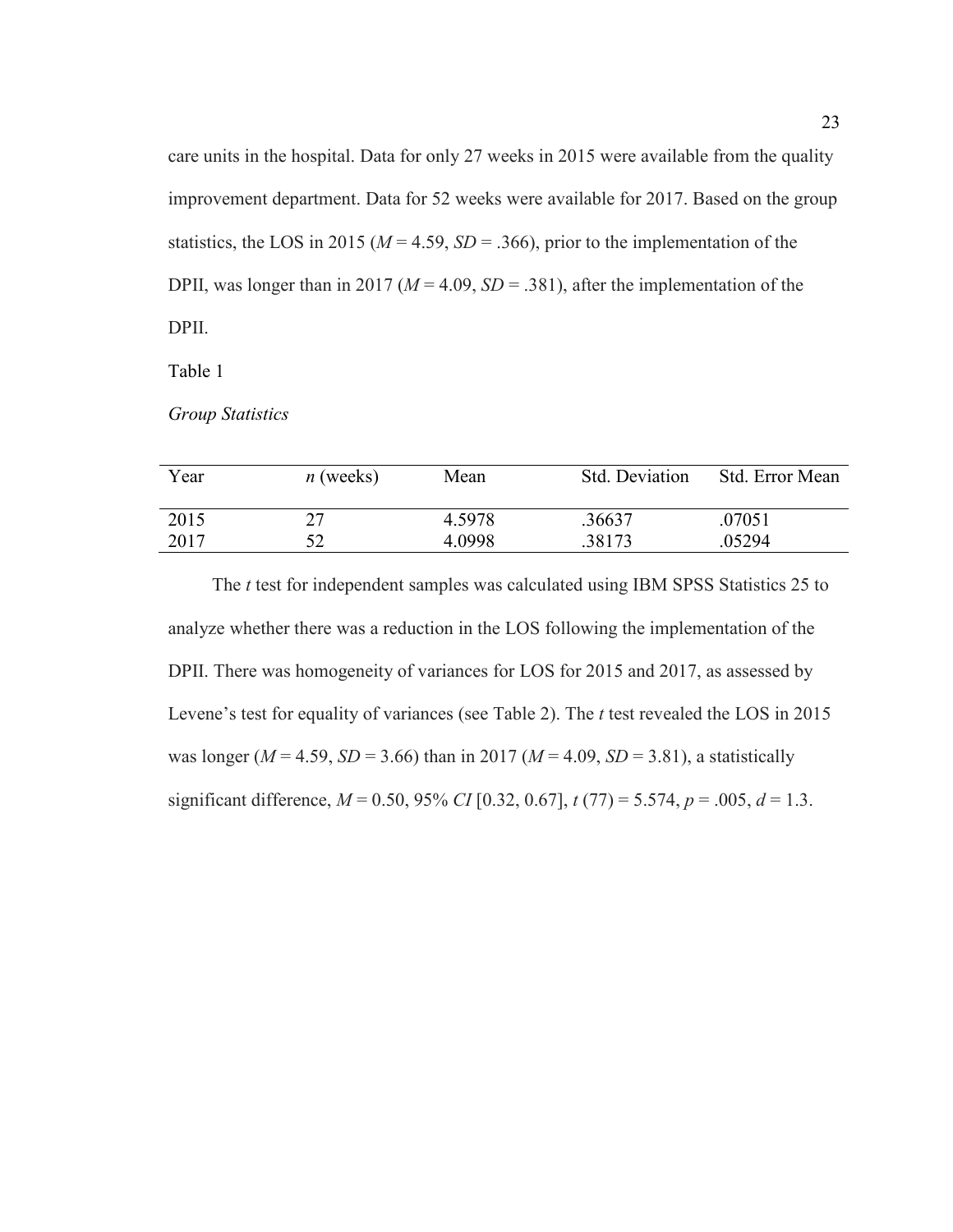care units in the hospital. Data for only 27 weeks in 2015 were available from the quality improvement department. Data for 52 weeks were available for 2017. Based on the group statistics, the LOS in 2015 ( $M = 4.59$ ,  $SD = .366$ ), prior to the implementation of the DPII, was longer than in 2017 ( $M = 4.09$ ,  $SD = .381$ ), after the implementation of the DPII.

Table 1

*Group Statistics* 

| Year | $n$ (weeks) | Mean   | Std. Deviation | Std. Error Mean |
|------|-------------|--------|----------------|-----------------|
| 2015 |             | 4.5978 | .36637         | .07051          |
| 2017 |             | 4.0998 | .38173         | .05294          |

The *t* test for independent samples was calculated using IBM SPSS Statistics 25 to analyze whether there was a reduction in the LOS following the implementation of the DPII. There was homogeneity of variances for LOS for 2015 and 2017, as assessed by Levene's test for equality of variances (see Table 2). The *t* test revealed the LOS in 2015 was longer ( $M = 4.59$ ,  $SD = 3.66$ ) than in 2017 ( $M = 4.09$ ,  $SD = 3.81$ ), a statistically significant difference,  $M = 0.50$ , 95% *CI* [0.32, 0.67],  $t(77) = 5.574$ ,  $p = .005$ ,  $d = 1.3$ .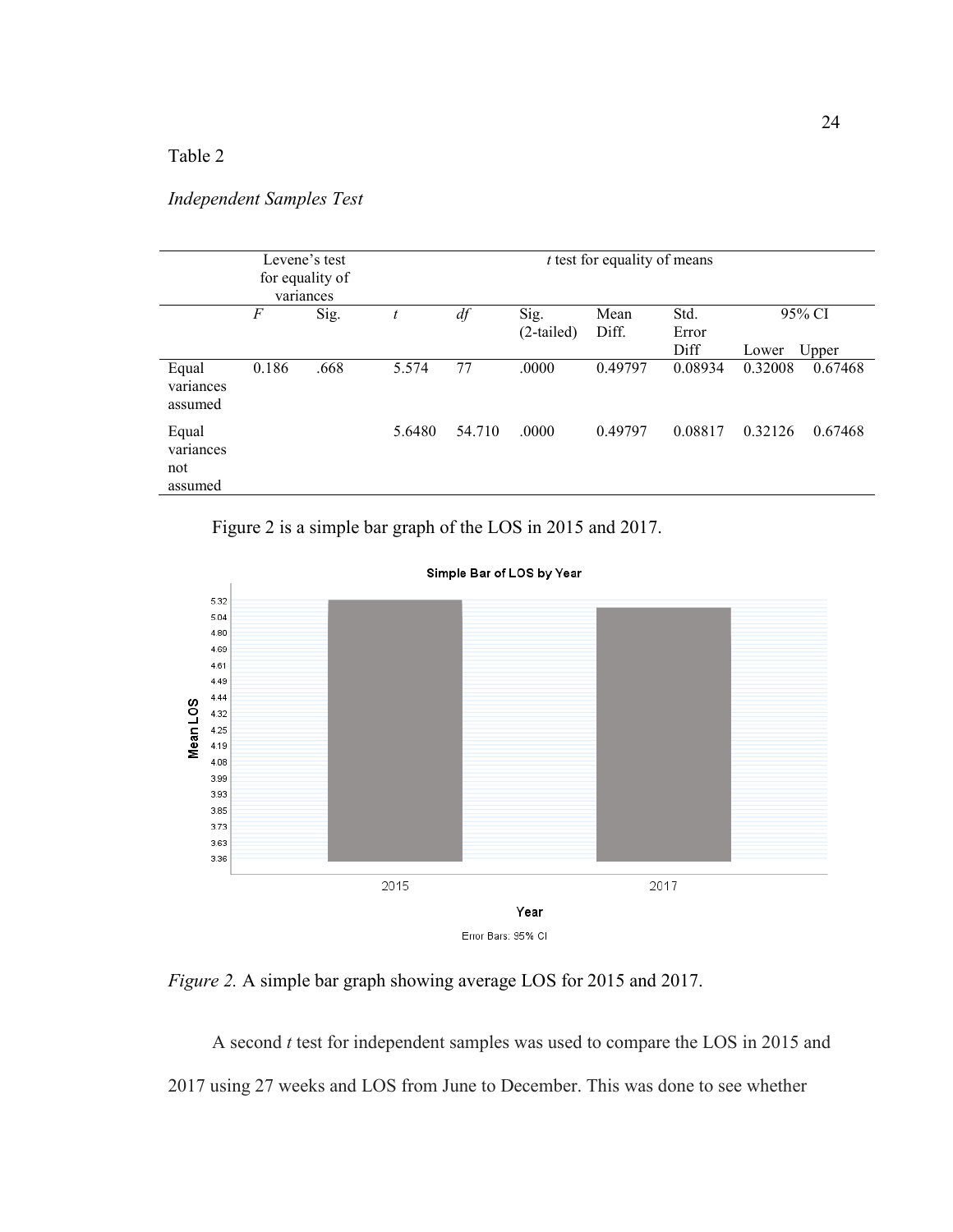# Table 2

# *Independent Samples Test*

| Levene's test<br>for equality of<br>variances |       |      |        | $t$ test for equality of means |                      |               |               |         |         |
|-----------------------------------------------|-------|------|--------|--------------------------------|----------------------|---------------|---------------|---------|---------|
|                                               | $\,F$ | Sig. | t      | df                             | Sig.<br>$(2-tailed)$ | Mean<br>Diff. | Std.<br>Error |         | 95% CI  |
|                                               |       |      |        |                                |                      |               | Diff          | Lower   | Upper   |
| Equal<br>variances<br>assumed                 | 0.186 | .668 | 5.574  | 77                             | .0000                | 0.49797       | 0.08934       | 0.32008 | 0.67468 |
| Equal<br>variances<br>not<br>assumed          |       |      | 5.6480 | 54.710                         | .0000                | 0.49797       | 0.08817       | 0.32126 | 0.67468 |

Figure 2 is a simple bar graph of the LOS in 2015 and 2017.



Simple Bar of LOS by Year

*Figure 2.* A simple bar graph showing average LOS for 2015 and 2017.

A second *t* test for independent samples was used to compare the LOS in 2015 and 2017 using 27 weeks and LOS from June to December. This was done to see whether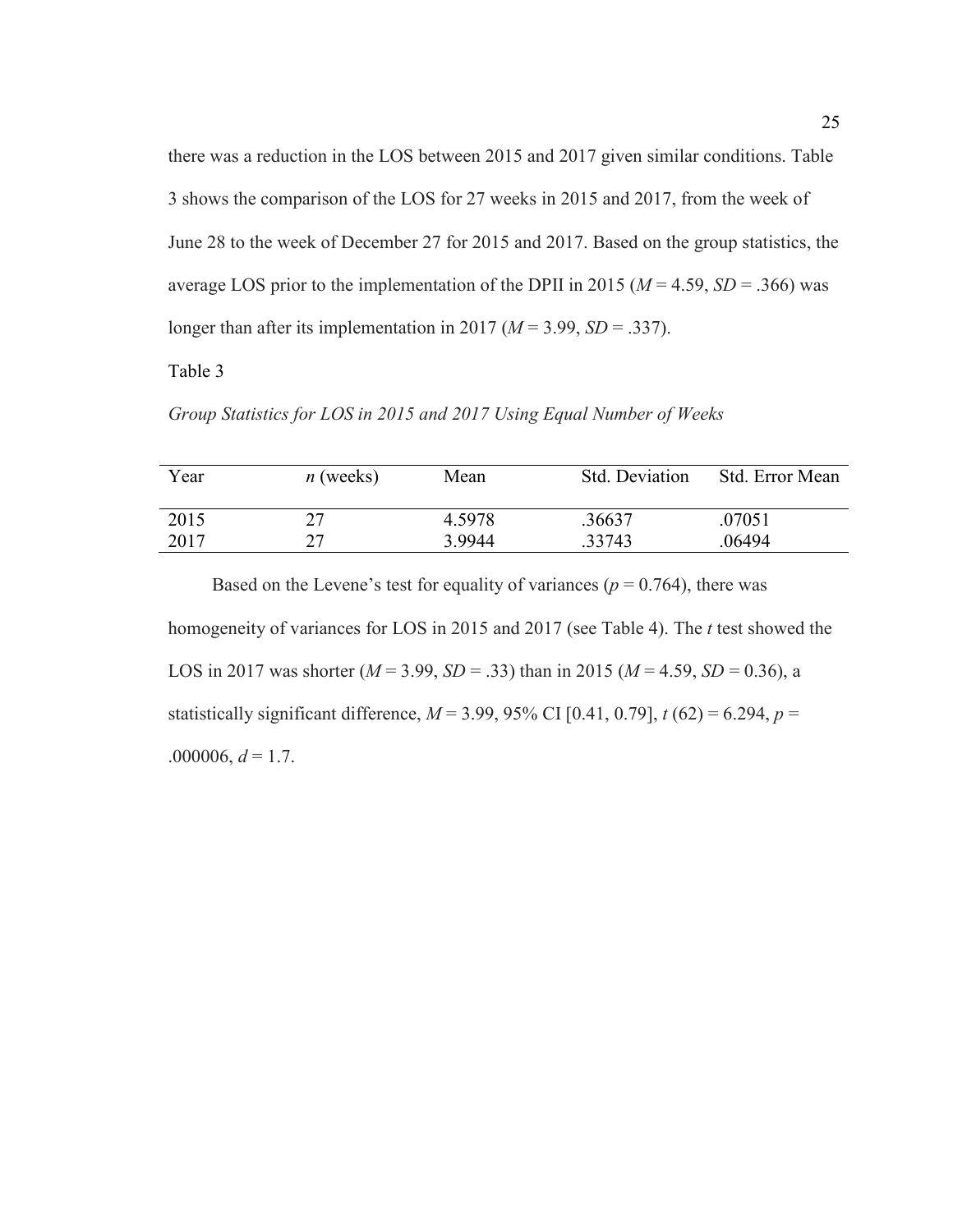there was a reduction in the LOS between 2015 and 2017 given similar conditions. Table 3 shows the comparison of the LOS for 27 weeks in 2015 and 2017, from the week of June 28 to the week of December 27 for 2015 and 2017. Based on the group statistics, the average LOS prior to the implementation of the DPII in 2015 ( $M = 4.59$ ,  $SD = .366$ ) was longer than after its implementation in 2017 ( $M = 3.99$ ,  $SD = .337$ ).

Table 3

*Group Statistics for LOS in 2015 and 2017 Using Equal Number of Weeks*

| Year | $n$ (weeks) | Mean   | Std. Deviation | Std. Error Mean |
|------|-------------|--------|----------------|-----------------|
| 2015 | າາ          | 4.5978 | .36637         | .07051          |
| 2017 | າາ          | 3.9944 | .33743         | .06494          |

Based on the Levene's test for equality of variances ( $p = 0.764$ ), there was homogeneity of variances for LOS in 2015 and 2017 (see Table 4). The *t* test showed the LOS in 2017 was shorter  $(M = 3.99, SD = .33)$  than in 2015  $(M = 4.59, SD = 0.36)$ , a statistically significant difference,  $M = 3.99, 95\%$  CI [0.41, 0.79],  $t(62) = 6.294, p =$ .000006,  $d = 1.7$ .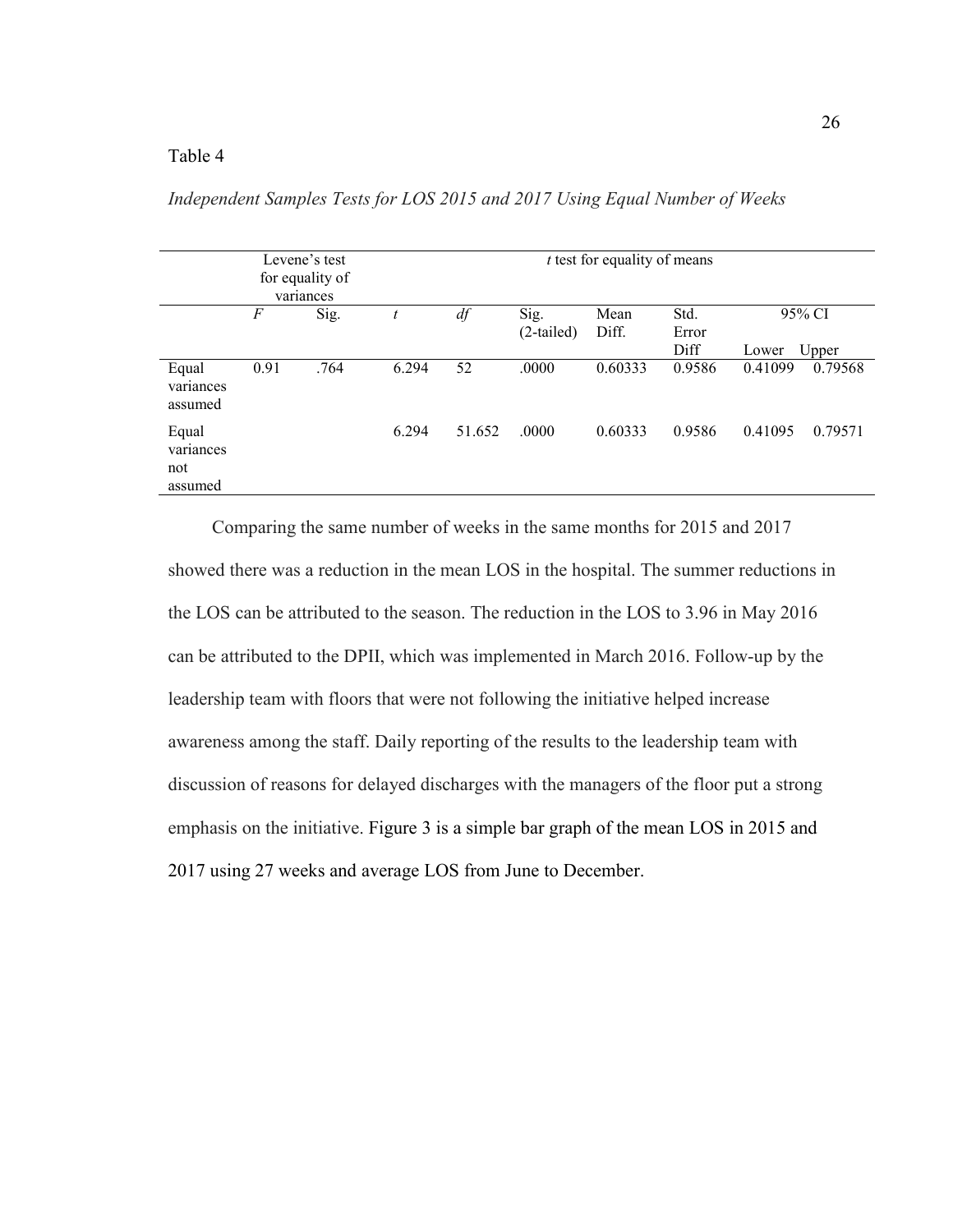# Table 4

| Levene's test<br>for equality of<br>variances |       |      |       | $t$ test for equality of means |                      |               |                |                  |                  |
|-----------------------------------------------|-------|------|-------|--------------------------------|----------------------|---------------|----------------|------------------|------------------|
|                                               | $\,F$ | Sig. | t     | df                             | Sig.<br>$(2-tailed)$ | Mean<br>Diff. | Std.<br>Error  |                  | 95% CI           |
| Equal<br>variances<br>assumed                 | 0.91  | .764 | 6.294 | 52                             | .0000                | 0.60333       | Diff<br>0.9586 | Lower<br>0.41099 | Upper<br>0.79568 |
| Equal<br>variances<br>not<br>assumed          |       |      | 6.294 | 51.652                         | .0000                | 0.60333       | 0.9586         | 0.41095          | 0.79571          |

*Independent Samples Tests for LOS 2015 and 2017 Using Equal Number of Weeks* 

Comparing the same number of weeks in the same months for 2015 and 2017 showed there was a reduction in the mean LOS in the hospital. The summer reductions in the LOS can be attributed to the season. The reduction in the LOS to 3.96 in May 2016 can be attributed to the DPII, which was implemented in March 2016. Follow-up by the leadership team with floors that were not following the initiative helped increase awareness among the staff. Daily reporting of the results to the leadership team with discussion of reasons for delayed discharges with the managers of the floor put a strong emphasis on the initiative. Figure 3 is a simple bar graph of the mean LOS in 2015 and 2017 using 27 weeks and average LOS from June to December.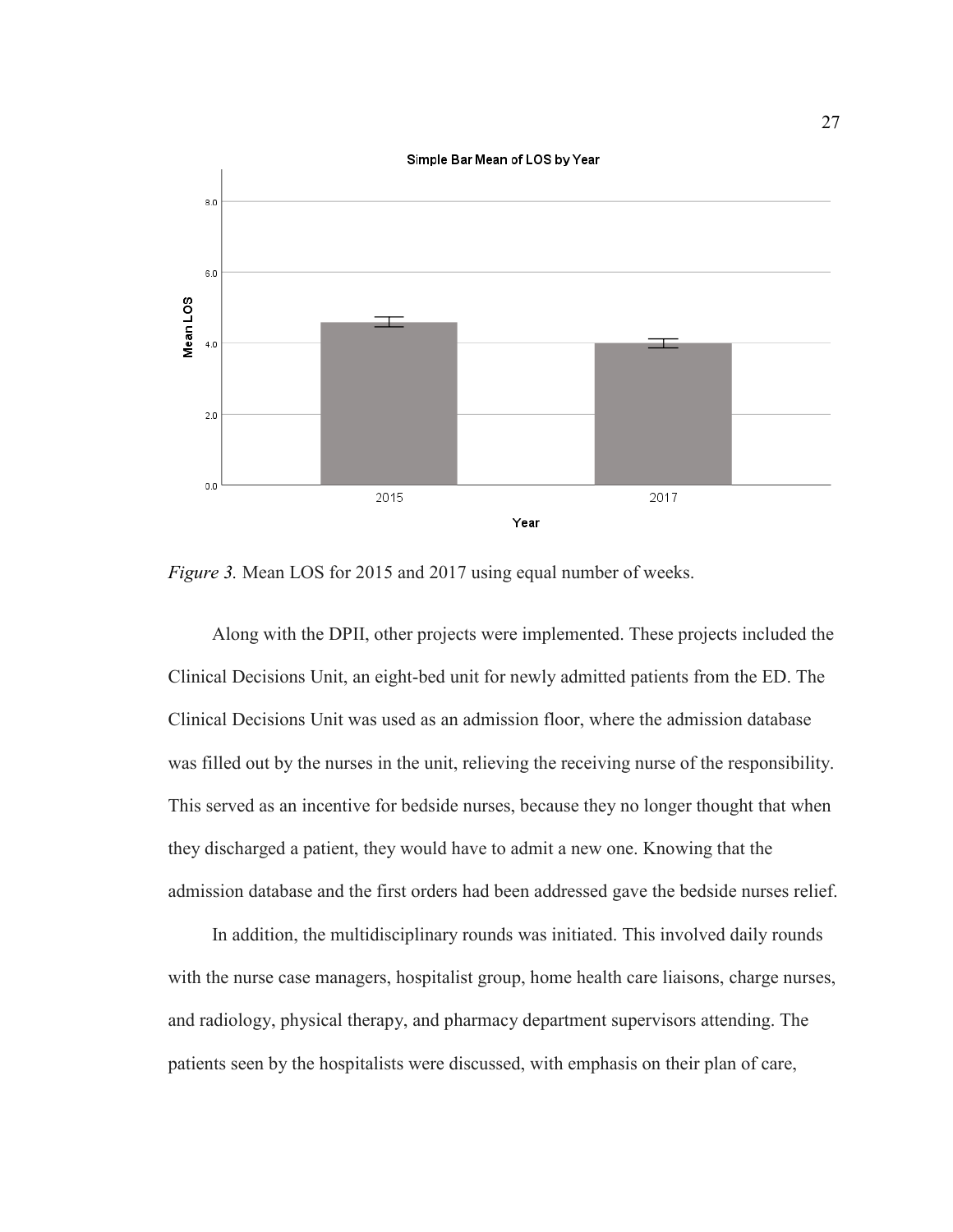

*Figure 3.* Mean LOS for 2015 and 2017 using equal number of weeks.

Along with the DPII, other projects were implemented. These projects included the Clinical Decisions Unit, an eight-bed unit for newly admitted patients from the ED. The Clinical Decisions Unit was used as an admission floor, where the admission database was filled out by the nurses in the unit, relieving the receiving nurse of the responsibility. This served as an incentive for bedside nurses, because they no longer thought that when they discharged a patient, they would have to admit a new one. Knowing that the admission database and the first orders had been addressed gave the bedside nurses relief.

In addition, the multidisciplinary rounds was initiated. This involved daily rounds with the nurse case managers, hospitalist group, home health care liaisons, charge nurses, and radiology, physical therapy, and pharmacy department supervisors attending. The patients seen by the hospitalists were discussed, with emphasis on their plan of care,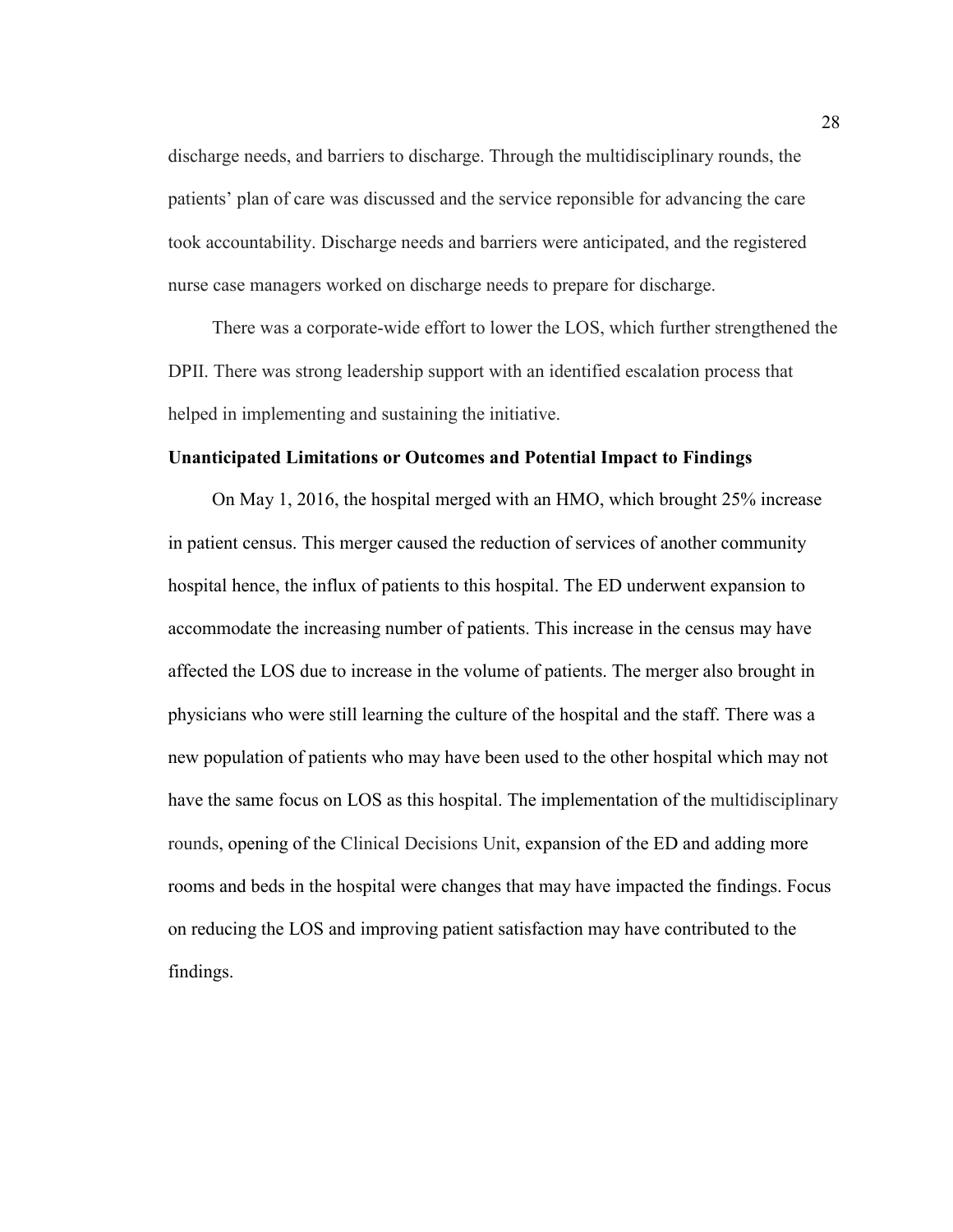discharge needs, and barriers to discharge. Through the multidisciplinary rounds, the patients' plan of care was discussed and the service reponsible for advancing the care took accountability. Discharge needs and barriers were anticipated, and the registered nurse case managers worked on discharge needs to prepare for discharge.

There was a corporate-wide effort to lower the LOS, which further strengthened the DPII. There was strong leadership support with an identified escalation process that helped in implementing and sustaining the initiative.

# **Unanticipated Limitations or Outcomes and Potential Impact to Findings**

On May 1, 2016, the hospital merged with an HMO, which brought 25% increase in patient census. This merger caused the reduction of services of another community hospital hence, the influx of patients to this hospital. The ED underwent expansion to accommodate the increasing number of patients. This increase in the census may have affected the LOS due to increase in the volume of patients. The merger also brought in physicians who were still learning the culture of the hospital and the staff. There was a new population of patients who may have been used to the other hospital which may not have the same focus on LOS as this hospital. The implementation of the multidisciplinary rounds, opening of the Clinical Decisions Unit, expansion of the ED and adding more rooms and beds in the hospital were changes that may have impacted the findings. Focus on reducing the LOS and improving patient satisfaction may have contributed to the findings.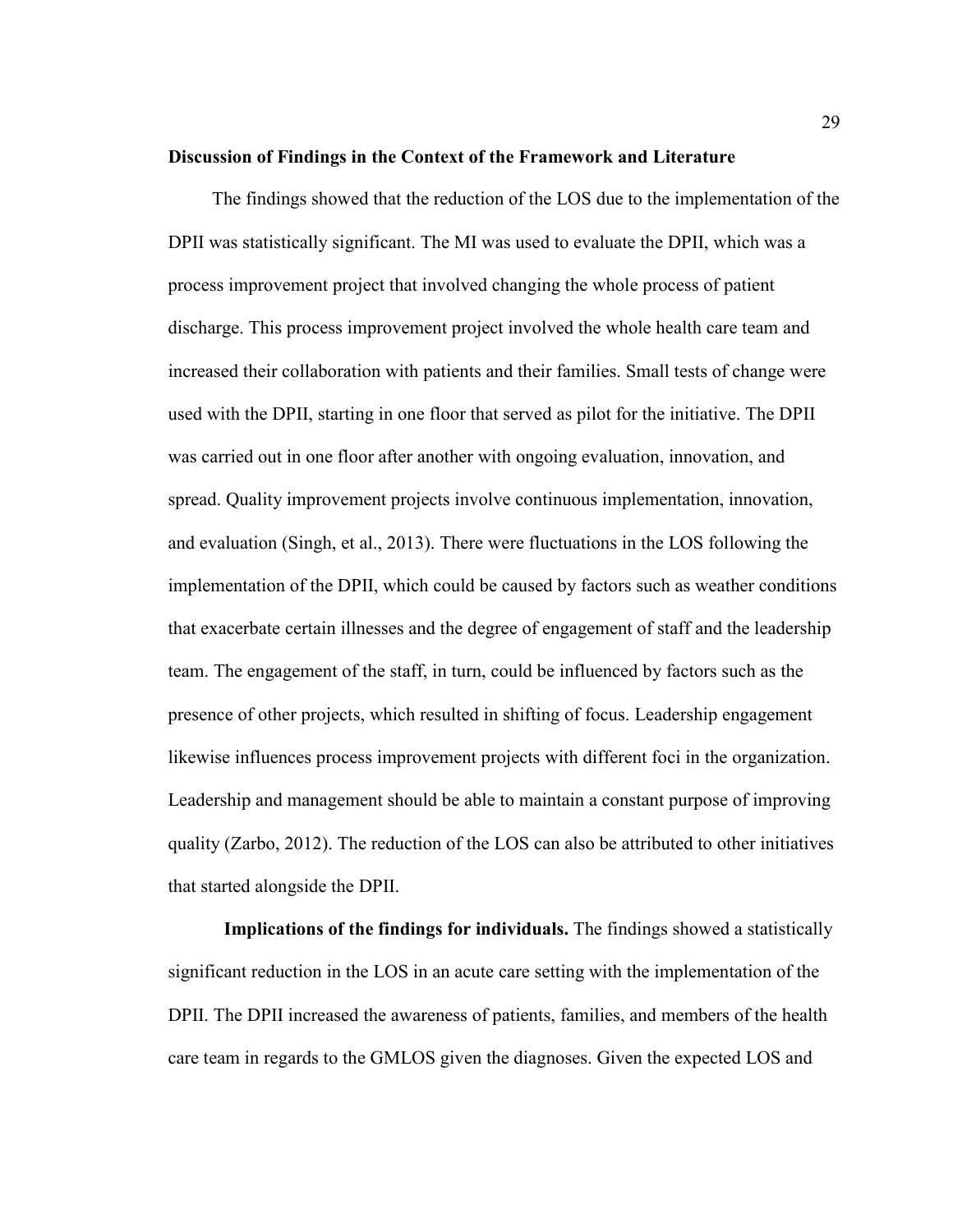### **Discussion of Findings in the Context of the Framework and Literature**

The findings showed that the reduction of the LOS due to the implementation of the DPII was statistically significant. The MI was used to evaluate the DPII, which was a process improvement project that involved changing the whole process of patient discharge. This process improvement project involved the whole health care team and increased their collaboration with patients and their families. Small tests of change were used with the DPII, starting in one floor that served as pilot for the initiative. The DPII was carried out in one floor after another with ongoing evaluation, innovation, and spread. Quality improvement projects involve continuous implementation, innovation, and evaluation (Singh, et al., 2013). There were fluctuations in the LOS following the implementation of the DPII, which could be caused by factors such as weather conditions that exacerbate certain illnesses and the degree of engagement of staff and the leadership team. The engagement of the staff, in turn, could be influenced by factors such as the presence of other projects, which resulted in shifting of focus. Leadership engagement likewise influences process improvement projects with different foci in the organization. Leadership and management should be able to maintain a constant purpose of improving quality (Zarbo, 2012). The reduction of the LOS can also be attributed to other initiatives that started alongside the DPII.

**Implications of the findings for individuals.** The findings showed a statistically significant reduction in the LOS in an acute care setting with the implementation of the DPII. The DPII increased the awareness of patients, families, and members of the health care team in regards to the GMLOS given the diagnoses. Given the expected LOS and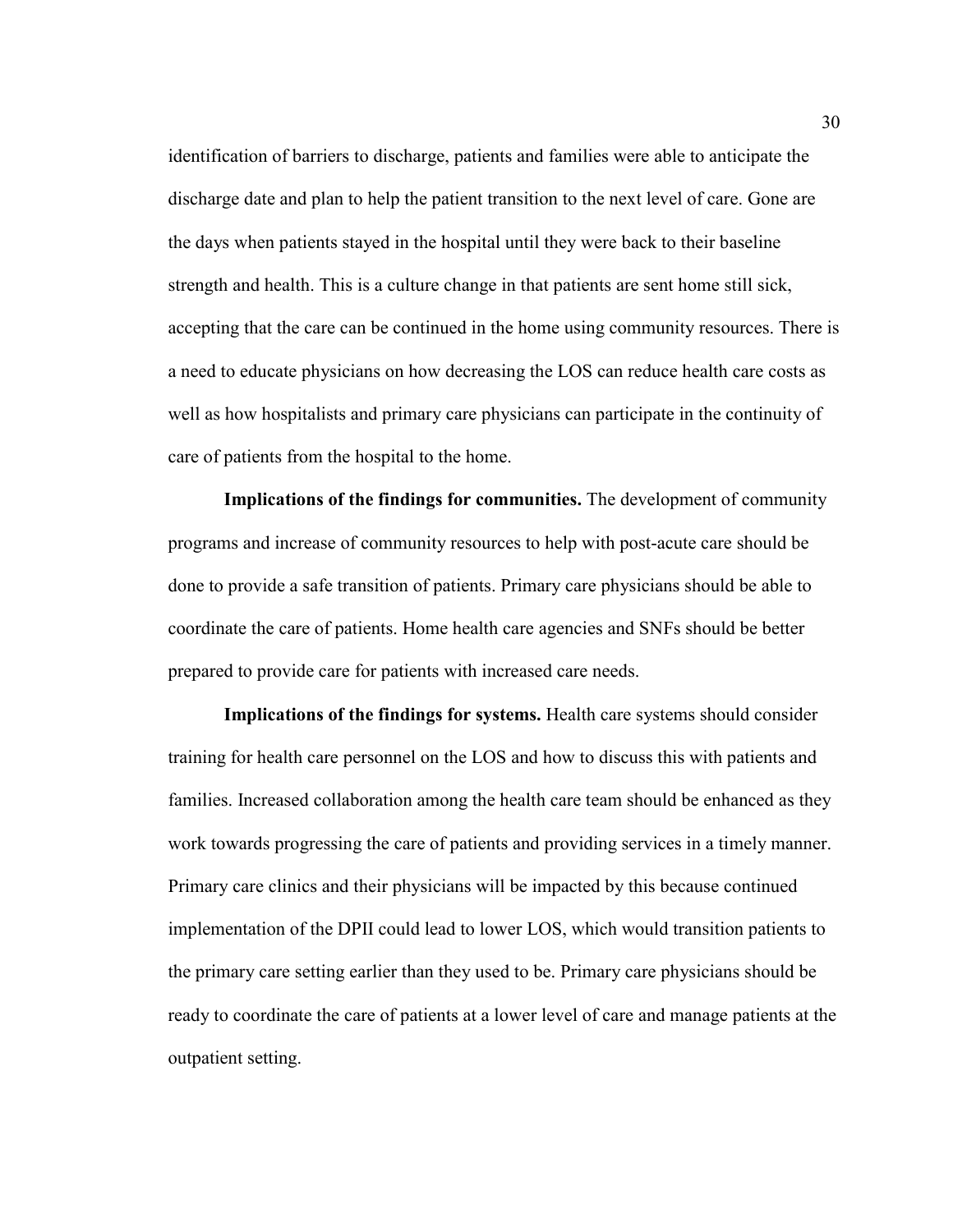identification of barriers to discharge, patients and families were able to anticipate the discharge date and plan to help the patient transition to the next level of care. Gone are the days when patients stayed in the hospital until they were back to their baseline strength and health. This is a culture change in that patients are sent home still sick, accepting that the care can be continued in the home using community resources. There is a need to educate physicians on how decreasing the LOS can reduce health care costs as well as how hospitalists and primary care physicians can participate in the continuity of care of patients from the hospital to the home.

**Implications of the findings for communities.** The development of community programs and increase of community resources to help with post-acute care should be done to provide a safe transition of patients. Primary care physicians should be able to coordinate the care of patients. Home health care agencies and SNFs should be better prepared to provide care for patients with increased care needs.

**Implications of the findings for systems.** Health care systems should consider training for health care personnel on the LOS and how to discuss this with patients and families. Increased collaboration among the health care team should be enhanced as they work towards progressing the care of patients and providing services in a timely manner. Primary care clinics and their physicians will be impacted by this because continued implementation of the DPII could lead to lower LOS, which would transition patients to the primary care setting earlier than they used to be. Primary care physicians should be ready to coordinate the care of patients at a lower level of care and manage patients at the outpatient setting.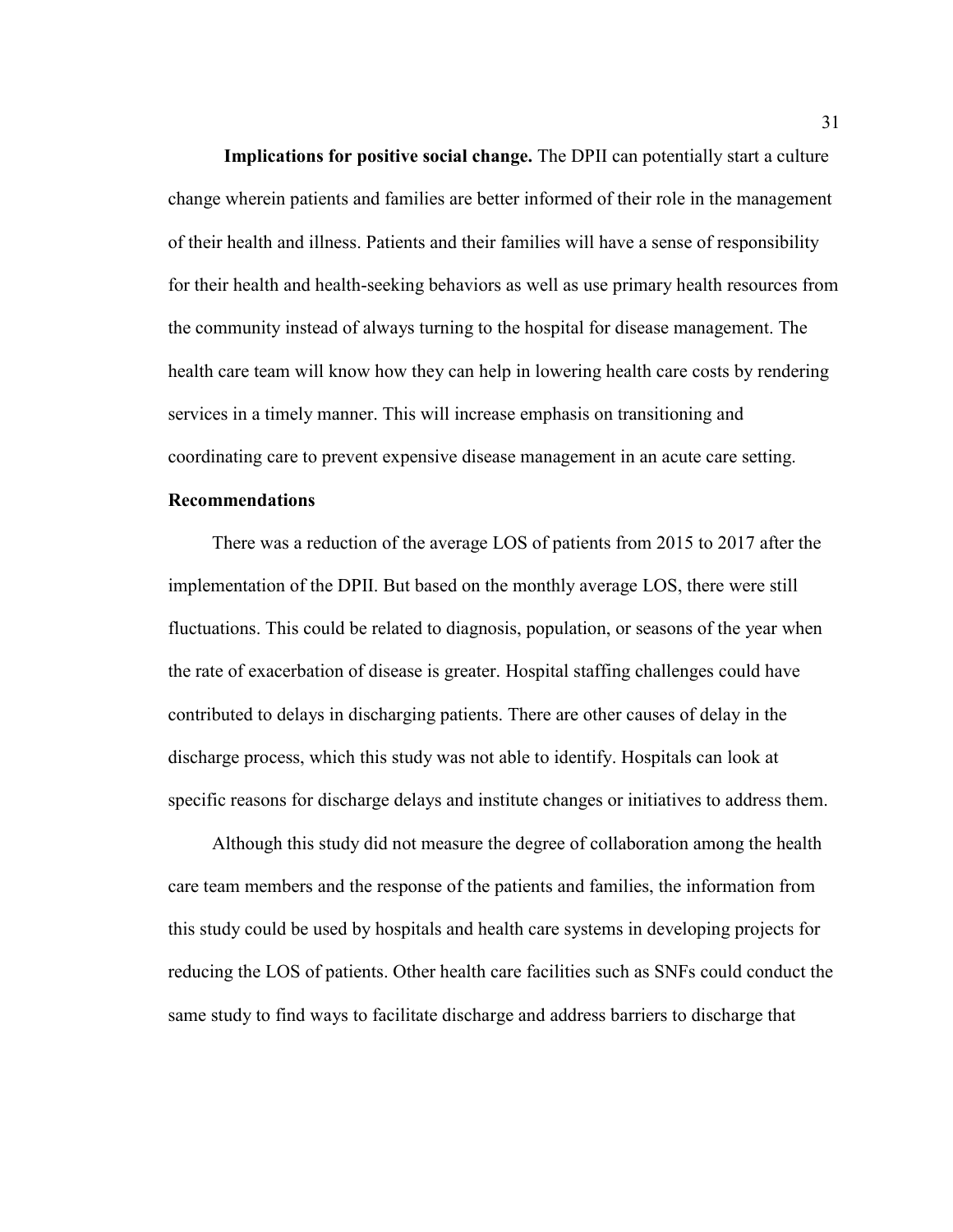**Implications for positive social change.** The DPII can potentially start a culture change wherein patients and families are better informed of their role in the management of their health and illness. Patients and their families will have a sense of responsibility for their health and health-seeking behaviors as well as use primary health resources from the community instead of always turning to the hospital for disease management. The health care team will know how they can help in lowering health care costs by rendering services in a timely manner. This will increase emphasis on transitioning and coordinating care to prevent expensive disease management in an acute care setting.

# **Recommendations**

There was a reduction of the average LOS of patients from 2015 to 2017 after the implementation of the DPII. But based on the monthly average LOS, there were still fluctuations. This could be related to diagnosis, population, or seasons of the year when the rate of exacerbation of disease is greater. Hospital staffing challenges could have contributed to delays in discharging patients. There are other causes of delay in the discharge process, which this study was not able to identify. Hospitals can look at specific reasons for discharge delays and institute changes or initiatives to address them.

Although this study did not measure the degree of collaboration among the health care team members and the response of the patients and families, the information from this study could be used by hospitals and health care systems in developing projects for reducing the LOS of patients. Other health care facilities such as SNFs could conduct the same study to find ways to facilitate discharge and address barriers to discharge that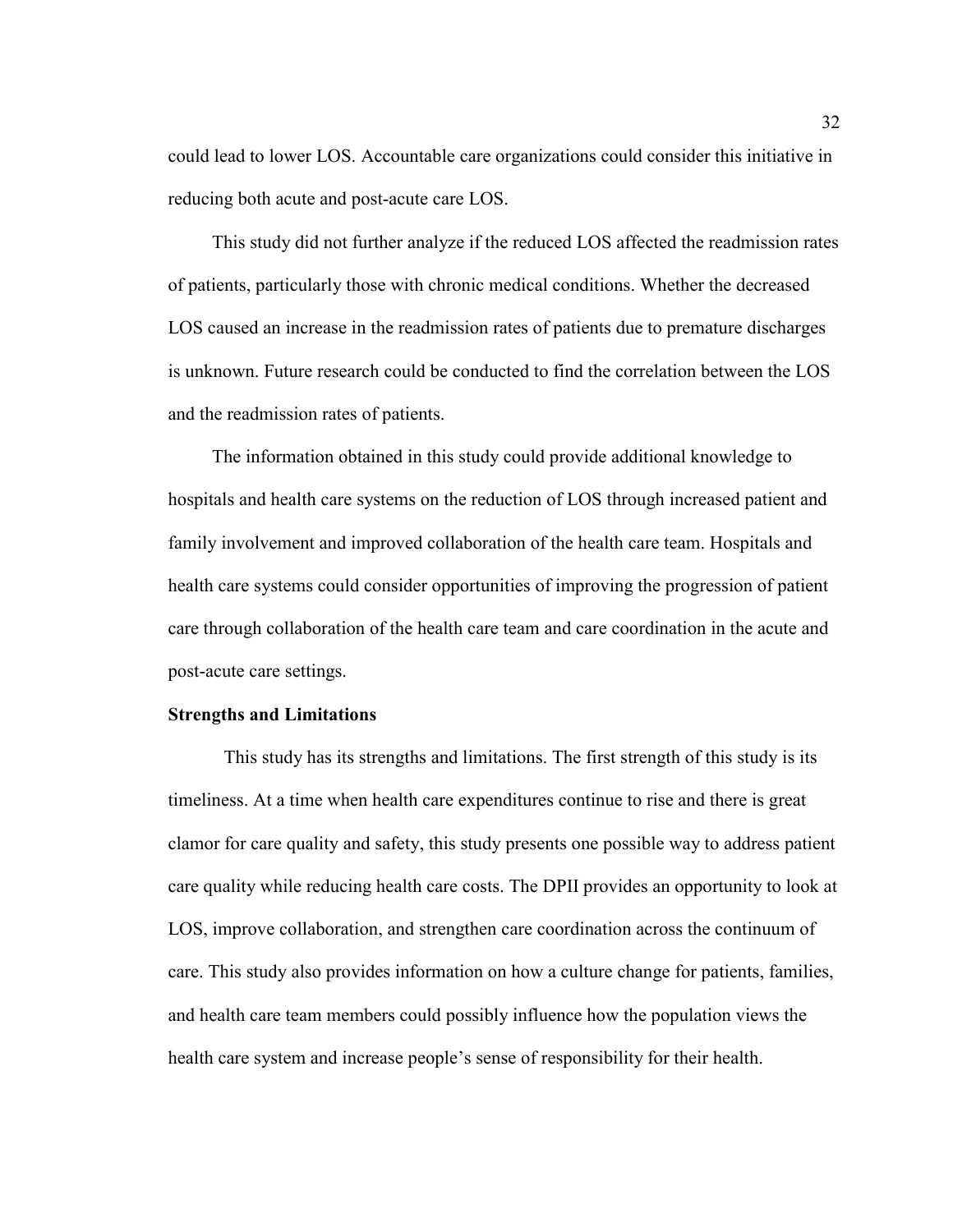could lead to lower LOS. Accountable care organizations could consider this initiative in reducing both acute and post-acute care LOS.

This study did not further analyze if the reduced LOS affected the readmission rates of patients, particularly those with chronic medical conditions. Whether the decreased LOS caused an increase in the readmission rates of patients due to premature discharges is unknown. Future research could be conducted to find the correlation between the LOS and the readmission rates of patients.

The information obtained in this study could provide additional knowledge to hospitals and health care systems on the reduction of LOS through increased patient and family involvement and improved collaboration of the health care team. Hospitals and health care systems could consider opportunities of improving the progression of patient care through collaboration of the health care team and care coordination in the acute and post-acute care settings.

# **Strengths and Limitations**

This study has its strengths and limitations. The first strength of this study is its timeliness. At a time when health care expenditures continue to rise and there is great clamor for care quality and safety, this study presents one possible way to address patient care quality while reducing health care costs. The DPII provides an opportunity to look at LOS, improve collaboration, and strengthen care coordination across the continuum of care. This study also provides information on how a culture change for patients, families, and health care team members could possibly influence how the population views the health care system and increase people's sense of responsibility for their health.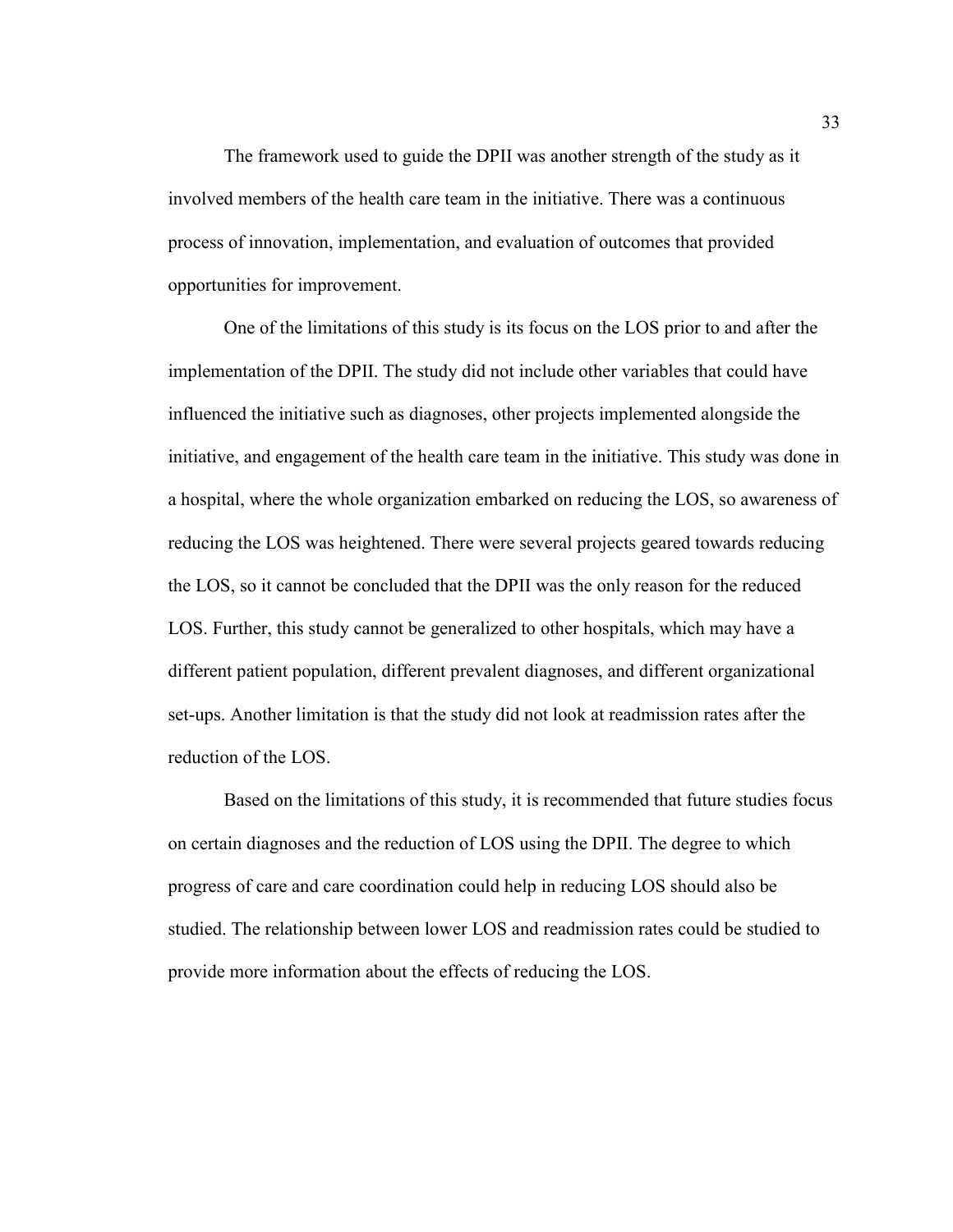The framework used to guide the DPII was another strength of the study as it involved members of the health care team in the initiative. There was a continuous process of innovation, implementation, and evaluation of outcomes that provided opportunities for improvement.

 One of the limitations of this study is its focus on the LOS prior to and after the implementation of the DPII. The study did not include other variables that could have influenced the initiative such as diagnoses, other projects implemented alongside the initiative, and engagement of the health care team in the initiative. This study was done in a hospital, where the whole organization embarked on reducing the LOS, so awareness of reducing the LOS was heightened. There were several projects geared towards reducing the LOS, so it cannot be concluded that the DPII was the only reason for the reduced LOS. Further, this study cannot be generalized to other hospitals, which may have a different patient population, different prevalent diagnoses, and different organizational set-ups. Another limitation is that the study did not look at readmission rates after the reduction of the LOS.

 Based on the limitations of this study, it is recommended that future studies focus on certain diagnoses and the reduction of LOS using the DPII. The degree to which progress of care and care coordination could help in reducing LOS should also be studied. The relationship between lower LOS and readmission rates could be studied to provide more information about the effects of reducing the LOS.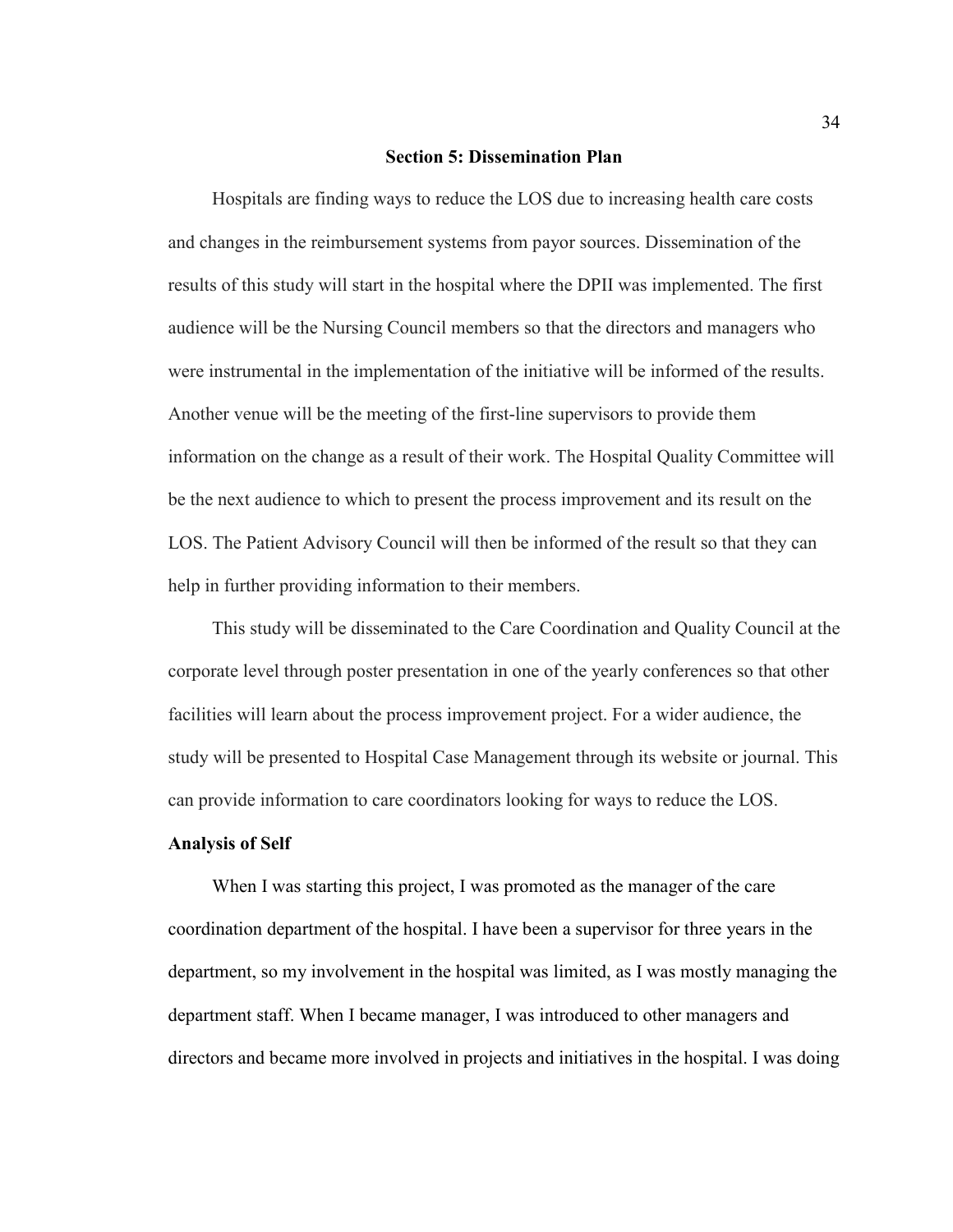#### **Section 5: Dissemination Plan**

Hospitals are finding ways to reduce the LOS due to increasing health care costs and changes in the reimbursement systems from payor sources. Dissemination of the results of this study will start in the hospital where the DPII was implemented. The first audience will be the Nursing Council members so that the directors and managers who were instrumental in the implementation of the initiative will be informed of the results. Another venue will be the meeting of the first-line supervisors to provide them information on the change as a result of their work. The Hospital Quality Committee will be the next audience to which to present the process improvement and its result on the LOS. The Patient Advisory Council will then be informed of the result so that they can help in further providing information to their members.

This study will be disseminated to the Care Coordination and Quality Council at the corporate level through poster presentation in one of the yearly conferences so that other facilities will learn about the process improvement project. For a wider audience, the study will be presented to Hospital Case Management through its website or journal. This can provide information to care coordinators looking for ways to reduce the LOS.

# **Analysis of Self**

When I was starting this project, I was promoted as the manager of the care coordination department of the hospital. I have been a supervisor for three years in the department, so my involvement in the hospital was limited, as I was mostly managing the department staff. When I became manager, I was introduced to other managers and directors and became more involved in projects and initiatives in the hospital. I was doing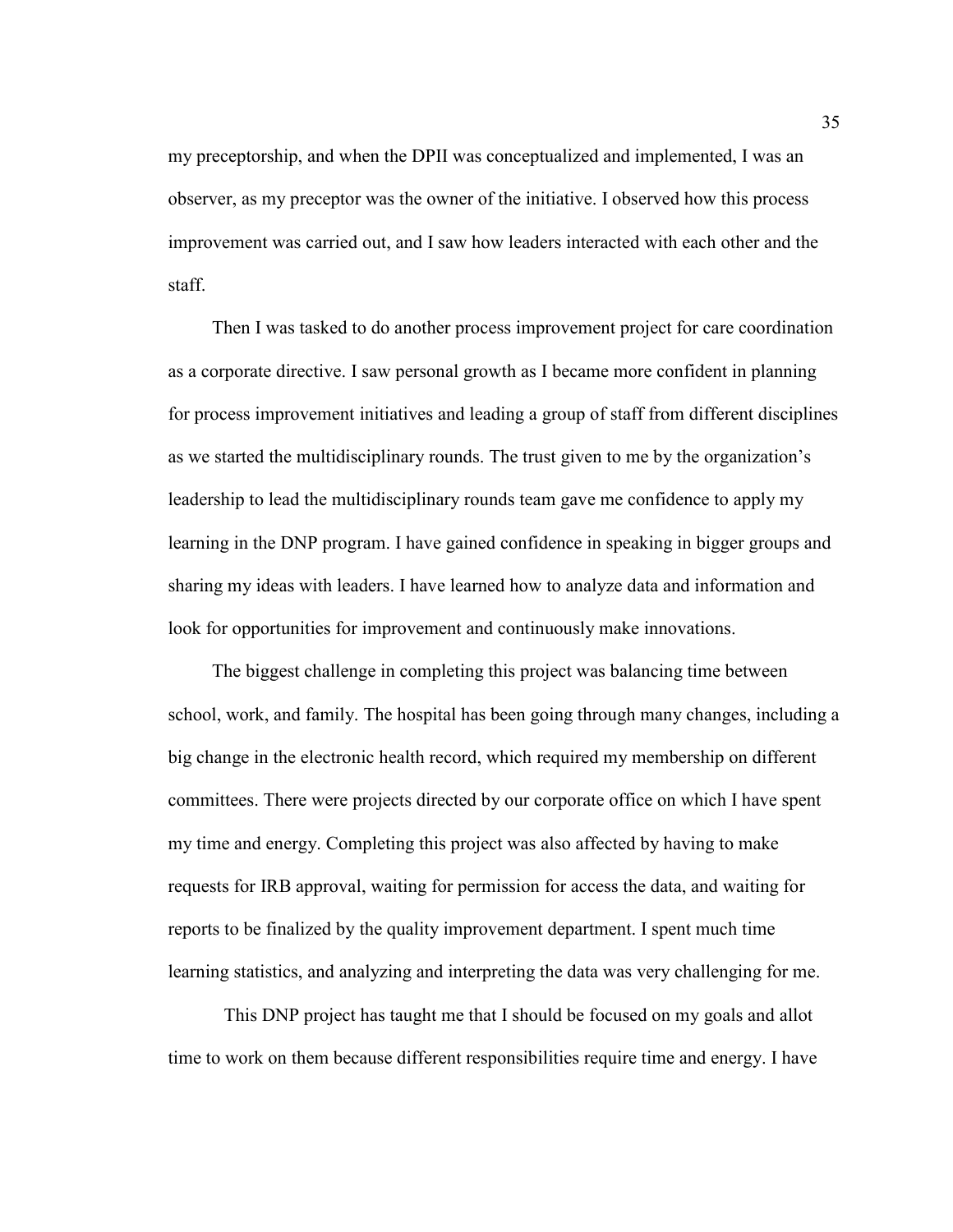my preceptorship, and when the DPII was conceptualized and implemented, I was an observer, as my preceptor was the owner of the initiative. I observed how this process improvement was carried out, and I saw how leaders interacted with each other and the staff.

Then I was tasked to do another process improvement project for care coordination as a corporate directive. I saw personal growth as I became more confident in planning for process improvement initiatives and leading a group of staff from different disciplines as we started the multidisciplinary rounds. The trust given to me by the organization's leadership to lead the multidisciplinary rounds team gave me confidence to apply my learning in the DNP program. I have gained confidence in speaking in bigger groups and sharing my ideas with leaders. I have learned how to analyze data and information and look for opportunities for improvement and continuously make innovations.

The biggest challenge in completing this project was balancing time between school, work, and family. The hospital has been going through many changes, including a big change in the electronic health record, which required my membership on different committees. There were projects directed by our corporate office on which I have spent my time and energy. Completing this project was also affected by having to make requests for IRB approval, waiting for permission for access the data, and waiting for reports to be finalized by the quality improvement department. I spent much time learning statistics, and analyzing and interpreting the data was very challenging for me.

This DNP project has taught me that I should be focused on my goals and allot time to work on them because different responsibilities require time and energy. I have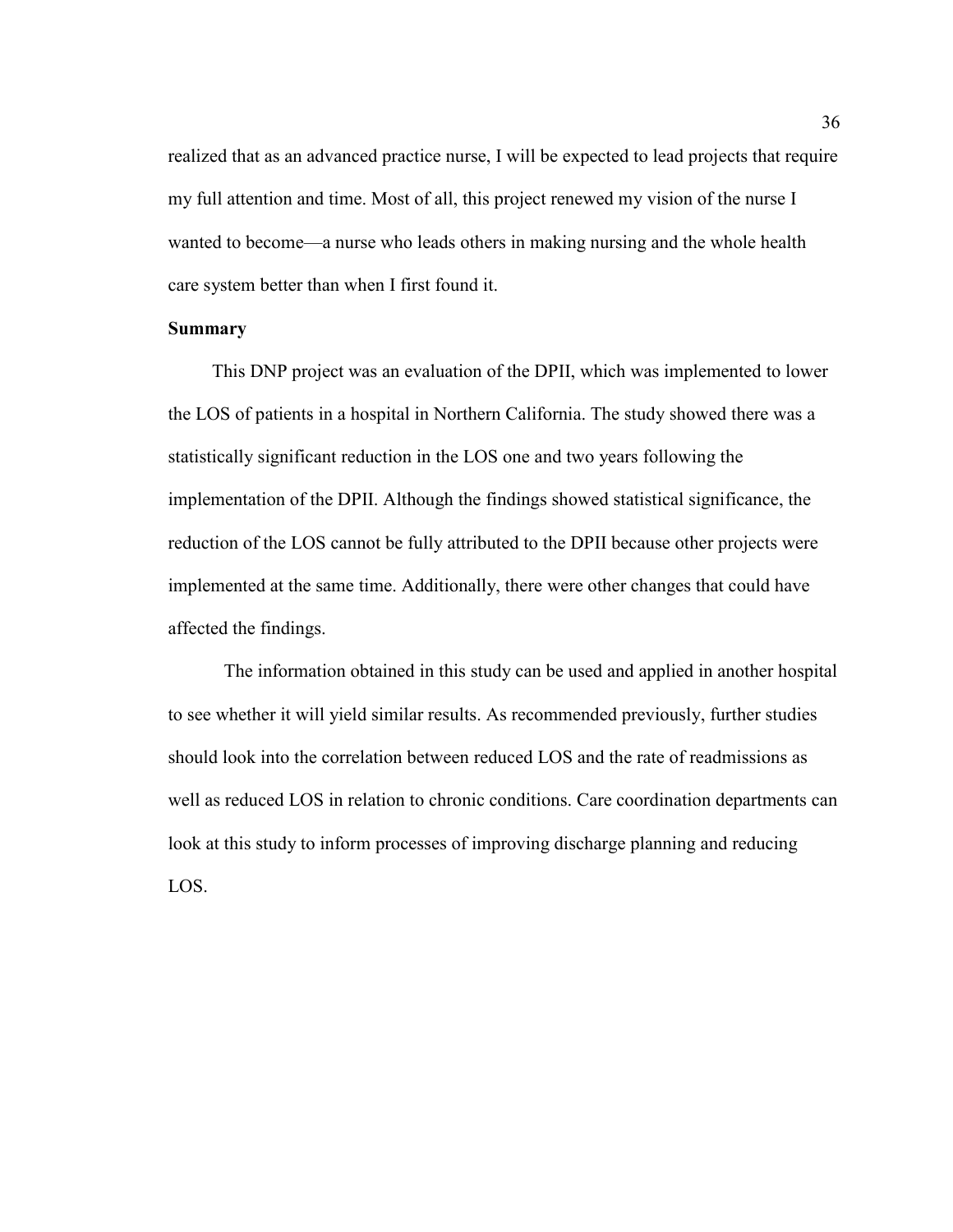realized that as an advanced practice nurse, I will be expected to lead projects that require my full attention and time. Most of all, this project renewed my vision of the nurse I wanted to become—a nurse who leads others in making nursing and the whole health care system better than when I first found it.

# **Summary**

This DNP project was an evaluation of the DPII, which was implemented to lower the LOS of patients in a hospital in Northern California. The study showed there was a statistically significant reduction in the LOS one and two years following the implementation of the DPII. Although the findings showed statistical significance, the reduction of the LOS cannot be fully attributed to the DPII because other projects were implemented at the same time. Additionally, there were other changes that could have affected the findings.

The information obtained in this study can be used and applied in another hospital to see whether it will yield similar results. As recommended previously, further studies should look into the correlation between reduced LOS and the rate of readmissions as well as reduced LOS in relation to chronic conditions. Care coordination departments can look at this study to inform processes of improving discharge planning and reducing LOS.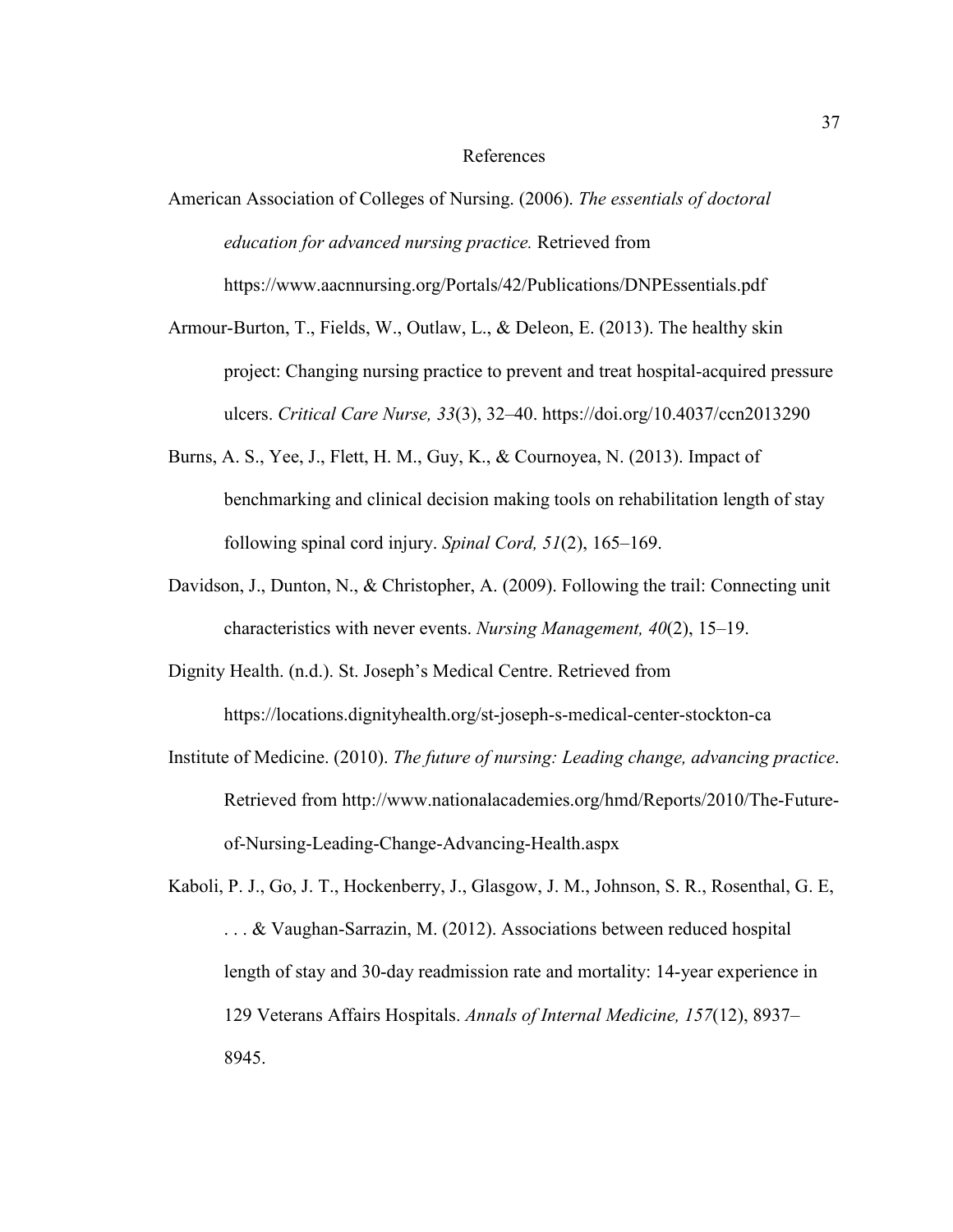#### References

- American Association of Colleges of Nursing. (2006). *The essentials of doctoral education for advanced nursing practice.* Retrieved from https://www.aacnnursing.org/Portals/42/Publications/DNPEssentials.pdf
- Armour-Burton, T., Fields, W., Outlaw, L., & Deleon, E. (2013). The healthy skin project: Changing nursing practice to prevent and treat hospital-acquired pressure ulcers. *Critical Care Nurse, 33*(3), 32–40. https://doi.org/10.4037/ccn2013290
- Burns, A. S., Yee, J., Flett, H. M., Guy, K., & Cournoyea, N. (2013). Impact of benchmarking and clinical decision making tools on rehabilitation length of stay following spinal cord injury. *Spinal Cord, 51*(2), 165–169.
- Davidson, J., Dunton, N., & Christopher, A. (2009). Following the trail: Connecting unit characteristics with never events. *Nursing Management, 40*(2), 15–19.

Dignity Health. (n.d.). St. Joseph's Medical Centre. Retrieved from https://locations.dignityhealth.org/st-joseph-s-medical-center-stockton-ca

Institute of Medicine. (2010). *The future of nursing: Leading change, advancing practice*. Retrieved from http://www.nationalacademies.org/hmd/Reports/2010/The-Futureof-Nursing-Leading-Change-Advancing-Health.aspx

Kaboli, P. J., Go, J. T., Hockenberry, J., Glasgow, J. M., Johnson, S. R., Rosenthal, G. E, ... & Vaughan-Sarrazin, M. (2012). Associations between reduced hospital length of stay and 30-day readmission rate and mortality: 14-year experience in 129 Veterans Affairs Hospitals. *Annals of Internal Medicine, 157*(12), 8937– 8945.